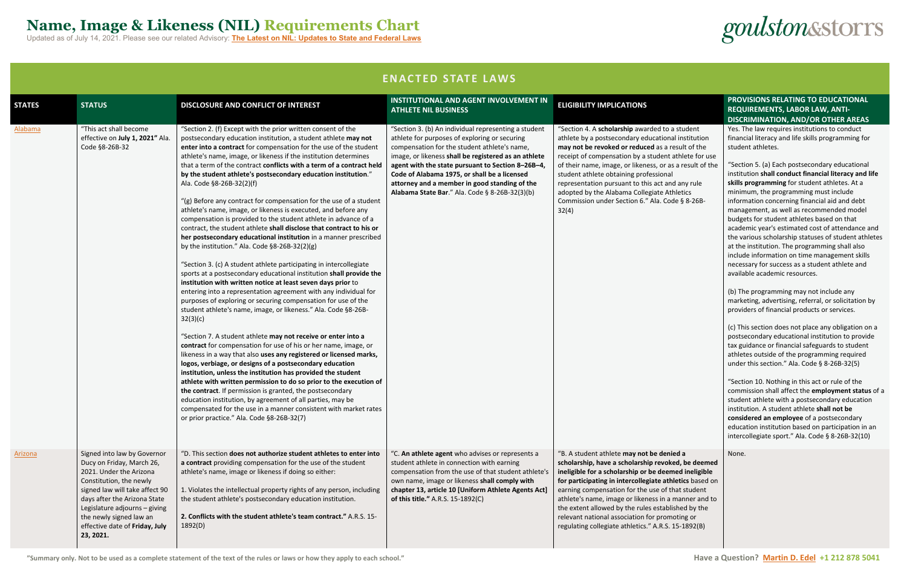### **Name, Image & Likeness (NIL) Requirements Chart**

Updated as of July 14, 2021. Please see our related Advisory: **The Latest on NIL: Updates to State and Federal Laws**

**"Summary only. Not to be used as a complete statement of the text of the rules or laws or how they apply to each school." Have a Question? [Martin D. Edel](mailto:medel@goulstonstorrs.com) +1 212 878 5041**

goulstonsstorrs

**ENACTED STATE LAWS**

| <b>STATES</b>  | <b>STATUS</b>                                                                                                                                                                                                                                                                               | DISCLOSURE AND CONFLICT OF INTEREST                                                                                                                                                                                                                                                                                                                                                                                                                                                                                                                                                                                                                                                                                                                                                                                                                                                                                                                                                                                                                                                                                                                                                                                                                                                                                                                                                                                                                                                                                                                                                                                                                                                                                                                                                                                                                                                                                                              | <b>INSTITUTIONAL AND AGENT INVOLVEMENT IN</b><br><b>ATHLETE NIL BUSINESS</b>                                                                                                                                                                                                                                                                                                                                          | <b>ELIGIBILITY IMPLICATIONS</b>                                                                                                                                                                                                                                                                                                                                                                                                                                                               |  |  |
|----------------|---------------------------------------------------------------------------------------------------------------------------------------------------------------------------------------------------------------------------------------------------------------------------------------------|--------------------------------------------------------------------------------------------------------------------------------------------------------------------------------------------------------------------------------------------------------------------------------------------------------------------------------------------------------------------------------------------------------------------------------------------------------------------------------------------------------------------------------------------------------------------------------------------------------------------------------------------------------------------------------------------------------------------------------------------------------------------------------------------------------------------------------------------------------------------------------------------------------------------------------------------------------------------------------------------------------------------------------------------------------------------------------------------------------------------------------------------------------------------------------------------------------------------------------------------------------------------------------------------------------------------------------------------------------------------------------------------------------------------------------------------------------------------------------------------------------------------------------------------------------------------------------------------------------------------------------------------------------------------------------------------------------------------------------------------------------------------------------------------------------------------------------------------------------------------------------------------------------------------------------------------------|-----------------------------------------------------------------------------------------------------------------------------------------------------------------------------------------------------------------------------------------------------------------------------------------------------------------------------------------------------------------------------------------------------------------------|-----------------------------------------------------------------------------------------------------------------------------------------------------------------------------------------------------------------------------------------------------------------------------------------------------------------------------------------------------------------------------------------------------------------------------------------------------------------------------------------------|--|--|
| <b>Alabama</b> | "This act shall become<br>effective on July 1, 2021" Ala.<br>Code §8-26B-32                                                                                                                                                                                                                 | "Section 2. (f) Except with the prior written consent of the<br>postsecondary education institution, a student athlete may not<br>enter into a contract for compensation for the use of the student<br>athlete's name, image, or likeness if the institution determines<br>that a term of the contract conflicts with a term of a contract held<br>by the student athlete's postsecondary education institution."<br>Ala. Code §8-26B-32(2)(f)<br>"(g) Before any contract for compensation for the use of a student<br>athlete's name, image, or likeness is executed, and before any<br>compensation is provided to the student athlete in advance of a<br>contract, the student athlete shall disclose that contract to his or<br>her postsecondary educational institution in a manner prescribed<br>by the institution." Ala. Code §8-26B-32(2)(g)<br>"Section 3. (c) A student athlete participating in intercollegiate<br>sports at a postsecondary educational institution shall provide the<br>institution with written notice at least seven days prior to<br>entering into a representation agreement with any individual for<br>purposes of exploring or securing compensation for use of the<br>student athlete's name, image, or likeness." Ala. Code §8-26B-<br>32(3)(c)<br>"Section 7. A student athlete may not receive or enter into a<br>contract for compensation for use of his or her name, image, or<br>likeness in a way that also uses any registered or licensed marks,<br>logos, verbiage, or designs of a postsecondary education<br>institution, unless the institution has provided the student<br>athlete with written permission to do so prior to the execution of<br>the contract. If permission is granted, the postsecondary<br>education institution, by agreement of all parties, may be<br>compensated for the use in a manner consistent with market rates<br>or prior practice." Ala. Code §8-26B-32(7) | "Section 3. (b) An individual representing a student<br>athlete for purposes of exploring or securing<br>compensation for the student athlete's name,<br>image, or likeness shall be registered as an athlete<br>agent with the state pursuant to Section 8-26B-4,<br>Code of Alabama 1975, or shall be a licensed<br>attorney and a member in good standing of the<br>Alabama State Bar." Ala. Code § 8-26B-32(3)(b) | "Section 4. A scholarship awarded to a student<br>athlete by a postsecondary educational institution<br>may not be revoked or reduced as a result of the<br>receipt of compensation by a student athlete for use<br>of their name, image, or likeness, or as a result of the<br>student athlete obtaining professional<br>representation pursuant to this act and any rule<br>adopted by the Alabama Collegiate Athletics<br>Commission under Section 6." Ala. Code § 8-26B-<br>32(4)         |  |  |
| Arizona        | Signed into law by Governor<br>Ducy on Friday, March 26,<br>2021. Under the Arizona<br>Constitution, the newly<br>signed law will take affect 90<br>days after the Arizona State<br>Legislature adjourns - giving<br>the newly signed law an<br>effective date of Friday, July<br>23, 2021. | "D. This section does not authorize student athletes to enter into<br>a contract providing compensation for the use of the student<br>athlete's name, image or likeness if doing so either:<br>1. Violates the intellectual property rights of any person, including<br>the student athlete's postsecondary education institution.<br>2. Conflicts with the student athlete's team contract." A.R.S. 15-<br>1892(D)                                                                                                                                                                                                                                                                                                                                                                                                                                                                                                                                                                                                                                                                                                                                                                                                                                                                                                                                                                                                                                                                                                                                                                                                                                                                                                                                                                                                                                                                                                                              | "C. An athlete agent who advises or represents a<br>student athlete in connection with earning<br>compensation from the use of that student athlete's<br>own name, image or likeness shall comply with<br>chapter 13, article 10 [Uniform Athlete Agents Act]<br>of this title." A.R.S. 15-1892(C)                                                                                                                    | "B. A student athlete may not be denied a<br>scholarship, have a scholarship revoked, be deemed<br>ineligible for a scholarship or be deemed ineligible<br>for participating in intercollegiate athletics based on<br>earning compensation for the use of that student<br>athlete's name, image or likeness in a manner and to<br>the extent allowed by the rules established by the<br>relevant national association for promoting or<br>regulating collegiate athletics." A.R.S. 15-1892(B) |  |  |

|                                                                                                                                                            | PROVISIONS RELATING TO EDUCATIONAL                                                                                                                                                                                                                                                                                                                                                                                                                                                                                                                                                                                                                                                                                                                                                                              |
|------------------------------------------------------------------------------------------------------------------------------------------------------------|-----------------------------------------------------------------------------------------------------------------------------------------------------------------------------------------------------------------------------------------------------------------------------------------------------------------------------------------------------------------------------------------------------------------------------------------------------------------------------------------------------------------------------------------------------------------------------------------------------------------------------------------------------------------------------------------------------------------------------------------------------------------------------------------------------------------|
|                                                                                                                                                            | <b>REQUIREMENTS, LABOR LAW, ANTI-</b>                                                                                                                                                                                                                                                                                                                                                                                                                                                                                                                                                                                                                                                                                                                                                                           |
|                                                                                                                                                            | <b>DISCRIMINATION, AND/OR OTHER AREAS</b>                                                                                                                                                                                                                                                                                                                                                                                                                                                                                                                                                                                                                                                                                                                                                                       |
| o a student<br>onal institution<br>a result of the<br>nt athlete for use<br>as a result of the<br>าal<br>and any rule<br><b>Athletics</b><br>Code § 8-26B- | Yes. The law requires institutions to conduct<br>financial literacy and life skills programming for<br>student athletes.<br>"Section 5. (a) Each postsecondary educational<br>institution shall conduct financial literacy and life<br>skills programming for student athletes. At a<br>minimum, the programming must include<br>information concerning financial aid and debt<br>management, as well as recommended model<br>budgets for student athletes based on that<br>academic year's estimated cost of attendance and<br>the various scholarship statuses of student athletes<br>at the institution. The programming shall also<br>include information on time management skills<br>necessary for success as a student athlete and                                                                       |
|                                                                                                                                                            | available academic resources.<br>(b) The programming may not include any<br>marketing, advertising, referral, or solicitation by<br>providers of financial products or services.<br>(c) This section does not place any obligation on a<br>postsecondary educational institution to provide<br>tax guidance or financial safeguards to student<br>athletes outside of the programming required<br>under this section." Ala. Code § 8-26B-32(5)<br>"Section 10. Nothing in this act or rule of the<br>commission shall affect the employment status of a<br>student athlete with a postsecondary education<br>institution. A student athlete shall not be<br>considered an employee of a postsecondary<br>education institution based on participation in an<br>intercollegiate sport." Ala. Code § 8-26B-32(10) |
| enied a<br>oked, be deemed<br>emed ineligible<br>thletics based on<br>f that student<br>a manner and to<br>blished by the<br>omoting or<br>$S. 15-1892(B)$ | None.                                                                                                                                                                                                                                                                                                                                                                                                                                                                                                                                                                                                                                                                                                                                                                                                           |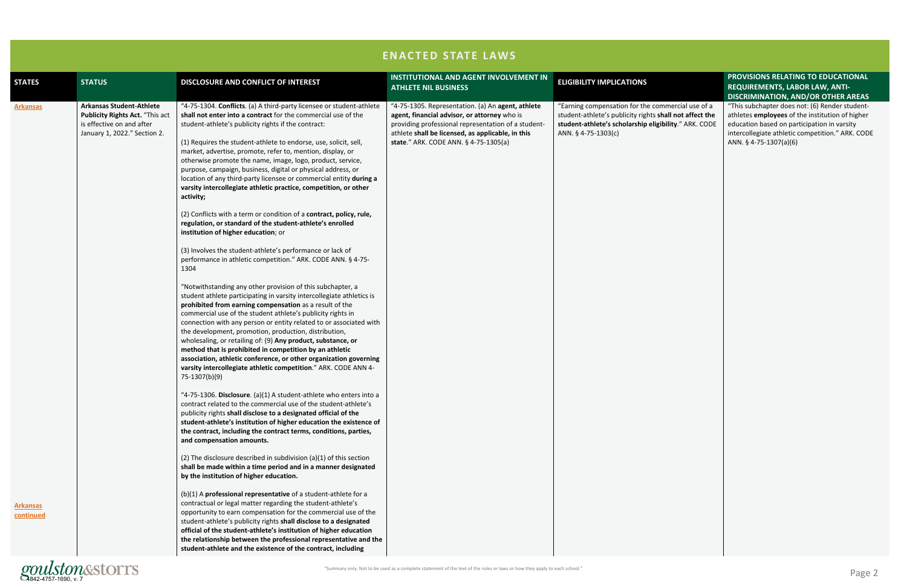| <b>STATES</b>                                   | <b>STATUS</b>                                                                                                                          | DISCLOSURE AND CONFLICT OF INTEREST                                                                                                                                                                                                                                                                                                                                                                                                                                                                                                                                                                                                                                                                                                                                                                                                                                                                                                                                                                                                                                                                                                                                                                                                                                                                                                                                                                                                                                                                                                                                                                                                                                                                                                                                                                                                                                                                                                                                                                                                                                                                                                                                                                                                                                                                                                                                                                                                                                                                                                                                                                                                                                              | <b>INSTITUTIONAL AND AGENT INVOLVEMENT IN</b><br><b>ATHLETE NIL BUSINESS</b>                                                                                                                                                                           | <b>ELIGIBILITY IMPLICATIONS</b>                                                                                                                                                              | <b>PROVISIONS RELATING TO EDUCATIONAL</b><br><b>REQUIREMENTS, LABOR LAW, ANTI-</b>                                                                                                                                                                                          |
|-------------------------------------------------|----------------------------------------------------------------------------------------------------------------------------------------|----------------------------------------------------------------------------------------------------------------------------------------------------------------------------------------------------------------------------------------------------------------------------------------------------------------------------------------------------------------------------------------------------------------------------------------------------------------------------------------------------------------------------------------------------------------------------------------------------------------------------------------------------------------------------------------------------------------------------------------------------------------------------------------------------------------------------------------------------------------------------------------------------------------------------------------------------------------------------------------------------------------------------------------------------------------------------------------------------------------------------------------------------------------------------------------------------------------------------------------------------------------------------------------------------------------------------------------------------------------------------------------------------------------------------------------------------------------------------------------------------------------------------------------------------------------------------------------------------------------------------------------------------------------------------------------------------------------------------------------------------------------------------------------------------------------------------------------------------------------------------------------------------------------------------------------------------------------------------------------------------------------------------------------------------------------------------------------------------------------------------------------------------------------------------------------------------------------------------------------------------------------------------------------------------------------------------------------------------------------------------------------------------------------------------------------------------------------------------------------------------------------------------------------------------------------------------------------------------------------------------------------------------------------------------------|--------------------------------------------------------------------------------------------------------------------------------------------------------------------------------------------------------------------------------------------------------|----------------------------------------------------------------------------------------------------------------------------------------------------------------------------------------------|-----------------------------------------------------------------------------------------------------------------------------------------------------------------------------------------------------------------------------------------------------------------------------|
| <b>Arkansas</b><br><u>Arkansas</u><br>continued | <b>Arkansas Student-Athlete</b><br><b>Publicity Rights Act. "This act</b><br>is effective on and after<br>January 1, 2022." Section 2. | "4-75-1304. Conflicts. (a) A third-party licensee or student-athlete<br>shall not enter into a contract for the commercial use of the<br>student-athlete's publicity rights if the contract:<br>(1) Requires the student-athlete to endorse, use, solicit, sell,<br>market, advertise, promote, refer to, mention, display, or<br>otherwise promote the name, image, logo, product, service,<br>purpose, campaign, business, digital or physical address, or<br>location of any third-party licensee or commercial entity during a<br>varsity intercollegiate athletic practice, competition, or other<br>activity;<br>(2) Conflicts with a term or condition of a contract, policy, rule,<br>regulation, or standard of the student-athlete's enrolled<br>institution of higher education; or<br>(3) Involves the student-athlete's performance or lack of<br>performance in athletic competition." ARK. CODE ANN. § 4-75-<br>1304<br>"Notwithstanding any other provision of this subchapter, a<br>student athlete participating in varsity intercollegiate athletics is<br>prohibited from earning compensation as a result of the<br>commercial use of the student athlete's publicity rights in<br>connection with any person or entity related to or associated with<br>the development, promotion, production, distribution,<br>wholesaling, or retailing of: (9) Any product, substance, or<br>method that is prohibited in competition by an athletic<br>association, athletic conference, or other organization governing<br>varsity intercollegiate athletic competition." ARK. CODE ANN 4-<br>75-1307(b)(9)<br>"4-75-1306. Disclosure. (a)(1) A student-athlete who enters into a<br>contract related to the commercial use of the student-athlete's<br>publicity rights shall disclose to a designated official of the<br>student-athlete's institution of higher education the existence of<br>the contract, including the contract terms, conditions, parties,<br>and compensation amounts.<br>(2) The disclosure described in subdivision (a)(1) of this section<br>shall be made within a time period and in a manner designated<br>by the institution of higher education.<br>$(b)(1)$ A professional representative of a student-athlete for a<br>contractual or legal matter regarding the student-athlete's<br>opportunity to earn compensation for the commercial use of the<br>student-athlete's publicity rights shall disclose to a designated<br>official of the student-athlete's institution of higher education<br>the relationship between the professional representative and the<br>student-athlete and the existence of the contract, including | "4-75-1305. Representation. (a) An agent, athlete<br>agent, financial advisor, or attorney who is<br>providing professional representation of a student-<br>athlete shall be licensed, as applicable, in this<br>state." ARK. CODE ANN. § 4-75-1305(a) | "Earning compensation for the commercial use of a<br>student-athlete's publicity rights shall not affect the<br>student-athlete's scholarship eligibility." ARK. CODE<br>ANN. § 4-75-1303(c) | <b>DISCRIMINATION, AND/OR OTHER AREAS</b><br>"This subchapter does not: (6) Render student-<br>athletes employees of the institution of higher<br>education based on participation in varsity<br>intercollegiate athletic competition." ARK. CODE<br>ANN. § 4-75-1307(a)(6) |
|                                                 | <i>goulston</i> & storrs                                                                                                               |                                                                                                                                                                                                                                                                                                                                                                                                                                                                                                                                                                                                                                                                                                                                                                                                                                                                                                                                                                                                                                                                                                                                                                                                                                                                                                                                                                                                                                                                                                                                                                                                                                                                                                                                                                                                                                                                                                                                                                                                                                                                                                                                                                                                                                                                                                                                                                                                                                                                                                                                                                                                                                                                                  | "Summary only. Not to be used as a complete statement of the text of the rules or laws or how they apply to each school."                                                                                                                              |                                                                                                                                                                                              | Page 2                                                                                                                                                                                                                                                                      |

|                                                             | PROVISIONS RELATING TO EDUCATIONAL<br>REQUIREMENTS, LABOR LAW, ANTI-                                                                                                                                                                                                 |
|-------------------------------------------------------------|----------------------------------------------------------------------------------------------------------------------------------------------------------------------------------------------------------------------------------------------------------------------|
| mercial use of a<br>all not affect the<br>ility." ARK. CODE | DISCRIMINATION, AND/OR OTHER AREAS<br>"This subchapter does not: (6) Render student-<br>athletes employees of the institution of higher<br>education based on participation in varsity<br>intercollegiate athletic competition." ARK. CODE<br>ANN. § 4-75-1307(a)(6) |
|                                                             |                                                                                                                                                                                                                                                                      |
|                                                             |                                                                                                                                                                                                                                                                      |
|                                                             |                                                                                                                                                                                                                                                                      |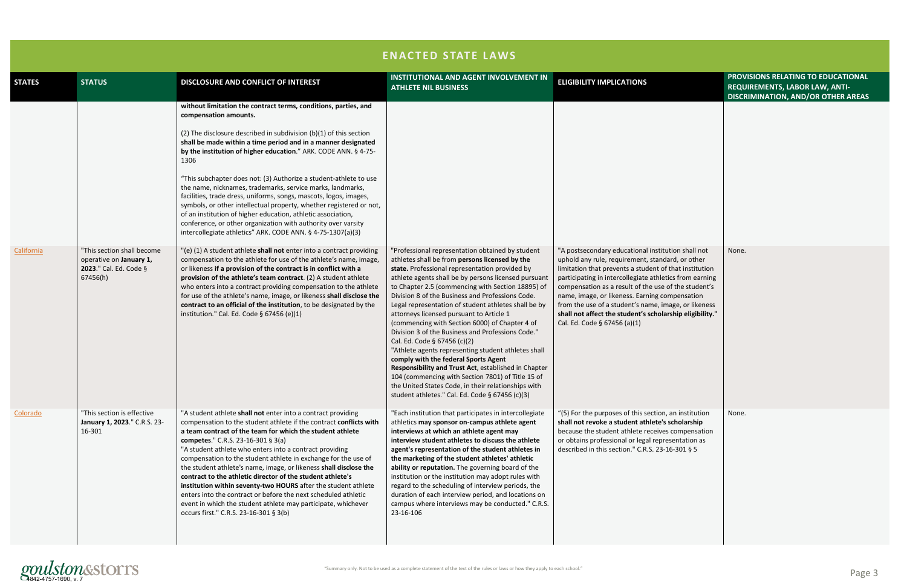|               |                                                                      |                                                                                                                                                                                                                                                                                                                                                                                                                                                                                                                                                                                                                                                                                                                                                                                                                                                                     | <b>ENACTED STATE LAWS</b>                                                                                                                                                                                                                                                                                                                                                                                                                                                                                                                                                                                                                                                                                                                                                                                                          |                                                                                                                                                                                                                                                                                                                                                                                                                                     |
|---------------|----------------------------------------------------------------------|---------------------------------------------------------------------------------------------------------------------------------------------------------------------------------------------------------------------------------------------------------------------------------------------------------------------------------------------------------------------------------------------------------------------------------------------------------------------------------------------------------------------------------------------------------------------------------------------------------------------------------------------------------------------------------------------------------------------------------------------------------------------------------------------------------------------------------------------------------------------|------------------------------------------------------------------------------------------------------------------------------------------------------------------------------------------------------------------------------------------------------------------------------------------------------------------------------------------------------------------------------------------------------------------------------------------------------------------------------------------------------------------------------------------------------------------------------------------------------------------------------------------------------------------------------------------------------------------------------------------------------------------------------------------------------------------------------------|-------------------------------------------------------------------------------------------------------------------------------------------------------------------------------------------------------------------------------------------------------------------------------------------------------------------------------------------------------------------------------------------------------------------------------------|
| <b>STATES</b> | <b>STATUS</b>                                                        | DISCLOSURE AND CONFLICT OF INTEREST                                                                                                                                                                                                                                                                                                                                                                                                                                                                                                                                                                                                                                                                                                                                                                                                                                 | <b>INSTITUTIONAL AND AGENT INVOLVEMENT IN</b><br><b>ATHLETE NIL BUSINESS</b>                                                                                                                                                                                                                                                                                                                                                                                                                                                                                                                                                                                                                                                                                                                                                       | <b>ELIGIBILITY IMPLICATIONS</b>                                                                                                                                                                                                                                                                                                                                                                                                     |
| California    | "This section shall become                                           | without limitation the contract terms, conditions, parties, and<br>compensation amounts.<br>(2) The disclosure described in subdivision $(b)(1)$ of this section<br>shall be made within a time period and in a manner designated<br>by the institution of higher education." ARK. CODE ANN. § 4-75-<br>1306<br>"This subchapter does not: (3) Authorize a student-athlete to use<br>the name, nicknames, trademarks, service marks, landmarks,<br>facilities, trade dress, uniforms, songs, mascots, logos, images,<br>symbols, or other intellectual property, whether registered or not,<br>of an institution of higher education, athletic association,<br>conference, or other organization with authority over varsity<br>intercollegiate athletics" ARK. CODE ANN. § 4-75-1307(a)(3)<br>"(e) (1) A student athlete shall not enter into a contract providing | "Professional representation obtained by student                                                                                                                                                                                                                                                                                                                                                                                                                                                                                                                                                                                                                                                                                                                                                                                   | "A postsecondary educational institution shall not                                                                                                                                                                                                                                                                                                                                                                                  |
|               | operative on January 1,<br>2023." Cal. Ed. Code §<br>67456(h)        | compensation to the athlete for use of the athlete's name, image,<br>or likeness if a provision of the contract is in conflict with a<br>provision of the athlete's team contract. (2) A student athlete<br>who enters into a contract providing compensation to the athlete<br>for use of the athlete's name, image, or likeness shall disclose the<br>contract to an official of the institution, to be designated by the<br>institution." Cal. Ed. Code § 67456 (e)(1)                                                                                                                                                                                                                                                                                                                                                                                           | athletes shall be from persons licensed by the<br>state. Professional representation provided by<br>athlete agents shall be by persons licensed pursuant<br>to Chapter 2.5 (commencing with Section 18895) of<br>Division 8 of the Business and Professions Code.<br>Legal representation of student athletes shall be by<br>attorneys licensed pursuant to Article 1<br>(commencing with Section 6000) of Chapter 4 of<br>Division 3 of the Business and Professions Code."<br>Cal. Ed. Code § 67456 (c)(2)<br>"Athlete agents representing student athletes shall<br>comply with the federal Sports Agent<br>Responsibility and Trust Act, established in Chapter<br>104 (commencing with Section 7801) of Title 15 of<br>the United States Code, in their relationships with<br>student athletes." Cal. Ed. Code § 67456 (c)(3) | uphold any rule, requirement, standard, or other<br>limitation that prevents a student of that institution<br>participating in intercollegiate athletics from earning<br>compensation as a result of the use of the student's<br>name, image, or likeness. Earning compensation<br>from the use of a student's name, image, or likeness<br>shall not affect the student's scholarship eligibility."<br>Cal. Ed. Code § 67456 (a)(1) |
| Colorado      | "This section is effective<br>January 1, 2023." C.R.S. 23-<br>16-301 | "A student athlete shall not enter into a contract providing<br>compensation to the student athlete if the contract conflicts with<br>a team contract of the team for which the student athlete<br>competes." C.R.S. 23-16-301 § 3(a)<br>"A student athlete who enters into a contract providing<br>compensation to the student athlete in exchange for the use of<br>the student athlete's name, image, or likeness shall disclose the<br>contract to the athletic director of the student athlete's<br>institution within seventy-two HOURS after the student athlete<br>enters into the contract or before the next scheduled athletic<br>event in which the student athlete may participate, whichever<br>occurs first." C.R.S. 23-16-301 § 3(b)                                                                                                                | "Each institution that participates in intercollegiate<br>athletics may sponsor on-campus athlete agent<br>interviews at which an athlete agent may<br>interview student athletes to discuss the athlete<br>agent's representation of the student athletes in<br>the marketing of the student athletes' athletic<br>ability or reputation. The governing board of the<br>institution or the institution may adopt rules with<br>regard to the scheduling of interview periods, the<br>duration of each interview period, and locations on<br>campus where interviews may be conducted." C.R.S.<br>23-16-106                                                                                                                                                                                                                        | "(5) For the purposes of this section, an institution<br>shall not revoke a student athlete's scholarship<br>because the student athlete receives compensation<br>or obtains professional or legal representation as<br>described in this section." C.R.S. 23-16-301 § 5                                                                                                                                                            |

# grammary only. Not to be used as a complete statement of the text of the rules or laws or how they apply to each school."<br>4842-4757-1690, v. 7

| PROVISIONS RELATING TO EDUCATIONAL<br>REQUIREMENTS, LABOR LAW, ANTI-<br>DISCRIMINATION, AND/OR OTHER AREAS |
|------------------------------------------------------------------------------------------------------------|
|                                                                                                            |
| None.                                                                                                      |
| None.                                                                                                      |
|                                                                                                            |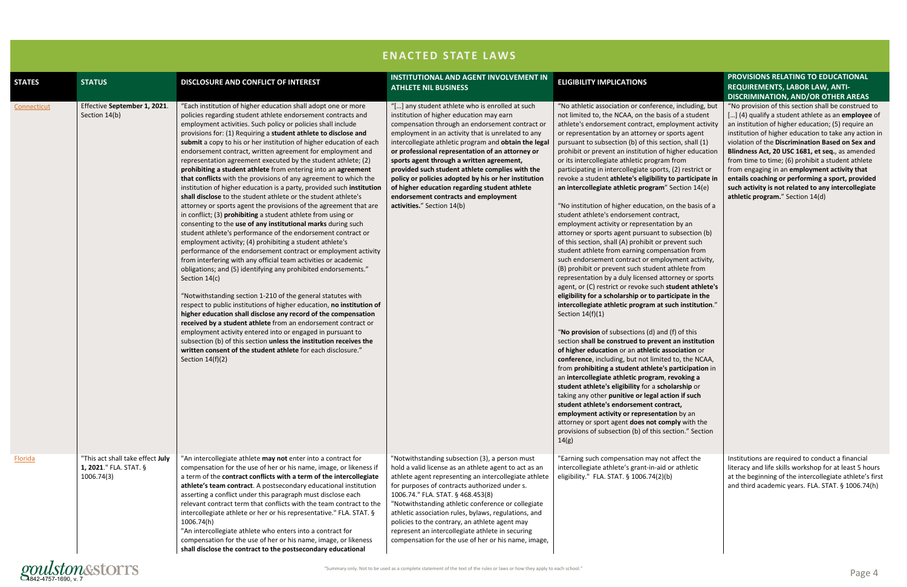

|               | <b>ENACTED STATE LAWS</b>                                                |                                                                                                                                                                                                                                                                                                                                                                                                                                                                                                                                                                                                                                                                                                                                                                                                                                                                                                                                                                                                                                                                                                                                                                                                                                                                                                                                                                                                                                                                                                                                                                                                                                                                                                                                                                                                                     |                                                                                                                                                                                                                                                                                                                                                                                                                                                                                                                                                                                                  |                                                                                                                                                                                                                                                                                                                                                                                                                                                                                                                                                                                                                                                                                                                                                                                                                                                                                                                                                                                                                                                                                                                                                                                                                                                                                                                                                                                                                                                                                                                                                                                                                                                                                                                                                                                                                                                                                                                                       |                                                                                                                                                                                                                                                                                                                                                                                                                                                                                                                                                                                     |
|---------------|--------------------------------------------------------------------------|---------------------------------------------------------------------------------------------------------------------------------------------------------------------------------------------------------------------------------------------------------------------------------------------------------------------------------------------------------------------------------------------------------------------------------------------------------------------------------------------------------------------------------------------------------------------------------------------------------------------------------------------------------------------------------------------------------------------------------------------------------------------------------------------------------------------------------------------------------------------------------------------------------------------------------------------------------------------------------------------------------------------------------------------------------------------------------------------------------------------------------------------------------------------------------------------------------------------------------------------------------------------------------------------------------------------------------------------------------------------------------------------------------------------------------------------------------------------------------------------------------------------------------------------------------------------------------------------------------------------------------------------------------------------------------------------------------------------------------------------------------------------------------------------------------------------|--------------------------------------------------------------------------------------------------------------------------------------------------------------------------------------------------------------------------------------------------------------------------------------------------------------------------------------------------------------------------------------------------------------------------------------------------------------------------------------------------------------------------------------------------------------------------------------------------|---------------------------------------------------------------------------------------------------------------------------------------------------------------------------------------------------------------------------------------------------------------------------------------------------------------------------------------------------------------------------------------------------------------------------------------------------------------------------------------------------------------------------------------------------------------------------------------------------------------------------------------------------------------------------------------------------------------------------------------------------------------------------------------------------------------------------------------------------------------------------------------------------------------------------------------------------------------------------------------------------------------------------------------------------------------------------------------------------------------------------------------------------------------------------------------------------------------------------------------------------------------------------------------------------------------------------------------------------------------------------------------------------------------------------------------------------------------------------------------------------------------------------------------------------------------------------------------------------------------------------------------------------------------------------------------------------------------------------------------------------------------------------------------------------------------------------------------------------------------------------------------------------------------------------------------|-------------------------------------------------------------------------------------------------------------------------------------------------------------------------------------------------------------------------------------------------------------------------------------------------------------------------------------------------------------------------------------------------------------------------------------------------------------------------------------------------------------------------------------------------------------------------------------|
| <b>STATES</b> | <b>STATUS</b>                                                            | DISCLOSURE AND CONFLICT OF INTEREST                                                                                                                                                                                                                                                                                                                                                                                                                                                                                                                                                                                                                                                                                                                                                                                                                                                                                                                                                                                                                                                                                                                                                                                                                                                                                                                                                                                                                                                                                                                                                                                                                                                                                                                                                                                 | <b>INSTITUTIONAL AND AGENT INVOLVEMENT IN</b><br><b>ATHLETE NIL BUSINESS</b>                                                                                                                                                                                                                                                                                                                                                                                                                                                                                                                     | <b>ELIGIBILITY IMPLICATIONS</b>                                                                                                                                                                                                                                                                                                                                                                                                                                                                                                                                                                                                                                                                                                                                                                                                                                                                                                                                                                                                                                                                                                                                                                                                                                                                                                                                                                                                                                                                                                                                                                                                                                                                                                                                                                                                                                                                                                       | PROVISIONS RELATING TO EDUCATIONAL<br><b>REQUIREMENTS, LABOR LAW, ANTI-</b><br><b>DISCRIMINATION, AND/OR OTHER AREAS</b>                                                                                                                                                                                                                                                                                                                                                                                                                                                            |
| Connecticut   | Effective September 1, 2021.<br>Section 14(b)                            | "Each institution of higher education shall adopt one or more<br>policies regarding student athlete endorsement contracts and<br>employment activities. Such policy or policies shall include<br>provisions for: (1) Requiring a student athlete to disclose and<br>submit a copy to his or her institution of higher education of each<br>endorsement contract, written agreement for employment and<br>representation agreement executed by the student athlete; (2)<br>prohibiting a student athlete from entering into an agreement<br>that conflicts with the provisions of any agreement to which the<br>institution of higher education is a party, provided such institution<br>shall disclose to the student athlete or the student athlete's<br>attorney or sports agent the provisions of the agreement that are<br>in conflict; (3) prohibiting a student athlete from using or<br>consenting to the use of any institutional marks during such<br>student athlete's performance of the endorsement contract or<br>employment activity; (4) prohibiting a student athlete's<br>performance of the endorsement contract or employment activity<br>from interfering with any official team activities or academic<br>obligations; and (5) identifying any prohibited endorsements."<br>Section 14(c)<br>"Notwithstanding section 1-210 of the general statutes with<br>respect to public institutions of higher education, no institution of<br>higher education shall disclose any record of the compensation<br>received by a student athlete from an endorsement contract or<br>employment activity entered into or engaged in pursuant to<br>subsection (b) of this section unless the institution receives the<br>written consent of the student athlete for each disclosure."<br>Section $14(f)(2)$ | "[] any student athlete who is enrolled at such<br>institution of higher education may earn<br>compensation through an endorsement contract or<br>employment in an activity that is unrelated to any<br>intercollegiate athletic program and obtain the legal<br>or professional representation of an attorney or<br>sports agent through a written agreement,<br>provided such student athlete complies with the<br>policy or policies adopted by his or her institution<br>of higher education regarding student athlete<br>endorsement contracts and employment<br>activities." Section 14(b) | "No athletic association or conference, including, but<br>not limited to, the NCAA, on the basis of a student<br>athlete's endorsement contract, employment activity<br>or representation by an attorney or sports agent<br>pursuant to subsection (b) of this section, shall (1)<br>prohibit or prevent an institution of higher education<br>or its intercollegiate athletic program from<br>participating in intercollegiate sports, (2) restrict or<br>revoke a student athlete's eligibility to participate in<br>an intercollegiate athletic program" Section 14(e)<br>"No institution of higher education, on the basis of a<br>student athlete's endorsement contract,<br>employment activity or representation by an<br>attorney or sports agent pursuant to subsection (b)<br>of this section, shall (A) prohibit or prevent such<br>student athlete from earning compensation from<br>such endorsement contract or employment activity,<br>(B) prohibit or prevent such student athlete from<br>representation by a duly licensed attorney or sports<br>agent, or (C) restrict or revoke such student athlete's<br>eligibility for a scholarship or to participate in the<br>intercollegiate athletic program at such institution."<br>Section $14(f)(1)$<br>"No provision of subsections (d) and (f) of this<br>section shall be construed to prevent an institution<br>of higher education or an athletic association or<br>conference, including, but not limited to, the NCAA,<br>from prohibiting a student athlete's participation in<br>an intercollegiate athletic program, revoking a<br>student athlete's eligibility for a scholarship or<br>taking any other punitive or legal action if such<br>student athlete's endorsement contract,<br>employment activity or representation by an<br>attorney or sport agent does not comply with the<br>provisions of subsection (b) of this section." Section<br>14(g) | "No provision of this section shall be construed to<br>[] (4) qualify a student athlete as an employee of<br>an institution of higher education; (5) require an<br>institution of higher education to take any action in<br>violation of the Discrimination Based on Sex and<br>Blindness Act, 20 USC 1681, et seq., as amended<br>from time to time; (6) prohibit a student athlete<br>from engaging in an employment activity that<br>entails coaching or performing a sport, provided<br>such activity is not related to any intercollegiate<br>athletic program." Section 14(d) |
| Florida       | "This act shall take effect July<br>1, 2021." FLA. STAT. §<br>1006.74(3) | "An intercollegiate athlete may not enter into a contract for<br>compensation for the use of her or his name, image, or likeness if<br>a term of the contract conflicts with a term of the intercollegiate<br>athlete's team contract. A postsecondary educational institution<br>asserting a conflict under this paragraph must disclose each<br>relevant contract term that conflicts with the team contract to the<br>intercollegiate athlete or her or his representative." FLA. STAT. §<br>1006.74(h)<br>"An intercollegiate athlete who enters into a contract for<br>compensation for the use of her or his name, image, or likeness<br>shall disclose the contract to the postsecondary educational                                                                                                                                                                                                                                                                                                                                                                                                                                                                                                                                                                                                                                                                                                                                                                                                                                                                                                                                                                                                                                                                                                         | "Notwithstanding subsection (3), a person must<br>hold a valid license as an athlete agent to act as an<br>athlete agent representing an intercollegiate athlete<br>for purposes of contracts authorized under s.<br>1006.74." FLA. STAT. § 468.453(8)<br>"Notwithstanding athletic conference or collegiate<br>athletic association rules, bylaws, regulations, and<br>policies to the contrary, an athlete agent may<br>represent an intercollegiate athlete in securing<br>compensation for the use of her or his name, image,                                                                | "Earning such compensation may not affect the<br>intercollegiate athlete's grant-in-aid or athletic<br>eligibility." FLA. STAT. § 1006.74(2)(b)                                                                                                                                                                                                                                                                                                                                                                                                                                                                                                                                                                                                                                                                                                                                                                                                                                                                                                                                                                                                                                                                                                                                                                                                                                                                                                                                                                                                                                                                                                                                                                                                                                                                                                                                                                                       | Institutions are required to conduct a financial<br>literacy and life skills workshop for at least 5 hours<br>at the beginning of the intercollegiate athlete's first<br>and third academic years. FLA. STAT. § 1006.74(h)                                                                                                                                                                                                                                                                                                                                                          |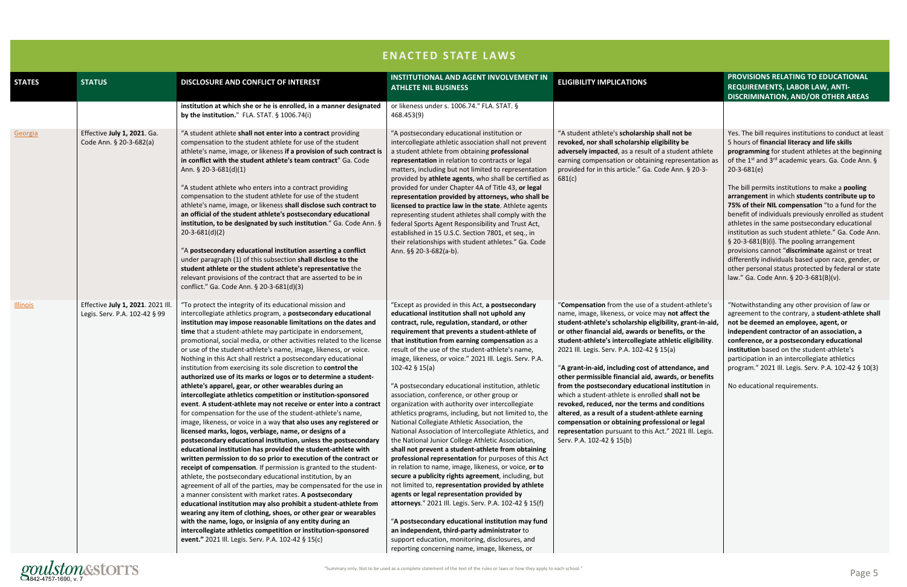|                 | <b>ENACTED STATE LAWS</b>                                          |                                                                                                                                                                                                                                                                                                                                                                                                                                                                                                                                                                                                                                                                                                                                                                                                                                                                                                                                                                                                                                                                                                                                                                                                                                                                                                                                                                                                                                                                                                                                                                                                                                                                                                                                                                                                                       |                                                                                                                                                                                                                                                                                                                                                                                                                                                                                                                                                                                                                                                                                                                                                                                                                                                                                                                                                                                                                                                                                                                                                                                                                                                                                                                                                                                    |                                                                                                                                                                                                                                                                                                                                                                                                                                                                                                                                                                                                                                                                                                                                                                                                            |                                                                                                                                                                                                                                                                                                                                                                                                                                                                                                                                                                                                                                                                                                                                                                                                                                                     |
|-----------------|--------------------------------------------------------------------|-----------------------------------------------------------------------------------------------------------------------------------------------------------------------------------------------------------------------------------------------------------------------------------------------------------------------------------------------------------------------------------------------------------------------------------------------------------------------------------------------------------------------------------------------------------------------------------------------------------------------------------------------------------------------------------------------------------------------------------------------------------------------------------------------------------------------------------------------------------------------------------------------------------------------------------------------------------------------------------------------------------------------------------------------------------------------------------------------------------------------------------------------------------------------------------------------------------------------------------------------------------------------------------------------------------------------------------------------------------------------------------------------------------------------------------------------------------------------------------------------------------------------------------------------------------------------------------------------------------------------------------------------------------------------------------------------------------------------------------------------------------------------------------------------------------------------|------------------------------------------------------------------------------------------------------------------------------------------------------------------------------------------------------------------------------------------------------------------------------------------------------------------------------------------------------------------------------------------------------------------------------------------------------------------------------------------------------------------------------------------------------------------------------------------------------------------------------------------------------------------------------------------------------------------------------------------------------------------------------------------------------------------------------------------------------------------------------------------------------------------------------------------------------------------------------------------------------------------------------------------------------------------------------------------------------------------------------------------------------------------------------------------------------------------------------------------------------------------------------------------------------------------------------------------------------------------------------------|------------------------------------------------------------------------------------------------------------------------------------------------------------------------------------------------------------------------------------------------------------------------------------------------------------------------------------------------------------------------------------------------------------------------------------------------------------------------------------------------------------------------------------------------------------------------------------------------------------------------------------------------------------------------------------------------------------------------------------------------------------------------------------------------------------|-----------------------------------------------------------------------------------------------------------------------------------------------------------------------------------------------------------------------------------------------------------------------------------------------------------------------------------------------------------------------------------------------------------------------------------------------------------------------------------------------------------------------------------------------------------------------------------------------------------------------------------------------------------------------------------------------------------------------------------------------------------------------------------------------------------------------------------------------------|
| <b>STATES</b>   | <b>STATUS</b>                                                      | DISCLOSURE AND CONFLICT OF INTEREST                                                                                                                                                                                                                                                                                                                                                                                                                                                                                                                                                                                                                                                                                                                                                                                                                                                                                                                                                                                                                                                                                                                                                                                                                                                                                                                                                                                                                                                                                                                                                                                                                                                                                                                                                                                   | <b>INSTITUTIONAL AND AGENT INVOLVEMENT IN</b><br><b>ATHLETE NIL BUSINESS</b>                                                                                                                                                                                                                                                                                                                                                                                                                                                                                                                                                                                                                                                                                                                                                                                                                                                                                                                                                                                                                                                                                                                                                                                                                                                                                                       | <b>ELIGIBILITY IMPLICATIONS</b>                                                                                                                                                                                                                                                                                                                                                                                                                                                                                                                                                                                                                                                                                                                                                                            | PROVISIONS RELATING TO EDUCATIONAL<br>REQUIREMENTS, LABOR LAW, ANTI-<br><b>DISCRIMINATION, AND/OR OTHER AREAS</b>                                                                                                                                                                                                                                                                                                                                                                                                                                                                                                                                                                                                                                                                                                                                   |
|                 |                                                                    | institution at which she or he is enrolled, in a manner designated<br>by the institution." FLA. STAT. $\S$ 1006.74(i)                                                                                                                                                                                                                                                                                                                                                                                                                                                                                                                                                                                                                                                                                                                                                                                                                                                                                                                                                                                                                                                                                                                                                                                                                                                                                                                                                                                                                                                                                                                                                                                                                                                                                                 | or likeness under s. 1006.74." FLA. STAT. §<br>468.453(9)                                                                                                                                                                                                                                                                                                                                                                                                                                                                                                                                                                                                                                                                                                                                                                                                                                                                                                                                                                                                                                                                                                                                                                                                                                                                                                                          |                                                                                                                                                                                                                                                                                                                                                                                                                                                                                                                                                                                                                                                                                                                                                                                                            |                                                                                                                                                                                                                                                                                                                                                                                                                                                                                                                                                                                                                                                                                                                                                                                                                                                     |
| Georgia         | Effective July 1, 2021. Ga.<br>Code Ann. § 20-3-682(a)             | "A student athlete shall not enter into a contract providing<br>compensation to the student athlete for use of the student<br>athlete's name, image, or likeness if a provision of such contract is<br>in conflict with the student athlete's team contract" Ga. Code<br>Ann. $\S$ 20-3-681(d)(1)<br>"A student athlete who enters into a contract providing<br>compensation to the student athlete for use of the student<br>athlete's name, image, or likeness shall disclose such contract to<br>an official of the student athlete's postsecondary educational<br>institution, to be designated by such institution." Ga. Code Ann. §<br>$20-3-681(d)(2)$<br>"A postsecondary educational institution asserting a conflict<br>under paragraph (1) of this subsection shall disclose to the<br>student athlete or the student athlete's representative the<br>relevant provisions of the contract that are asserted to be in<br>conflict." Ga. Code Ann. § 20-3-681(d)(3)                                                                                                                                                                                                                                                                                                                                                                                                                                                                                                                                                                                                                                                                                                                                                                                                                                          | "A postsecondary educational institution or<br>intercollegiate athletic association shall not prevent<br>a student athlete from obtaining professional<br>representation in relation to contracts or legal<br>matters, including but not limited to representation<br>provided by athlete agents, who shall be certified as<br>provided for under Chapter 4A of Title 43, or legal<br>representation provided by attorneys, who shall be<br>licensed to practice law in the state. Athlete agents<br>representing student athletes shall comply with the<br>federal Sports Agent Responsibility and Trust Act,<br>established in 15 U.S.C. Section 7801, et seq., in<br>their relationships with student athletes." Ga. Code<br>Ann. §§ 20-3-682(a-b).                                                                                                                                                                                                                                                                                                                                                                                                                                                                                                                                                                                                                             | "A student athlete's scholarship shall not be<br>revoked, nor shall scholarship eligibility be<br>adversely impacted, as a result of a student athlete<br>earning compensation or obtaining representation as<br>provided for in this article." Ga. Code Ann. § 20-3-<br>681(c)                                                                                                                                                                                                                                                                                                                                                                                                                                                                                                                            | Yes. The bill requires institutions to conduct at least<br>5 hours of financial literacy and life skills<br>programming for student athletes at the beginning<br>of the 1 <sup>st</sup> and 3 <sup>rd</sup> academic years. Ga. Code Ann. §<br>$20 - 3 - 681(e)$<br>The bill permits institutions to make a pooling<br>arrangement in which students contribute up to<br>75% of their NIL compensation "to a fund for the<br>benefit of individuals previously enrolled as student<br>athletes in the same postsecondary educational<br>institution as such student athlete." Ga. Code Ann.<br>§ 20-3-681(B)(i). The pooling arrangement<br>provisions cannot "discriminate against or treat<br>differently individuals based upon race, gender, or<br>other personal status protected by federal or state<br>law." Ga. Code Ann. § 20-3-681(B)(v). |
| <b>Illinois</b> | Effective July 1, 2021. 2021 Ill.<br>Legis. Serv. P.A. 102-42 § 99 | "To protect the integrity of its educational mission and<br>intercollegiate athletics program, a postsecondary educational<br>institution may impose reasonable limitations on the dates and<br>time that a student-athlete may participate in endorsement,<br>promotional, social media, or other activities related to the license<br>or use of the student-athlete's name, image, likeness, or voice.<br>Nothing in this Act shall restrict a postsecondary educational<br>institution from exercising its sole discretion to control the<br>authorized use of its marks or logos or to determine a student-<br>athlete's apparel, gear, or other wearables during an<br>intercollegiate athletics competition or institution-sponsored<br>event. A student-athlete may not receive or enter into a contract<br>for compensation for the use of the student-athlete's name,<br>image, likeness, or voice in a way that also uses any registered or<br>licensed marks, logos, verbiage, name, or designs of a<br>postsecondary educational institution, unless the postsecondary<br>educational institution has provided the student-athlete with<br>written permission to do so prior to execution of the contract or<br>receipt of compensation. If permission is granted to the student-<br>athlete, the postsecondary educational institution, by an<br>agreement of all of the parties, may be compensated for the use in<br>a manner consistent with market rates. A postsecondary<br>educational institution may also prohibit a student-athlete from<br>wearing any item of clothing, shoes, or other gear or wearables<br>with the name, logo, or insignia of any entity during an<br>intercollegiate athletics competition or institution-sponsored<br>event." 2021 Ill. Legis. Serv. P.A. 102-42 § 15(c) | "Except as provided in this Act, a postsecondary<br>educational institution shall not uphold any<br>contract, rule, regulation, standard, or other<br>requirement that prevents a student-athlete of<br>that institution from earning compensation as a<br>result of the use of the student-athlete's name,<br>image, likeness, or voice." 2021 Ill. Legis. Serv. P.A.<br>102-42 $§$ 15(a)<br>"A postsecondary educational institution, athletic<br>association, conference, or other group or<br>organization with authority over intercollegiate<br>athletics programs, including, but not limited to, the<br>National Collegiate Athletic Association, the<br>National Association of Intercollegiate Athletics, and<br>the National Junior College Athletic Association,<br>shall not prevent a student-athlete from obtaining<br>professional representation for purposes of this Act<br>in relation to name, image, likeness, or voice, or to<br>secure a publicity rights agreement, including, but<br>not limited to, representation provided by athlete<br>agents or legal representation provided by<br>attorneys." 2021 Ill. Legis. Serv. P.A. 102-42 § 15(f)<br>"A postsecondary educational institution may fund<br>an independent, third-party administrator to<br>support education, monitoring, disclosures, and<br>reporting concerning name, image, likeness, or | "Compensation from the use of a student-athlete's<br>name, image, likeness, or voice may not affect the<br>student-athlete's scholarship eligibility, grant-in-aid,<br>or other financial aid, awards or benefits, or the<br>student-athlete's intercollegiate athletic eligibility.<br>2021 Ill. Legis. Serv. P.A. 102-42 § 15(a)<br>"A grant-in-aid, including cost of attendance, and<br>other permissible financial aid, awards, or benefits<br>from the postsecondary educational institution in<br>which a student-athlete is enrolled shall not be<br>revoked, reduced, nor the terms and conditions<br>altered, as a result of a student-athlete earning<br>compensation or obtaining professional or legal<br>representation pursuant to this Act." 2021 Ill. Legis.<br>Serv. P.A. 102-42 § 15(b) | "Notwithstanding any other provision of law or<br>agreement to the contrary, a student-athlete shall<br>not be deemed an employee, agent, or<br>independent contractor of an association, a<br>conference, or a postsecondary educational<br>institution based on the student-athlete's<br>participation in an intercollegiate athletics<br>program." 2021 III. Legis. Serv. P.A. 102-42 § 10(3)<br>No educational requirements.                                                                                                                                                                                                                                                                                                                                                                                                                    |

# STOPTS<br>4842-4757-1690, v. 7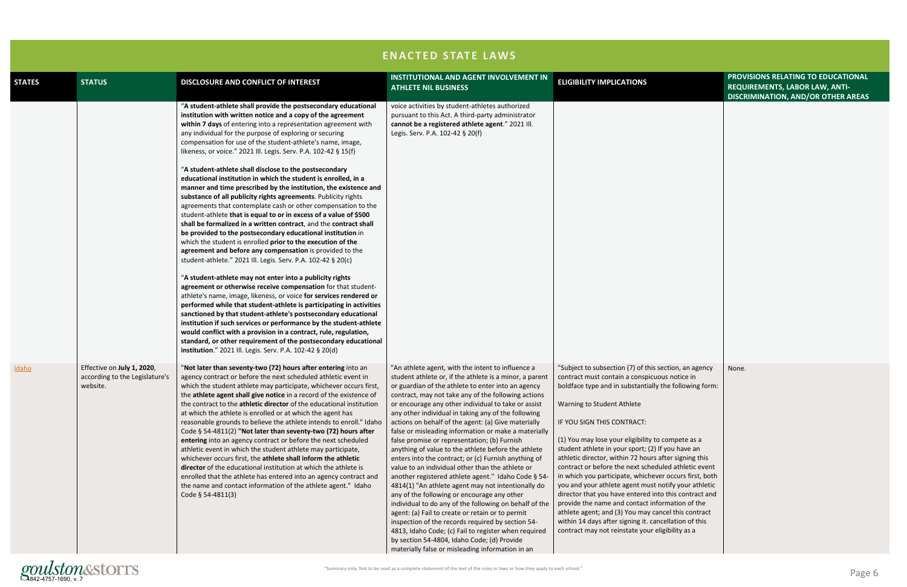|               | <b>ENACTED STATE LAWS</b>                                                |                                                                                                                                                                                                                                                                                                                                                                                                                                                                                                                                                                                                                                                                                                                                                                                                                                                                                                                                                                                                                                                                                                                                                                                                                                                                                                                                                                                                                                                                                                                                                                                                                                                                                                                                                         |                                                                                                                                                                                                                                                                                                                                                                                                                                                                                                                                                                                                                                                                                                                                                                                                                                                                                                                                                                                                                                                                                                                                                                     |                                                                                                                                                                                                                                                                                                                                                                                                                                                                                                                                                                                                                                                                                                                                                                                                                                                           |                                                                                                                   |
|---------------|--------------------------------------------------------------------------|---------------------------------------------------------------------------------------------------------------------------------------------------------------------------------------------------------------------------------------------------------------------------------------------------------------------------------------------------------------------------------------------------------------------------------------------------------------------------------------------------------------------------------------------------------------------------------------------------------------------------------------------------------------------------------------------------------------------------------------------------------------------------------------------------------------------------------------------------------------------------------------------------------------------------------------------------------------------------------------------------------------------------------------------------------------------------------------------------------------------------------------------------------------------------------------------------------------------------------------------------------------------------------------------------------------------------------------------------------------------------------------------------------------------------------------------------------------------------------------------------------------------------------------------------------------------------------------------------------------------------------------------------------------------------------------------------------------------------------------------------------|---------------------------------------------------------------------------------------------------------------------------------------------------------------------------------------------------------------------------------------------------------------------------------------------------------------------------------------------------------------------------------------------------------------------------------------------------------------------------------------------------------------------------------------------------------------------------------------------------------------------------------------------------------------------------------------------------------------------------------------------------------------------------------------------------------------------------------------------------------------------------------------------------------------------------------------------------------------------------------------------------------------------------------------------------------------------------------------------------------------------------------------------------------------------|-----------------------------------------------------------------------------------------------------------------------------------------------------------------------------------------------------------------------------------------------------------------------------------------------------------------------------------------------------------------------------------------------------------------------------------------------------------------------------------------------------------------------------------------------------------------------------------------------------------------------------------------------------------------------------------------------------------------------------------------------------------------------------------------------------------------------------------------------------------|-------------------------------------------------------------------------------------------------------------------|
| <b>STATES</b> | <b>STATUS</b>                                                            | DISCLOSURE AND CONFLICT OF INTEREST                                                                                                                                                                                                                                                                                                                                                                                                                                                                                                                                                                                                                                                                                                                                                                                                                                                                                                                                                                                                                                                                                                                                                                                                                                                                                                                                                                                                                                                                                                                                                                                                                                                                                                                     | <b>INSTITUTIONAL AND AGENT INVOLVEMENT IN</b><br><b>ATHLETE NIL BUSINESS</b>                                                                                                                                                                                                                                                                                                                                                                                                                                                                                                                                                                                                                                                                                                                                                                                                                                                                                                                                                                                                                                                                                        | <b>ELIGIBILITY IMPLICATIONS</b>                                                                                                                                                                                                                                                                                                                                                                                                                                                                                                                                                                                                                                                                                                                                                                                                                           | PROVISIONS RELATING TO EDUCATIONAL<br>REQUIREMENTS, LABOR LAW, ANTI-<br><b>DISCRIMINATION, AND/OR OTHER AREAS</b> |
|               |                                                                          | "A student-athlete shall provide the postsecondary educational<br>institution with written notice and a copy of the agreement<br>within 7 days of entering into a representation agreement with<br>any individual for the purpose of exploring or securing<br>compensation for use of the student-athlete's name, image,<br>likeness, or voice." 2021 Ill. Legis. Serv. P.A. 102-42 § 15(f)<br>"A student-athlete shall disclose to the postsecondary<br>educational institution in which the student is enrolled, in a<br>manner and time prescribed by the institution, the existence and<br>substance of all publicity rights agreements. Publicity rights<br>agreements that contemplate cash or other compensation to the<br>student-athlete that is equal to or in excess of a value of \$500<br>shall be formalized in a written contract, and the contract shall<br>be provided to the postsecondary educational institution in<br>which the student is enrolled prior to the execution of the<br>agreement and before any compensation is provided to the<br>student-athlete." 2021 Ill. Legis. Serv. P.A. 102-42 § 20(c)<br>"A student-athlete may not enter into a publicity rights<br>agreement or otherwise receive compensation for that student-<br>athlete's name, image, likeness, or voice for services rendered or<br>performed while that student-athlete is participating in activities<br>sanctioned by that student-athlete's postsecondary educational<br>institution if such services or performance by the student-athlete<br>would conflict with a provision in a contract, rule, regulation,<br>standard, or other requirement of the postsecondary educational<br>institution." 2021 Ill. Legis. Serv. P.A. 102-42 § 20(d) | voice activities by student-athletes authorized<br>pursuant to this Act. A third-party administrator<br>cannot be a registered athlete agent." 2021 Ill.<br>Legis. Serv. P.A. 102-42 § 20(f)                                                                                                                                                                                                                                                                                                                                                                                                                                                                                                                                                                                                                                                                                                                                                                                                                                                                                                                                                                        |                                                                                                                                                                                                                                                                                                                                                                                                                                                                                                                                                                                                                                                                                                                                                                                                                                                           |                                                                                                                   |
| Idaho         | Effective on July 1, 2020,<br>according to the Legislature's<br>website. | "Not later than seventy-two (72) hours after entering into an<br>agency contract or before the next scheduled athletic event in<br>which the student athlete may participate, whichever occurs first,<br>the athlete agent shall give notice in a record of the existence of<br>the contract to the athletic director of the educational institution<br>at which the athlete is enrolled or at which the agent has<br>reasonable grounds to believe the athlete intends to enroll." Idaho<br>Code § 54-4811(2) "Not later than seventy-two (72) hours after<br>entering into an agency contract or before the next scheduled<br>athletic event in which the student athlete may participate,<br>whichever occurs first, the athlete shall inform the athletic<br>director of the educational institution at which the athlete is<br>enrolled that the athlete has entered into an agency contract and<br>the name and contact information of the athlete agent." Idaho<br>Code § 54-4811(3)                                                                                                                                                                                                                                                                                                                                                                                                                                                                                                                                                                                                                                                                                                                                                             | "An athlete agent, with the intent to influence a<br>student athlete or, if the athlete is a minor, a parent<br>or guardian of the athlete to enter into an agency<br>contract, may not take any of the following actions<br>or encourage any other individual to take or assist<br>any other individual in taking any of the following<br>actions on behalf of the agent: (a) Give materially<br>false or misleading information or make a materially<br>false promise or representation; (b) Furnish<br>anything of value to the athlete before the athlete<br>enters into the contract; or (c) Furnish anything of<br>value to an individual other than the athlete or<br>another registered athlete agent." Idaho Code § 54-<br>4814(1) "An athlete agent may not intentionally do<br>any of the following or encourage any other<br>individual to do any of the following on behalf of the<br>agent: (a) Fail to create or retain or to permit<br>inspection of the records required by section 54-<br>4813, Idaho Code; (c) Fail to register when required<br>by section 54-4804, Idaho Code; (d) Provide<br>materially false or misleading information in an | "Subject to subsection (7) of this section, an agency<br>contract must contain a conspicuous notice in<br>boldface type and in substantially the following form:<br>Warning to Student Athlete<br>IF YOU SIGN THIS CONTRACT:<br>(1) You may lose your eligibility to compete as a<br>student athlete in your sport; (2) If you have an<br>athletic director, within 72 hours after signing this<br>contract or before the next scheduled athletic event<br>in which you participate, whichever occurs first, both<br>you and your athlete agent must notify your athletic<br>director that you have entered into this contract and<br>provide the name and contact information of the<br>athlete agent; and (3) You may cancel this contract<br>within 14 days after signing it. cancellation of this<br>contract may not reinstate your eligibility as a | None.                                                                                                             |

# gonulstones or laws or how they apply to each school."<br>4842-4757-1690, v. 7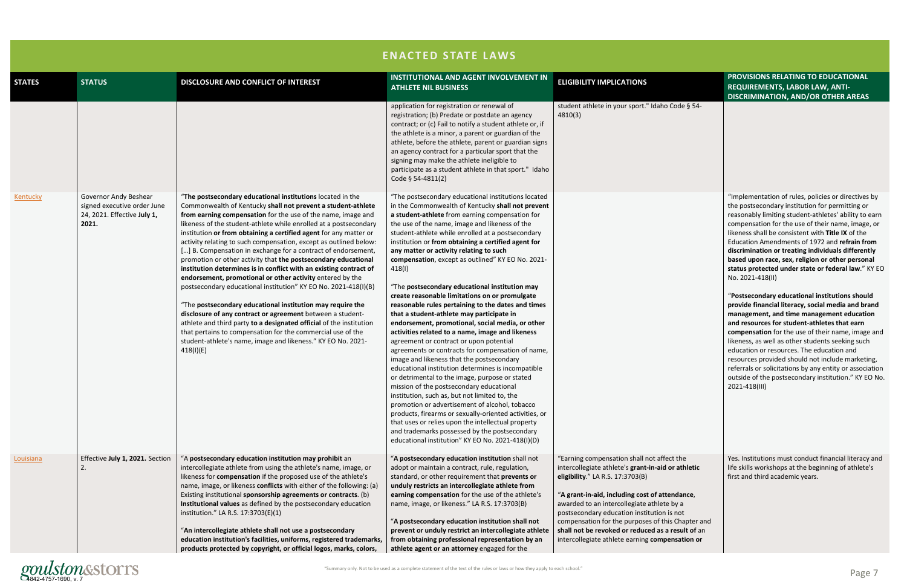

|               | <b>ENACTED STATE LAWS</b>                                                                    |                                                                                                                                                                                                                                                                                                                                                                                                                                                                                                                                                                                                                                                                                                                                                                                                                                                                                                                                                                                                                                                                                                   |                                                                                                                                                                                                                                                                                                                                                                                                                                                                                                                                                                                                                                                                                                                                                                                                                                                                                                                                                                                                                                                                                                                                                                                                                                                                                                                                                                              |                                                                                                                                                                                                                                                                                                                                                                                                                                                 |                                                                                                                                                                                                                                                                                                                                                                                                                                                                                                                                                                                                                                                                                                                                                                                                                                                                                                                                                                                                                                                                    |
|---------------|----------------------------------------------------------------------------------------------|---------------------------------------------------------------------------------------------------------------------------------------------------------------------------------------------------------------------------------------------------------------------------------------------------------------------------------------------------------------------------------------------------------------------------------------------------------------------------------------------------------------------------------------------------------------------------------------------------------------------------------------------------------------------------------------------------------------------------------------------------------------------------------------------------------------------------------------------------------------------------------------------------------------------------------------------------------------------------------------------------------------------------------------------------------------------------------------------------|------------------------------------------------------------------------------------------------------------------------------------------------------------------------------------------------------------------------------------------------------------------------------------------------------------------------------------------------------------------------------------------------------------------------------------------------------------------------------------------------------------------------------------------------------------------------------------------------------------------------------------------------------------------------------------------------------------------------------------------------------------------------------------------------------------------------------------------------------------------------------------------------------------------------------------------------------------------------------------------------------------------------------------------------------------------------------------------------------------------------------------------------------------------------------------------------------------------------------------------------------------------------------------------------------------------------------------------------------------------------------|-------------------------------------------------------------------------------------------------------------------------------------------------------------------------------------------------------------------------------------------------------------------------------------------------------------------------------------------------------------------------------------------------------------------------------------------------|--------------------------------------------------------------------------------------------------------------------------------------------------------------------------------------------------------------------------------------------------------------------------------------------------------------------------------------------------------------------------------------------------------------------------------------------------------------------------------------------------------------------------------------------------------------------------------------------------------------------------------------------------------------------------------------------------------------------------------------------------------------------------------------------------------------------------------------------------------------------------------------------------------------------------------------------------------------------------------------------------------------------------------------------------------------------|
| <b>STATES</b> | <b>STATUS</b>                                                                                | DISCLOSURE AND CONFLICT OF INTEREST                                                                                                                                                                                                                                                                                                                                                                                                                                                                                                                                                                                                                                                                                                                                                                                                                                                                                                                                                                                                                                                               | <b>INSTITUTIONAL AND AGENT INVOLVEMENT IN</b><br><b>ATHLETE NIL BUSINESS</b>                                                                                                                                                                                                                                                                                                                                                                                                                                                                                                                                                                                                                                                                                                                                                                                                                                                                                                                                                                                                                                                                                                                                                                                                                                                                                                 | <b>ELIGIBILITY IMPLICATIONS</b>                                                                                                                                                                                                                                                                                                                                                                                                                 | PROVISIONS RELATING TO EDUCATIONAL<br><b>REQUIREMENTS, LABOR LAW, ANTI-</b><br><b>DISCRIMINATION, AND/OR OTHER AREAS</b>                                                                                                                                                                                                                                                                                                                                                                                                                                                                                                                                                                                                                                                                                                                                                                                                                                                                                                                                           |
|               |                                                                                              |                                                                                                                                                                                                                                                                                                                                                                                                                                                                                                                                                                                                                                                                                                                                                                                                                                                                                                                                                                                                                                                                                                   | application for registration or renewal of<br>registration; (b) Predate or postdate an agency<br>contract; or (c) Fail to notify a student athlete or, if<br>the athlete is a minor, a parent or guardian of the<br>athlete, before the athlete, parent or guardian signs<br>an agency contract for a particular sport that the<br>signing may make the athlete ineligible to<br>participate as a student athlete in that sport." Idaho<br>Code § 54-4811(2)                                                                                                                                                                                                                                                                                                                                                                                                                                                                                                                                                                                                                                                                                                                                                                                                                                                                                                                 | student athlete in your sport." Idaho Code § 54-<br>4810(3)                                                                                                                                                                                                                                                                                                                                                                                     |                                                                                                                                                                                                                                                                                                                                                                                                                                                                                                                                                                                                                                                                                                                                                                                                                                                                                                                                                                                                                                                                    |
| Kentucky      | Governor Andy Beshear<br>signed executive order June<br>24, 2021. Effective July 1,<br>2021. | "The postsecondary educational institutions located in the<br>Commonwealth of Kentucky shall not prevent a student-athlete<br>from earning compensation for the use of the name, image and<br>likeness of the student-athlete while enrolled at a postsecondary<br>institution or from obtaining a certified agent for any matter or<br>activity relating to such compensation, except as outlined below:<br>[] B. Compensation in exchange for a contract of endorsement,<br>promotion or other activity that the postsecondary educational<br>institution determines is in conflict with an existing contract of<br>endorsement, promotional or other activity entered by the<br>postsecondary educational institution" KY EO No. 2021-418(I)(B)<br>"The postsecondary educational institution may require the<br>disclosure of any contract or agreement between a student-<br>athlete and third party to a designated official of the institution<br>that pertains to compensation for the commercial use of the<br>student-athlete's name, image and likeness." KY EO No. 2021-<br>418(I)(E) | "The postsecondary educational institutions located<br>in the Commonwealth of Kentucky shall not prevent<br>a student-athlete from earning compensation for<br>the use of the name, image and likeness of the<br>student-athlete while enrolled at a postsecondary<br>institution or from obtaining a certified agent for<br>any matter or activity relating to such<br>compensation, except as outlined" KY EO No. 2021-<br>418(I)<br>"The postsecondary educational institution may<br>create reasonable limitations on or promulgate<br>reasonable rules pertaining to the dates and times<br>that a student-athlete may participate in<br>endorsement, promotional, social media, or other<br>activities related to a name, image and likeness<br>agreement or contract or upon potential<br>agreements or contracts for compensation of name,<br>image and likeness that the postsecondary<br>educational institution determines is incompatible<br>or detrimental to the image, purpose or stated<br>mission of the postsecondary educational<br>institution, such as, but not limited to, the<br>promotion or advertisement of alcohol, tobacco<br>products, firearms or sexually-oriented activities, or<br>that uses or relies upon the intellectual property<br>and trademarks possessed by the postsecondary<br>educational institution" KY EO No. 2021-418(I)(D) |                                                                                                                                                                                                                                                                                                                                                                                                                                                 | "Implementation of rules, policies or directives by<br>the postsecondary institution for permitting or<br>reasonably limiting student-athletes' ability to earn<br>compensation for the use of their name, image, or<br>likeness shall be consistent with Title IX of the<br>Education Amendments of 1972 and refrain from<br>discrimination or treating individuals differently<br>based upon race, sex, religion or other personal<br>status protected under state or federal law." KY EO<br>No. 2021-418(II)<br>"Postsecondary educational institutions should<br>provide financial literacy, social media and brand<br>management, and time management education<br>and resources for student-athletes that earn<br>compensation for the use of their name, image and<br>likeness, as well as other students seeking such<br>education or resources. The education and<br>resources provided should not include marketing,<br>referrals or solicitations by any entity or association<br>outside of the postsecondary institution." KY EO No.<br>2021-418(III) |
| Louisiana     | Effective July 1, 2021. Section<br>2.                                                        | "A postsecondary education institution may prohibit an<br>intercollegiate athlete from using the athlete's name, image, or<br>likeness for compensation if the proposed use of the athlete's<br>name, image, or likeness conflicts with either of the following: (a)<br>Existing institutional sponsorship agreements or contracts. (b)<br>Institutional values as defined by the postsecondary education<br>institution." LA R.S. 17:3703(E)(1)<br>"An intercollegiate athlete shall not use a postsecondary<br>education institution's facilities, uniforms, registered trademarks,<br>products protected by copyright, or official logos, marks, colors,                                                                                                                                                                                                                                                                                                                                                                                                                                       | "A postsecondary education institution shall not<br>adopt or maintain a contract, rule, regulation,<br>standard, or other requirement that prevents or<br>unduly restricts an intercollegiate athlete from<br>earning compensation for the use of the athlete's<br>name, image, or likeness." LA R.S. 17:3703(B)<br>"A postsecondary education institution shall not<br>prevent or unduly restrict an intercollegiate athlete<br>from obtaining professional representation by an<br>athlete agent or an attorney engaged for the                                                                                                                                                                                                                                                                                                                                                                                                                                                                                                                                                                                                                                                                                                                                                                                                                                            | "Earning compensation shall not affect the<br>intercollegiate athlete's grant-in-aid or athletic<br>eligibility." LA R.S. 17:3703(B)<br>"A grant-in-aid, including cost of attendance,<br>awarded to an intercollegiate athlete by a<br>postsecondary education institution is not<br>compensation for the purposes of this Chapter and<br>shall not be revoked or reduced as a result of an<br>intercollegiate athlete earning compensation or | Yes. Institutions must conduct financial literacy and<br>life skills workshops at the beginning of athlete's<br>first and third academic years.                                                                                                                                                                                                                                                                                                                                                                                                                                                                                                                                                                                                                                                                                                                                                                                                                                                                                                                    |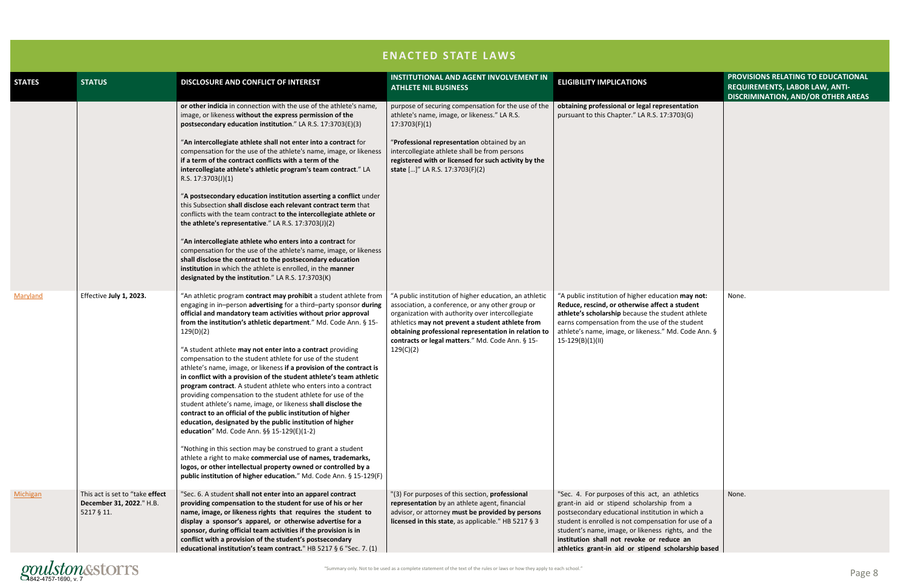

|               |                                                                           |                                                                                                                                                                                                                                                                                                                                                                                                                                                                                                                                                                                                                                                                                                                                                                                                                                                                                                                                                                                                                                                                                                                                                                                                                                                                                                                                                | <b>ENACTED STATE LAWS</b>                                                                                                                                                                                                                                                                                                                   |                                                                                                                                                                                                                                                                                                                                                                     |
|---------------|---------------------------------------------------------------------------|------------------------------------------------------------------------------------------------------------------------------------------------------------------------------------------------------------------------------------------------------------------------------------------------------------------------------------------------------------------------------------------------------------------------------------------------------------------------------------------------------------------------------------------------------------------------------------------------------------------------------------------------------------------------------------------------------------------------------------------------------------------------------------------------------------------------------------------------------------------------------------------------------------------------------------------------------------------------------------------------------------------------------------------------------------------------------------------------------------------------------------------------------------------------------------------------------------------------------------------------------------------------------------------------------------------------------------------------|---------------------------------------------------------------------------------------------------------------------------------------------------------------------------------------------------------------------------------------------------------------------------------------------------------------------------------------------|---------------------------------------------------------------------------------------------------------------------------------------------------------------------------------------------------------------------------------------------------------------------------------------------------------------------------------------------------------------------|
| <b>STATES</b> | <b>STATUS</b>                                                             | DISCLOSURE AND CONFLICT OF INTEREST                                                                                                                                                                                                                                                                                                                                                                                                                                                                                                                                                                                                                                                                                                                                                                                                                                                                                                                                                                                                                                                                                                                                                                                                                                                                                                            | <b>INSTITUTIONAL AND AGENT INVOLVEMENT IN</b><br><b>ATHLETE NIL BUSINESS</b>                                                                                                                                                                                                                                                                | <b>ELIGIBILITY IMPLICATIONS</b>                                                                                                                                                                                                                                                                                                                                     |
|               |                                                                           | or other indicia in connection with the use of the athlete's name,<br>image, or likeness without the express permission of the<br>postsecondary education institution." LA R.S. 17:3703(E)(3)<br>"An intercollegiate athlete shall not enter into a contract for<br>compensation for the use of the athlete's name, image, or likeness<br>if a term of the contract conflicts with a term of the<br>intercollegiate athlete's athletic program's team contract." LA<br>R.S. 17:3703(J)(1)<br>"A postsecondary education institution asserting a conflict under<br>this Subsection shall disclose each relevant contract term that<br>conflicts with the team contract to the intercollegiate athlete or<br>the athlete's representative." LA R.S. 17:3703(J)(2)<br>"An intercollegiate athlete who enters into a contract for<br>compensation for the use of the athlete's name, image, or likeness<br>shall disclose the contract to the postsecondary education                                                                                                                                                                                                                                                                                                                                                                              | purpose of securing compensation for the use of the<br>athlete's name, image, or likeness." LA R.S.<br>17:3703(F)(1)<br>"Professional representation obtained by an<br>intercollegiate athlete shall be from persons<br>registered with or licensed for such activity by the<br>state []" LA R.S. 17:3703(F)(2)                             | obtaining professional or legal representation<br>pursuant to this Chapter." LA R.S. 17:3703(G)                                                                                                                                                                                                                                                                     |
| Maryland      | Effective July 1, 2023.                                                   | institution in which the athlete is enrolled, in the manner<br>designated by the institution." LA R.S. 17:3703(K)<br>"An athletic program contract may prohibit a student athlete from<br>engaging in in-person advertising for a third-party sponsor during<br>official and mandatory team activities without prior approval<br>from the institution's athletic department." Md. Code Ann. § 15-<br>129(D)(2)<br>"A student athlete may not enter into a contract providing<br>compensation to the student athlete for use of the student<br>athlete's name, image, or likeness if a provision of the contract is<br>in conflict with a provision of the student athlete's team athletic<br>program contract. A student athlete who enters into a contract<br>providing compensation to the student athlete for use of the<br>student athlete's name, image, or likeness shall disclose the<br>contract to an official of the public institution of higher<br>education, designated by the public institution of higher<br>education" Md. Code Ann. §§ 15-129(E)(1-2)<br>"Nothing in this section may be construed to grant a student<br>athlete a right to make commercial use of names, trademarks,<br>logos, or other intellectual property owned or controlled by a<br>public institution of higher education." Md. Code Ann. § 15-129(F) | "A public institution of higher education, an athletic<br>association, a conference, or any other group or<br>organization with authority over intercollegiate<br>athletics may not prevent a student athlete from<br>obtaining professional representation in relation to<br>contracts or legal matters." Md. Code Ann. § 15-<br>129(C)(2) | "A public institution of higher education may not:<br>Reduce, rescind, or otherwise affect a student<br>athlete's scholarship because the student athlete<br>earns compensation from the use of the student<br>athlete's name, image, or likeness." Md. Code Ann. §<br>$15-129(B)(1)(II)$                                                                           |
| Michigan      | This act is set to "take effect<br>December 31, 2022." H.B.<br>5217 § 11. | "Sec. 6. A student shall not enter into an apparel contract<br>providing compensation to the student for use of his or her<br>name, image, or likeness rights that requires the student to<br>display a sponsor's apparel, or otherwise advertise for a<br>sponsor, during official team activities if the provision is in<br>conflict with a provision of the student's postsecondary<br>educational institution's team contract." HB 5217 § 6 "Sec. 7. (1)                                                                                                                                                                                                                                                                                                                                                                                                                                                                                                                                                                                                                                                                                                                                                                                                                                                                                   | "(3) For purposes of this section, professional<br>representation by an athlete agent, financial<br>advisor, or attorney must be provided by persons<br>licensed in this state, as applicable." HB 5217 § 3                                                                                                                                 | "Sec. 4. For purposes of this act, an athletics<br>grant-in aid or stipend scholarship from a<br>postsecondary educational institution in which a<br>student is enrolled is not compensation for use of a<br>student's name, image, or likeness rights, and the<br>institution shall not revoke or reduce an<br>athletics grant-in aid or stipend scholarship based |

|                                                                                                          | PROVISIONS RELATING TO EDUCATIONAL<br>REQUIREMENTS, LABOR LAW, ANTI-<br><b>DISCRIMINATION, AND/OR OTHER AREAS</b> |
|----------------------------------------------------------------------------------------------------------|-------------------------------------------------------------------------------------------------------------------|
| sentation<br>:3703(G)                                                                                    |                                                                                                                   |
| tion may not:<br>a student<br>udent athlete<br>the student<br>Md. Code Ann. §                            | None.                                                                                                             |
| athletics<br>from a<br>n in which a<br>ion for use of a<br>ights, and the<br>luce an<br>cholarship based | None.                                                                                                             |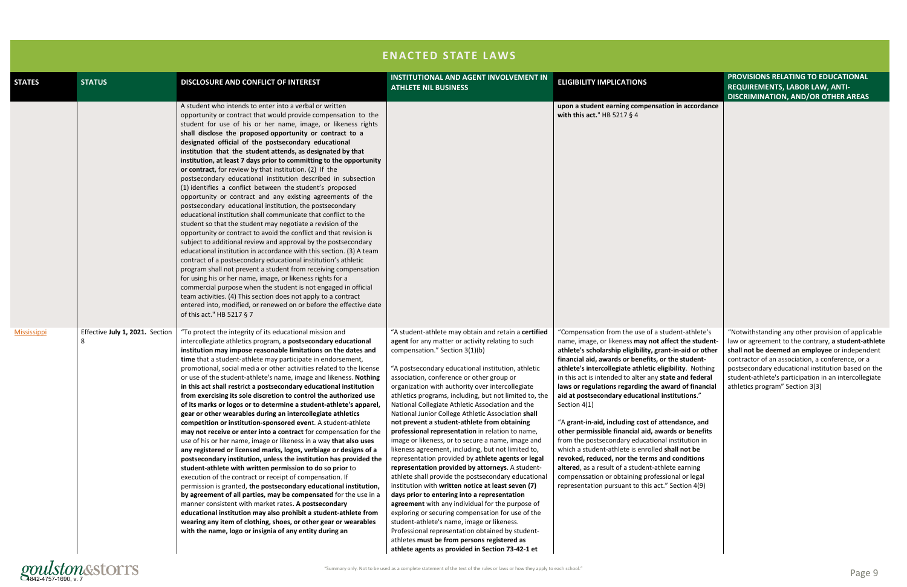

|                    | <b>ENACTED STATE LAWS</b>       |                                                                                                                                                                                                                                                                                                                                                                                                                                                                                                                                                                                                                                                                                                                                                                                                                                                                                                                                                                                                                                                                                                                                                                                                                                                                                                                                                                                                                                                                                                                                                                            |                                                                                                                                                                                                                                                                                                                                                                                                                                                                                                                                                                                                                                                                                                                                                                                                                                                                                                                                                                                                                                                                                                                                                                                                                                                                            |                                                                                                                                                                                                                                                                                                                                                                                                                                                                                                                                                                                                                                                                                                                                                                                                                                                                                                                    |                                                                                                                                                                                                                                                                                                                                                                   |
|--------------------|---------------------------------|----------------------------------------------------------------------------------------------------------------------------------------------------------------------------------------------------------------------------------------------------------------------------------------------------------------------------------------------------------------------------------------------------------------------------------------------------------------------------------------------------------------------------------------------------------------------------------------------------------------------------------------------------------------------------------------------------------------------------------------------------------------------------------------------------------------------------------------------------------------------------------------------------------------------------------------------------------------------------------------------------------------------------------------------------------------------------------------------------------------------------------------------------------------------------------------------------------------------------------------------------------------------------------------------------------------------------------------------------------------------------------------------------------------------------------------------------------------------------------------------------------------------------------------------------------------------------|----------------------------------------------------------------------------------------------------------------------------------------------------------------------------------------------------------------------------------------------------------------------------------------------------------------------------------------------------------------------------------------------------------------------------------------------------------------------------------------------------------------------------------------------------------------------------------------------------------------------------------------------------------------------------------------------------------------------------------------------------------------------------------------------------------------------------------------------------------------------------------------------------------------------------------------------------------------------------------------------------------------------------------------------------------------------------------------------------------------------------------------------------------------------------------------------------------------------------------------------------------------------------|--------------------------------------------------------------------------------------------------------------------------------------------------------------------------------------------------------------------------------------------------------------------------------------------------------------------------------------------------------------------------------------------------------------------------------------------------------------------------------------------------------------------------------------------------------------------------------------------------------------------------------------------------------------------------------------------------------------------------------------------------------------------------------------------------------------------------------------------------------------------------------------------------------------------|-------------------------------------------------------------------------------------------------------------------------------------------------------------------------------------------------------------------------------------------------------------------------------------------------------------------------------------------------------------------|
| <b>STATES</b>      | <b>STATUS</b>                   | DISCLOSURE AND CONFLICT OF INTEREST                                                                                                                                                                                                                                                                                                                                                                                                                                                                                                                                                                                                                                                                                                                                                                                                                                                                                                                                                                                                                                                                                                                                                                                                                                                                                                                                                                                                                                                                                                                                        | <b>INSTITUTIONAL AND AGENT INVOLVEMENT IN</b><br><b>ATHLETE NIL BUSINESS</b>                                                                                                                                                                                                                                                                                                                                                                                                                                                                                                                                                                                                                                                                                                                                                                                                                                                                                                                                                                                                                                                                                                                                                                                               | <b>ELIGIBILITY IMPLICATIONS</b>                                                                                                                                                                                                                                                                                                                                                                                                                                                                                                                                                                                                                                                                                                                                                                                                                                                                                    | PROVISIONS RELATING TO EDUCATIONAL<br><b>REQUIREMENTS, LABOR LAW, ANTI-</b><br><b>DISCRIMINATION, AND/OR OTHER AREAS</b>                                                                                                                                                                                                                                          |
|                    |                                 | A student who intends to enter into a verbal or written<br>opportunity or contract that would provide compensation to the<br>student for use of his or her name, image, or likeness rights<br>shall disclose the proposed opportunity or contract to a<br>designated official of the postsecondary educational<br>institution that the student attends, as designated by that<br>institution, at least 7 days prior to committing to the opportunity<br>or contract, for review by that institution. (2) If the<br>postsecondary educational institution described in subsection<br>(1) identifies a conflict between the student's proposed<br>opportunity or contract and any existing agreements of the<br>postsecondary educational institution, the postsecondary<br>educational institution shall communicate that conflict to the<br>student so that the student may negotiate a revision of the<br>opportunity or contract to avoid the conflict and that revision is<br>subject to additional review and approval by the postsecondary<br>educational institution in accordance with this section. (3) A team<br>contract of a postsecondary educational institution's athletic<br>program shall not prevent a student from receiving compensation<br>for using his or her name, image, or likeness rights for a<br>commercial purpose when the student is not engaged in official<br>team activities. (4) This section does not apply to a contract<br>entered into, modified, or renewed on or before the effective date<br>of this act." HB 5217 § 7           |                                                                                                                                                                                                                                                                                                                                                                                                                                                                                                                                                                                                                                                                                                                                                                                                                                                                                                                                                                                                                                                                                                                                                                                                                                                                            | upon a student earning compensation in accordance<br>with this act." HB 5217 $§$ 4                                                                                                                                                                                                                                                                                                                                                                                                                                                                                                                                                                                                                                                                                                                                                                                                                                 |                                                                                                                                                                                                                                                                                                                                                                   |
| <b>Mississippi</b> | Effective July 1, 2021. Section | "To protect the integrity of its educational mission and<br>intercollegiate athletics program, a postsecondary educational<br>institution may impose reasonable limitations on the dates and<br>time that a student-athlete may participate in endorsement,<br>promotional, social media or other activities related to the license<br>or use of the student-athlete's name, image and likeness. Nothing<br>in this act shall restrict a postsecondary educational institution<br>from exercising its sole discretion to control the authorized use<br>of its marks or logos or to determine a student-athlete's apparel,<br>gear or other wearables during an intercollegiate athletics<br>competition or institution-sponsored event. A student-athlete<br>may not receive or enter into a contract for compensation for the<br>use of his or her name, image or likeness in a way that also uses<br>any registered or licensed marks, logos, verbiage or designs of a<br>postsecondary institution, unless the institution has provided the<br>student-athlete with written permission to do so prior to<br>execution of the contract or receipt of compensation. If<br>permission is granted, the postsecondary educational institution,<br>by agreement of all parties, may be compensated for the use in a<br>manner consistent with market rates. A postsecondary<br>educational institution may also prohibit a student-athlete from<br>wearing any item of clothing, shoes, or other gear or wearables<br>with the name, logo or insignia of any entity during an | "A student-athlete may obtain and retain a certified<br>agent for any matter or activity relating to such<br>compensation." Section 3(1)(b)<br>"A postsecondary educational institution, athletic<br>association, conference or other group or<br>organization with authority over intercollegiate<br>athletics programs, including, but not limited to, the<br>National Collegiate Athletic Association and the<br>National Junior College Athletic Association shall<br>not prevent a student-athlete from obtaining<br>professional representation in relation to name,<br>image or likeness, or to secure a name, image and<br>likeness agreement, including, but not limited to,<br>representation provided by athlete agents or legal<br>representation provided by attorneys. A student-<br>athlete shall provide the postsecondary educational<br>institution with written notice at least seven (7)<br>days prior to entering into a representation<br>agreement with any individual for the purpose of<br>exploring or securing compensation for use of the<br>student-athlete's name, image or likeness.<br>Professional representation obtained by student-<br>athletes must be from persons registered as<br>athlete agents as provided in Section 73-42-1 et | "Compensation from the use of a student-athlete's<br>name, image, or likeness may not affect the student-<br>athlete's scholarship eligibility, grant-in-aid or other<br>financial aid, awards or benefits, or the student-<br>athlete's intercollegiate athletic eligibility. Nothing<br>in this act is intended to alter any state and federal<br>laws or regulations regarding the award of financial<br>aid at postsecondary educational institutions."<br>Section 4(1)<br>"A grant-in-aid, including cost of attendance, and<br>other permissible financial aid, awards or benefits<br>from the postsecondary educational institution in<br>which a student-athlete is enrolled shall not be<br>revoked, reduced, nor the terms and conditions<br>altered, as a result of a student-athlete earning<br>compenssation or obtaining professional or legal<br>representation pursuant to this act." Section 4(9) | "Notwithstanding any other provision of applicable<br>law or agreement to the contrary, a student-athlete<br>shall not be deemed an employee or independent<br>contractor of an association, a conference, or a<br>postsecondary educational institution based on the<br>student-athlete's participation in an intercollegiate<br>athletics program" Section 3(3) |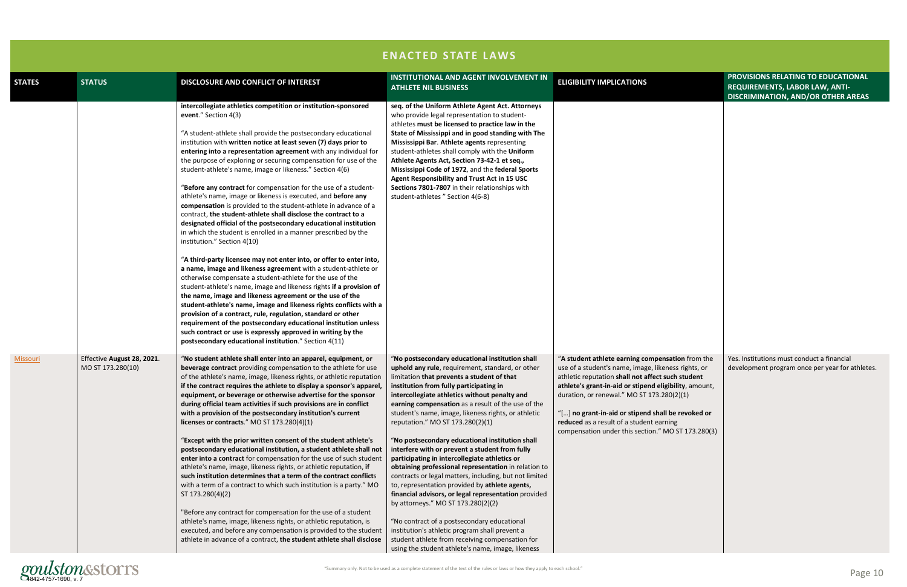|                 |                                                 | <b>ENACTED STATE LAWS</b>                                                                                                                                                                                                                                                                                                                                                                                                                                                                                                                                                                                                                                                                                                                                                                                                                                                                                                                                                                                                                                                                                                                                                                                                                                                                                                                                                                                                                                                                                                                                 |                                                                                                                                                                                                                                                                                                                                                                                                                                                                                                                                                                                                                                                                                                                                                                                                                                                                                                                                                                                                                                 |                                                                                                                                                                                                                                                                                                                                                                                                                              |
|-----------------|-------------------------------------------------|-----------------------------------------------------------------------------------------------------------------------------------------------------------------------------------------------------------------------------------------------------------------------------------------------------------------------------------------------------------------------------------------------------------------------------------------------------------------------------------------------------------------------------------------------------------------------------------------------------------------------------------------------------------------------------------------------------------------------------------------------------------------------------------------------------------------------------------------------------------------------------------------------------------------------------------------------------------------------------------------------------------------------------------------------------------------------------------------------------------------------------------------------------------------------------------------------------------------------------------------------------------------------------------------------------------------------------------------------------------------------------------------------------------------------------------------------------------------------------------------------------------------------------------------------------------|---------------------------------------------------------------------------------------------------------------------------------------------------------------------------------------------------------------------------------------------------------------------------------------------------------------------------------------------------------------------------------------------------------------------------------------------------------------------------------------------------------------------------------------------------------------------------------------------------------------------------------------------------------------------------------------------------------------------------------------------------------------------------------------------------------------------------------------------------------------------------------------------------------------------------------------------------------------------------------------------------------------------------------|------------------------------------------------------------------------------------------------------------------------------------------------------------------------------------------------------------------------------------------------------------------------------------------------------------------------------------------------------------------------------------------------------------------------------|
| <b>STATES</b>   | <b>STATUS</b>                                   | DISCLOSURE AND CONFLICT OF INTEREST                                                                                                                                                                                                                                                                                                                                                                                                                                                                                                                                                                                                                                                                                                                                                                                                                                                                                                                                                                                                                                                                                                                                                                                                                                                                                                                                                                                                                                                                                                                       | <b>INSTITUTIONAL AND AGENT INVOLVEMENT IN</b><br><b>ATHLETE NIL BUSINESS</b>                                                                                                                                                                                                                                                                                                                                                                                                                                                                                                                                                                                                                                                                                                                                                                                                                                                                                                                                                    | <b>ELIGIBILITY IMPLICATIONS</b>                                                                                                                                                                                                                                                                                                                                                                                              |
|                 |                                                 | intercollegiate athletics competition or institution-sponsored<br>event." Section 4(3)<br>"A student-athlete shall provide the postsecondary educational<br>institution with written notice at least seven (7) days prior to<br>entering into a representation agreement with any individual for<br>the purpose of exploring or securing compensation for use of the<br>student-athlete's name, image or likeness." Section 4(6)<br>"Before any contract for compensation for the use of a student-<br>athlete's name, image or likeness is executed, and before any<br>compensation is provided to the student-athlete in advance of a<br>contract, the student-athlete shall disclose the contract to a<br>designated official of the postsecondary educational institution<br>in which the student is enrolled in a manner prescribed by the<br>institution." Section 4(10)<br>"A third-party licensee may not enter into, or offer to enter into,<br>a name, image and likeness agreement with a student-athlete or<br>otherwise compensate a student-athlete for the use of the<br>student-athlete's name, image and likeness rights if a provision of<br>the name, image and likeness agreement or the use of the<br>student-athlete's name, image and likeness rights conflicts with a<br>provision of a contract, rule, regulation, standard or other<br>requirement of the postsecondary educational institution unless<br>such contract or use is expressly approved in writing by the<br>postsecondary educational institution." Section 4(11) | seq. of the Uniform Athlete Agent Act. Attorneys<br>who provide legal representation to student-<br>athletes must be licensed to practice law in the<br>State of Mississippi and in good standing with The<br>Mississippi Bar. Athlete agents representing<br>student-athletes shall comply with the Uniform<br>Athlete Agents Act, Section 73-42-1 et seq.,<br>Mississippi Code of 1972, and the federal Sports<br>Agent Responsibility and Trust Act in 15 USC<br>Sections 7801-7807 in their relationships with<br>student-athletes " Section 4(6-8)                                                                                                                                                                                                                                                                                                                                                                                                                                                                         |                                                                                                                                                                                                                                                                                                                                                                                                                              |
| <b>Missouri</b> | Effective August 28, 2021.<br>MO ST 173.280(10) | "No student athlete shall enter into an apparel, equipment, or<br>beverage contract providing compensation to the athlete for use<br>of the athlete's name, image, likeness rights, or athletic reputation<br>if the contract requires the athlete to display a sponsor's apparel,<br>equipment, or beverage or otherwise advertise for the sponsor<br>during official team activities if such provisions are in conflict<br>with a provision of the postsecondary institution's current<br>licenses or contracts." MO ST 173.280(4)(1)<br>"Except with the prior written consent of the student athlete's<br>postsecondary educational institution, a student athlete shall not<br>enter into a contract for compensation for the use of such student<br>athlete's name, image, likeness rights, or athletic reputation, if<br>such institution determines that a term of the contract conflicts<br>with a term of a contract to which such institution is a party." MO<br>ST 173.280(4)(2)<br>"Before any contract for compensation for the use of a student<br>athlete's name, image, likeness rights, or athletic reputation, is<br>executed, and before any compensation is provided to the student<br>athlete in advance of a contract, the student athlete shall disclose                                                                                                                                                                                                                                                                          | "No postsecondary educational institution shall<br>uphold any rule, requirement, standard, or other<br>limitation that prevents a student of that<br>institution from fully participating in<br>intercollegiate athletics without penalty and<br>earning compensation as a result of the use of the<br>student's name, image, likeness rights, or athletic<br>reputation." MO ST 173.280(2)(1)<br>"No postsecondary educational institution shall<br>interfere with or prevent a student from fully<br>participating in intercollegiate athletics or<br>obtaining professional representation in relation to<br>contracts or legal matters, including, but not limited<br>to, representation provided by athlete agents,<br>financial advisors, or legal representation provided<br>by attorneys." MO ST 173.280(2)(2)<br>"No contract of a postsecondary educational<br>institution's athletic program shall prevent a<br>student athlete from receiving compensation for<br>using the student athlete's name, image, likeness | "A student athlete earning compensation from the<br>use of a student's name, image, likeness rights, or<br>athletic reputation shall not affect such student<br>athlete's grant-in-aid or stipend eligibility, amount,<br>duration, or renewal." MO ST 173.280(2)(1)<br>"[] no grant-in-aid or stipend shall be revoked or<br>reduced as a result of a student earning<br>compensation under this section." MO ST 173.280(3) |

# gonulstones as a complete statement of the text of the rules or laws or how they apply to each school." Page 10

|                                                                                                                                         | PROVISIONS RELATING TO EDUCATIONAL<br>REQUIREMENTS, LABOR LAW, ANTI-<br>DISCRIMINATION, AND/OR OTHER AREAS |
|-----------------------------------------------------------------------------------------------------------------------------------------|------------------------------------------------------------------------------------------------------------|
|                                                                                                                                         |                                                                                                            |
| sation from the<br>ness rights, or<br>uch student<br><b>zibility</b> , amount,<br>30(2)(1)<br>be revoked or<br>hing<br>10 ST 173.280(3) | Yes. Institutions must conduct a financial<br>development program once per year for athletes.              |
|                                                                                                                                         |                                                                                                            |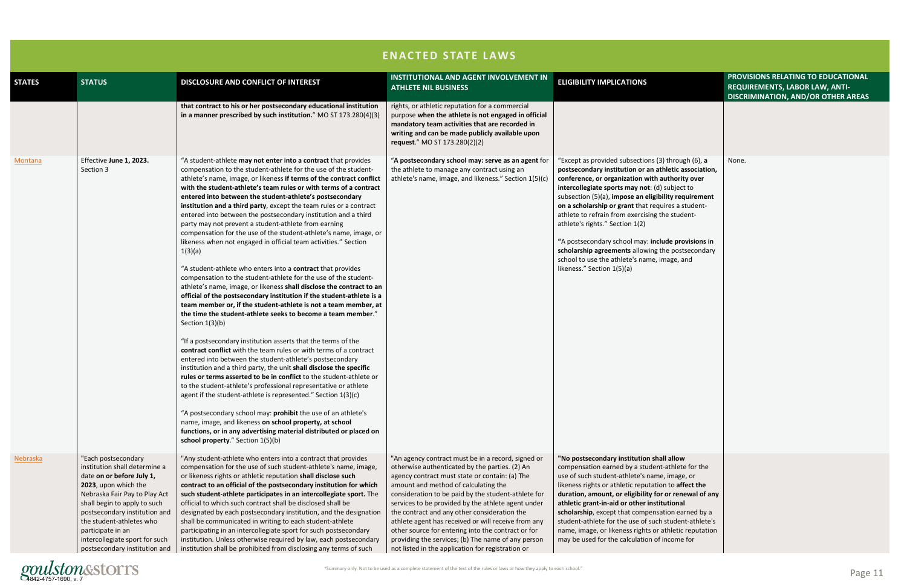

|                                                                                                                                                                                   | PROVISIONS RELATING TO EDUCATIONAL<br>REQUIREMENTS, LABOR LAW, ANTI-<br><b>DISCRIMINATION, AND/OR OTHER AREAS</b> |
|-----------------------------------------------------------------------------------------------------------------------------------------------------------------------------------|-------------------------------------------------------------------------------------------------------------------|
|                                                                                                                                                                                   |                                                                                                                   |
| through (6), a<br>letic association,<br>uthority over<br>subject to<br>ity requirement<br>res a student-<br>e student-                                                            | None.                                                                                                             |
| de provisions in<br>e postsecondary<br>age, and                                                                                                                                   |                                                                                                                   |
|                                                                                                                                                                                   |                                                                                                                   |
| <b>l</b> allow<br>athlete for the<br>image, or<br>to affect the<br>or renewal of any<br><b>itional</b><br>ion earned by a<br>student-athlete's<br>thletic reputation<br>ncome for |                                                                                                                   |

|                 |                                                                                                                                                                                                                                                                                                                                 |                                                                                                                                                                                                                                                                                                                                                                                                                                                                                                                                                                                                                                                                                                                                                                                                                                                                                                                                                                                                                                                                                                                                                                                                                                                                                                                                                                                                                                                                                                                                                                                                                                                                                                                                                                                                                                                                     | <b>ENACTED STATE LAWS</b>                                                                                                                                                                                                                                                                                                                                                                                                                                                                                                                                                           |                                                                                                                                                                                                                                                                                                                                                                                                                                                                                                                                                                                                               |
|-----------------|---------------------------------------------------------------------------------------------------------------------------------------------------------------------------------------------------------------------------------------------------------------------------------------------------------------------------------|---------------------------------------------------------------------------------------------------------------------------------------------------------------------------------------------------------------------------------------------------------------------------------------------------------------------------------------------------------------------------------------------------------------------------------------------------------------------------------------------------------------------------------------------------------------------------------------------------------------------------------------------------------------------------------------------------------------------------------------------------------------------------------------------------------------------------------------------------------------------------------------------------------------------------------------------------------------------------------------------------------------------------------------------------------------------------------------------------------------------------------------------------------------------------------------------------------------------------------------------------------------------------------------------------------------------------------------------------------------------------------------------------------------------------------------------------------------------------------------------------------------------------------------------------------------------------------------------------------------------------------------------------------------------------------------------------------------------------------------------------------------------------------------------------------------------------------------------------------------------|-------------------------------------------------------------------------------------------------------------------------------------------------------------------------------------------------------------------------------------------------------------------------------------------------------------------------------------------------------------------------------------------------------------------------------------------------------------------------------------------------------------------------------------------------------------------------------------|---------------------------------------------------------------------------------------------------------------------------------------------------------------------------------------------------------------------------------------------------------------------------------------------------------------------------------------------------------------------------------------------------------------------------------------------------------------------------------------------------------------------------------------------------------------------------------------------------------------|
| <b>STATES</b>   | <b>STATUS</b>                                                                                                                                                                                                                                                                                                                   | DISCLOSURE AND CONFLICT OF INTEREST                                                                                                                                                                                                                                                                                                                                                                                                                                                                                                                                                                                                                                                                                                                                                                                                                                                                                                                                                                                                                                                                                                                                                                                                                                                                                                                                                                                                                                                                                                                                                                                                                                                                                                                                                                                                                                 | <b>INSTITUTIONAL AND AGENT INVOLVEMENT IN</b><br><b>ATHLETE NIL BUSINESS</b>                                                                                                                                                                                                                                                                                                                                                                                                                                                                                                        | <b>ELIGIBILITY IMPLICATIONS</b>                                                                                                                                                                                                                                                                                                                                                                                                                                                                                                                                                                               |
|                 |                                                                                                                                                                                                                                                                                                                                 | that contract to his or her postsecondary educational institution<br>in a manner prescribed by such institution." MO ST 173.280(4)(3)                                                                                                                                                                                                                                                                                                                                                                                                                                                                                                                                                                                                                                                                                                                                                                                                                                                                                                                                                                                                                                                                                                                                                                                                                                                                                                                                                                                                                                                                                                                                                                                                                                                                                                                               | rights, or athletic reputation for a commercial<br>purpose when the athlete is not engaged in official<br>mandatory team activities that are recorded in<br>writing and can be made publicly available upon<br>request." MO ST 173.280(2)(2)                                                                                                                                                                                                                                                                                                                                        |                                                                                                                                                                                                                                                                                                                                                                                                                                                                                                                                                                                                               |
| <b>Montana</b>  | Effective June 1, 2023.<br>Section 3                                                                                                                                                                                                                                                                                            | "A student-athlete may not enter into a contract that provides<br>compensation to the student-athlete for the use of the student-<br>athlete's name, image, or likeness if terms of the contract conflict<br>with the student-athlete's team rules or with terms of a contract<br>entered into between the student-athlete's postsecondary<br>institution and a third party, except the team rules or a contract<br>entered into between the postsecondary institution and a third<br>party may not prevent a student-athlete from earning<br>compensation for the use of the student-athlete's name, image, or<br>likeness when not engaged in official team activities." Section<br>1(3)(a)<br>"A student-athlete who enters into a contract that provides<br>compensation to the student-athlete for the use of the student-<br>athlete's name, image, or likeness shall disclose the contract to an<br>official of the postsecondary institution if the student-athlete is a<br>team member or, if the student-athlete is not a team member, at<br>the time the student-athlete seeks to become a team member."<br>Section $1(3)(b)$<br>"If a postsecondary institution asserts that the terms of the<br>contract conflict with the team rules or with terms of a contract<br>entered into between the student-athlete's postsecondary<br>institution and a third party, the unit shall disclose the specific<br>rules or terms asserted to be in conflict to the student-athlete or<br>to the student-athlete's professional representative or athlete<br>agent if the student-athlete is represented." Section 1(3)(c)<br>"A postsecondary school may: prohibit the use of an athlete's<br>name, image, and likeness on school property, at school<br>functions, or in any advertising material distributed or placed on<br>school property." Section 1(5)(b) | "A postsecondary school may: serve as an agent for<br>the athlete to manage any contract using an<br>athlete's name, image, and likeness." Section 1(5)(c)                                                                                                                                                                                                                                                                                                                                                                                                                          | "Except as provided subsections (3) through (6), a<br>postsecondary institution or an athletic association,<br>conference, or organization with authority over<br>intercollegiate sports may not: (d) subject to<br>subsection (5)(a), impose an eligibility requirement<br>on a scholarship or grant that requires a student-<br>athlete to refrain from exercising the student-<br>athlete's rights." Section 1(2)<br>"A postsecondary school may: include provisions in<br>scholarship agreements allowing the postsecondary<br>school to use the athlete's name, image, and<br>likeness." Section 1(5)(a) |
| <u>Nebraska</u> | "Each postsecondary<br>institution shall determine a<br>date on or before July 1,<br>2023, upon which the<br>Nebraska Fair Pay to Play Act<br>shall begin to apply to such<br>postsecondary institution and<br>the student-athletes who<br>participate in an<br>intercollegiate sport for such<br>postsecondary institution and | "Any student-athlete who enters into a contract that provides<br>compensation for the use of such student-athlete's name, image,<br>or likeness rights or athletic reputation shall disclose such<br>contract to an official of the postsecondary institution for which<br>such student-athlete participates in an intercollegiate sport. The<br>official to which such contract shall be disclosed shall be<br>designated by each postsecondary institution, and the designation<br>shall be communicated in writing to each student-athlete<br>participating in an intercollegiate sport for such postsecondary<br>institution. Unless otherwise required by law, each postsecondary<br>institution shall be prohibited from disclosing any terms of such                                                                                                                                                                                                                                                                                                                                                                                                                                                                                                                                                                                                                                                                                                                                                                                                                                                                                                                                                                                                                                                                                                         | "An agency contract must be in a record, signed or<br>otherwise authenticated by the parties. (2) An<br>agency contract must state or contain: (a) The<br>amount and method of calculating the<br>consideration to be paid by the student-athlete for<br>services to be provided by the athlete agent under<br>the contract and any other consideration the<br>athlete agent has received or will receive from any<br>other source for entering into the contract or for<br>providing the services; (b) The name of any person<br>not listed in the application for registration or | "No postsecondary institution shall allow<br>compensation earned by a student-athlete for the<br>use of such student-athlete's name, image, or<br>likeness rights or athletic reputation to affect the<br>duration, amount, or eligibility for or renewal of any<br>athletic grant-in-aid or other institutional<br>scholarship, except that compensation earned by a<br>student-athlete for the use of such student-athlete's<br>name, image, or likeness rights or athletic reputation<br>may be used for the calculation of income for                                                                     |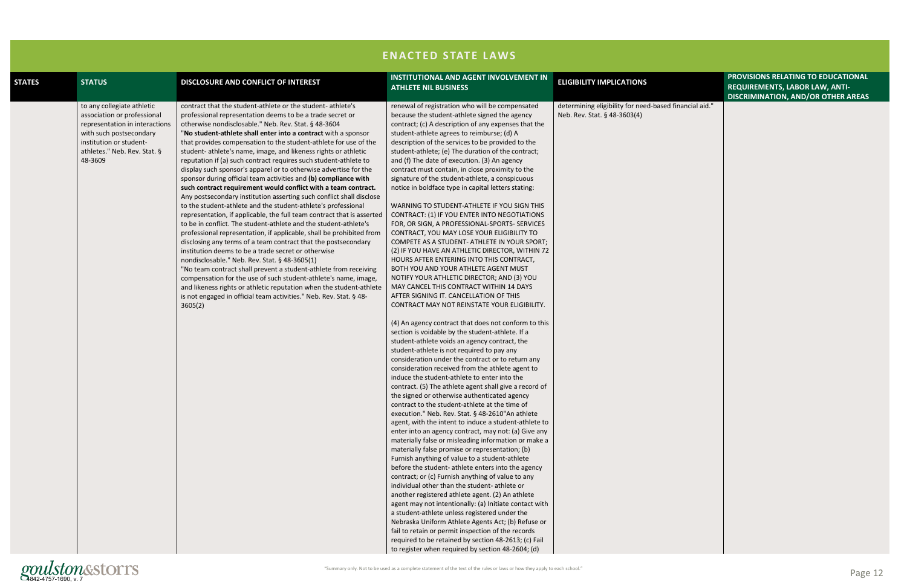

|                   | PROVISIONS RELATING TO EDUCATIONAL<br>REQUIREMENTS, LABOR LAW, ANTI-<br><b>DISCRIMINATION, AND/OR OTHER AREAS</b> |
|-------------------|-------------------------------------------------------------------------------------------------------------------|
| d financial aid." |                                                                                                                   |
|                   |                                                                                                                   |
|                   |                                                                                                                   |
|                   |                                                                                                                   |
|                   |                                                                                                                   |
|                   |                                                                                                                   |
|                   |                                                                                                                   |
|                   |                                                                                                                   |
|                   |                                                                                                                   |
|                   |                                                                                                                   |
|                   |                                                                                                                   |
|                   |                                                                                                                   |
|                   |                                                                                                                   |
|                   |                                                                                                                   |
|                   |                                                                                                                   |
|                   |                                                                                                                   |
|                   |                                                                                                                   |
|                   |                                                                                                                   |
|                   |                                                                                                                   |
|                   |                                                                                                                   |
|                   |                                                                                                                   |
|                   |                                                                                                                   |
|                   |                                                                                                                   |
|                   |                                                                                                                   |
|                   |                                                                                                                   |

|               |                                                                                                                                                                                              |                                                                                                                                                                                                                                                                                                                                                                                                                                                                                                                                                                                                                                                                                                                                                                                                                                                                                                                                                                                                                                                                                                                                                                                                                                                                                                                                                                                                                                                                                                               | <b>ENACTED STATE LAWS</b>                                                                                                                                                                                                                                                                                                                                                                                                                                                                                                                                                                                                                                                                                                                                                                                                                                                                                                                                                                                                                                                                                                                                                                                                                                                                                                                                                                                                                                                                                                                                                                                                                                                                                                                                                                                                                                                                                                                                                                                                                                                                                                                                                                                                                                                                                                                                                                                                                                                                                                     |                                                                                        |
|---------------|----------------------------------------------------------------------------------------------------------------------------------------------------------------------------------------------|---------------------------------------------------------------------------------------------------------------------------------------------------------------------------------------------------------------------------------------------------------------------------------------------------------------------------------------------------------------------------------------------------------------------------------------------------------------------------------------------------------------------------------------------------------------------------------------------------------------------------------------------------------------------------------------------------------------------------------------------------------------------------------------------------------------------------------------------------------------------------------------------------------------------------------------------------------------------------------------------------------------------------------------------------------------------------------------------------------------------------------------------------------------------------------------------------------------------------------------------------------------------------------------------------------------------------------------------------------------------------------------------------------------------------------------------------------------------------------------------------------------|-------------------------------------------------------------------------------------------------------------------------------------------------------------------------------------------------------------------------------------------------------------------------------------------------------------------------------------------------------------------------------------------------------------------------------------------------------------------------------------------------------------------------------------------------------------------------------------------------------------------------------------------------------------------------------------------------------------------------------------------------------------------------------------------------------------------------------------------------------------------------------------------------------------------------------------------------------------------------------------------------------------------------------------------------------------------------------------------------------------------------------------------------------------------------------------------------------------------------------------------------------------------------------------------------------------------------------------------------------------------------------------------------------------------------------------------------------------------------------------------------------------------------------------------------------------------------------------------------------------------------------------------------------------------------------------------------------------------------------------------------------------------------------------------------------------------------------------------------------------------------------------------------------------------------------------------------------------------------------------------------------------------------------------------------------------------------------------------------------------------------------------------------------------------------------------------------------------------------------------------------------------------------------------------------------------------------------------------------------------------------------------------------------------------------------------------------------------------------------------------------------------------------------|----------------------------------------------------------------------------------------|
| <b>STATES</b> | <b>STATUS</b>                                                                                                                                                                                | DISCLOSURE AND CONFLICT OF INTEREST                                                                                                                                                                                                                                                                                                                                                                                                                                                                                                                                                                                                                                                                                                                                                                                                                                                                                                                                                                                                                                                                                                                                                                                                                                                                                                                                                                                                                                                                           | INSTITUTIONAL AND AGENT INVOLVEMENT IN<br><b>ATHLETE NIL BUSINESS</b>                                                                                                                                                                                                                                                                                                                                                                                                                                                                                                                                                                                                                                                                                                                                                                                                                                                                                                                                                                                                                                                                                                                                                                                                                                                                                                                                                                                                                                                                                                                                                                                                                                                                                                                                                                                                                                                                                                                                                                                                                                                                                                                                                                                                                                                                                                                                                                                                                                                         | <b>ELIGIBILITY IMPLICATIONS</b>                                                        |
|               | to any collegiate athletic<br>association or professional<br>representation in interactions<br>with such postsecondary<br>institution or student-<br>athletes." Neb. Rev. Stat. §<br>48-3609 | contract that the student-athlete or the student-athlete's<br>professional representation deems to be a trade secret or<br>otherwise nondisclosable." Neb. Rev. Stat. § 48-3604<br>"No student-athlete shall enter into a contract with a sponsor<br>that provides compensation to the student-athlete for use of the<br>student- athlete's name, image, and likeness rights or athletic<br>reputation if (a) such contract requires such student-athlete to<br>display such sponsor's apparel or to otherwise advertise for the<br>sponsor during official team activities and (b) compliance with<br>such contract requirement would conflict with a team contract.<br>Any postsecondary institution asserting such conflict shall disclose<br>to the student-athlete and the student-athlete's professional<br>representation, if applicable, the full team contract that is asserted<br>to be in conflict. The student-athlete and the student-athlete's<br>professional representation, if applicable, shall be prohibited from<br>disclosing any terms of a team contract that the postsecondary<br>institution deems to be a trade secret or otherwise<br>nondisclosable." Neb. Rev. Stat. § 48-3605(1)<br>"No team contract shall prevent a student-athlete from receiving<br>compensation for the use of such student-athlete's name, image,<br>and likeness rights or athletic reputation when the student-athlete<br>is not engaged in official team activities." Neb. Rev. Stat. § 48-<br>3605(2) | renewal of registration who will be compensated<br>because the student-athlete signed the agency<br>contract; (c) A description of any expenses that the<br>student-athlete agrees to reimburse; (d) A<br>description of the services to be provided to the<br>student-athlete; (e) The duration of the contract;<br>and (f) The date of execution. (3) An agency<br>contract must contain, in close proximity to the<br>signature of the student-athlete, a conspicuous<br>notice in boldface type in capital letters stating:<br>WARNING TO STUDENT-ATHLETE IF YOU SIGN THIS<br>CONTRACT: (1) IF YOU ENTER INTO NEGOTIATIONS<br>FOR, OR SIGN, A PROFESSIONAL-SPORTS- SERVICES<br>CONTRACT, YOU MAY LOSE YOUR ELIGIBILITY TO<br>COMPETE AS A STUDENT- ATHLETE IN YOUR SPORT;<br>(2) IF YOU HAVE AN ATHLETIC DIRECTOR, WITHIN 72<br>HOURS AFTER ENTERING INTO THIS CONTRACT,<br>BOTH YOU AND YOUR ATHLETE AGENT MUST<br>NOTIFY YOUR ATHLETIC DIRECTOR; AND (3) YOU<br>MAY CANCEL THIS CONTRACT WITHIN 14 DAYS<br>AFTER SIGNING IT. CANCELLATION OF THIS<br>CONTRACT MAY NOT REINSTATE YOUR ELIGIBILITY.<br>(4) An agency contract that does not conform to this<br>section is voidable by the student-athlete. If a<br>student-athlete voids an agency contract, the<br>student-athlete is not required to pay any<br>consideration under the contract or to return any<br>consideration received from the athlete agent to<br>induce the student-athlete to enter into the<br>contract. (5) The athlete agent shall give a record of<br>the signed or otherwise authenticated agency<br>contract to the student-athlete at the time of<br>execution." Neb. Rev. Stat. § 48-2610"An athlete<br>agent, with the intent to induce a student-athlete to<br>enter into an agency contract, may not: (a) Give any<br>materially false or misleading information or make a<br>materially false promise or representation; (b)<br>Furnish anything of value to a student-athlete<br>before the student- athlete enters into the agency<br>contract; or (c) Furnish anything of value to any<br>individual other than the student- athlete or<br>another registered athlete agent. (2) An athlete<br>agent may not intentionally: (a) Initiate contact with<br>a student-athlete unless registered under the<br>Nebraska Uniform Athlete Agents Act; (b) Refuse or<br>fail to retain or permit inspection of the records<br>required to be retained by section 48-2613; (c) Fail<br>to register when required by section 48-2604; (d) | determining eligibility for need-based financial aid."<br>Neb. Rev. Stat. § 48-3603(4) |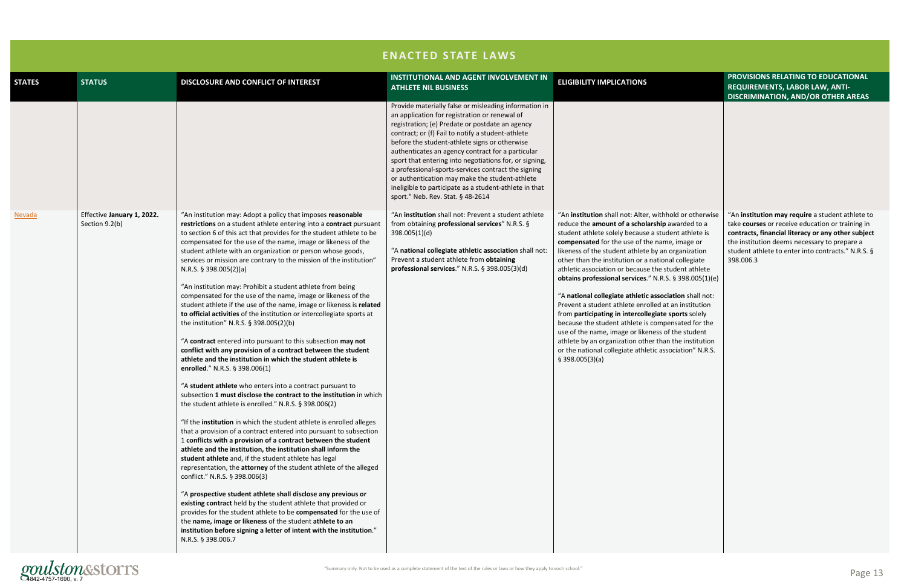|                                                                                                                                                                                                                                                                                                           | PROVISIONS RELATING TO EDUCATIONAL<br>REQUIREMENTS, LABOR LAW, ANTI-<br><b>DISCRIMINATION, AND/OR OTHER AREAS</b>                                                                                                                                                             |
|-----------------------------------------------------------------------------------------------------------------------------------------------------------------------------------------------------------------------------------------------------------------------------------------------------------|-------------------------------------------------------------------------------------------------------------------------------------------------------------------------------------------------------------------------------------------------------------------------------|
|                                                                                                                                                                                                                                                                                                           |                                                                                                                                                                                                                                                                               |
| hhold or otherwise<br>p awarded to a<br>udent athlete is<br>me, image or<br>n organization<br>onal collegiate<br>student athlete<br>8.S. § 398.005(1)(e)<br>ociation shall not:<br>at an institution<br>e sports solely<br>pensated for the<br>of the student<br>an the institution<br>ssociation" N.R.S. | "An institution may require a student athlete to<br>take courses or receive education or training in<br>contracts, financial literacy or any other subject<br>the institution deems necessary to prepare a<br>student athlete to enter into contracts." N.R.S. §<br>398.006.3 |
|                                                                                                                                                                                                                                                                                                           |                                                                                                                                                                                                                                                                               |

|               |                                              |                                                                                                                                                                                                                                                                                                                                                                                                                                                                                                                                                                                                                                                                                                                                                                                                                                                                                                                                                                                                                                                                                                                                                                                                                                                                                                                                                                                                                                                                                                                                                                                                                                                                                                                                                                                                                                                                                                                                                                                                                              | <b>ENACTED STATE LAWS</b>                                                                                                                                                                                                                                                                                                                                                                                                                                                                                                                                                              |                                                                                                                                                                                                                                                                                                                                                                                                                                                                                                                                                                                                                                                                                                                                                                                                                                                                               |
|---------------|----------------------------------------------|------------------------------------------------------------------------------------------------------------------------------------------------------------------------------------------------------------------------------------------------------------------------------------------------------------------------------------------------------------------------------------------------------------------------------------------------------------------------------------------------------------------------------------------------------------------------------------------------------------------------------------------------------------------------------------------------------------------------------------------------------------------------------------------------------------------------------------------------------------------------------------------------------------------------------------------------------------------------------------------------------------------------------------------------------------------------------------------------------------------------------------------------------------------------------------------------------------------------------------------------------------------------------------------------------------------------------------------------------------------------------------------------------------------------------------------------------------------------------------------------------------------------------------------------------------------------------------------------------------------------------------------------------------------------------------------------------------------------------------------------------------------------------------------------------------------------------------------------------------------------------------------------------------------------------------------------------------------------------------------------------------------------------|----------------------------------------------------------------------------------------------------------------------------------------------------------------------------------------------------------------------------------------------------------------------------------------------------------------------------------------------------------------------------------------------------------------------------------------------------------------------------------------------------------------------------------------------------------------------------------------|-------------------------------------------------------------------------------------------------------------------------------------------------------------------------------------------------------------------------------------------------------------------------------------------------------------------------------------------------------------------------------------------------------------------------------------------------------------------------------------------------------------------------------------------------------------------------------------------------------------------------------------------------------------------------------------------------------------------------------------------------------------------------------------------------------------------------------------------------------------------------------|
| <b>STATES</b> | <b>STATUS</b>                                | DISCLOSURE AND CONFLICT OF INTEREST                                                                                                                                                                                                                                                                                                                                                                                                                                                                                                                                                                                                                                                                                                                                                                                                                                                                                                                                                                                                                                                                                                                                                                                                                                                                                                                                                                                                                                                                                                                                                                                                                                                                                                                                                                                                                                                                                                                                                                                          | <b>INSTITUTIONAL AND AGENT INVOLVEMENT IN</b><br><b>ATHLETE NIL BUSINESS</b>                                                                                                                                                                                                                                                                                                                                                                                                                                                                                                           | <b>ELIGIBILITY IMPLICATIONS</b>                                                                                                                                                                                                                                                                                                                                                                                                                                                                                                                                                                                                                                                                                                                                                                                                                                               |
|               |                                              |                                                                                                                                                                                                                                                                                                                                                                                                                                                                                                                                                                                                                                                                                                                                                                                                                                                                                                                                                                                                                                                                                                                                                                                                                                                                                                                                                                                                                                                                                                                                                                                                                                                                                                                                                                                                                                                                                                                                                                                                                              | Provide materially false or misleading information in<br>an application for registration or renewal of<br>registration; (e) Predate or postdate an agency<br>contract; or (f) Fail to notify a student-athlete<br>before the student-athlete signs or otherwise<br>authenticates an agency contract for a particular<br>sport that entering into negotiations for, or signing,<br>a professional-sports-services contract the signing<br>or authentication may make the student-athlete<br>ineligible to participate as a student-athlete in that<br>sport." Neb. Rev. Stat. § 48-2614 |                                                                                                                                                                                                                                                                                                                                                                                                                                                                                                                                                                                                                                                                                                                                                                                                                                                                               |
| <b>Nevada</b> | Effective January 1, 2022.<br>Section 9.2(b) | "An institution may: Adopt a policy that imposes reasonable<br>restrictions on a student athlete entering into a contract pursuant<br>to section 6 of this act that provides for the student athlete to be<br>compensated for the use of the name, image or likeness of the<br>student athlete with an organization or person whose goods,<br>services or mission are contrary to the mission of the institution"<br>N.R.S. $§$ 398.005(2)(a)<br>"An institution may: Prohibit a student athlete from being<br>compensated for the use of the name, image or likeness of the<br>student athlete if the use of the name, image or likeness is related<br>to official activities of the institution or intercollegiate sports at<br>the institution" N.R.S. § 398.005(2)(b)<br>"A contract entered into pursuant to this subsection may not<br>conflict with any provision of a contract between the student<br>athlete and the institution in which the student athlete is<br>enrolled." N.R.S. § 398.006(1)<br>"A student athlete who enters into a contract pursuant to<br>subsection 1 must disclose the contract to the institution in which<br>the student athlete is enrolled." N.R.S. § 398.006(2)<br>"If the institution in which the student athlete is enrolled alleges<br>that a provision of a contract entered into pursuant to subsection<br>1 conflicts with a provision of a contract between the student<br>athlete and the institution, the institution shall inform the<br>student athlete and, if the student athlete has legal<br>representation, the attorney of the student athlete of the alleged<br>conflict." N.R.S. § 398.006(3)<br>"A prospective student athlete shall disclose any previous or<br>existing contract held by the student athlete that provided or<br>provides for the student athlete to be compensated for the use of<br>the name, image or likeness of the student athlete to an<br>institution before signing a letter of intent with the institution."<br>N.R.S. § 398.006.7 | "An institution shall not: Prevent a student athlete<br>from obtaining professional services" N.R.S. §<br>398.005(1)(d)<br>"A national collegiate athletic association shall not:<br>Prevent a student athlete from obtaining<br>professional services." N.R.S. § 398.005(3)(d)                                                                                                                                                                                                                                                                                                        | "An institution shall not: Alter, withhold or otherwise<br>reduce the amount of a scholarship awarded to a<br>student athlete solely because a student athlete is<br>compensated for the use of the name, image or<br>likeness of the student athlete by an organization<br>other than the institution or a national collegiate<br>athletic association or because the student athlete<br>obtains professional services." N.R.S. § 398.005(1)(e)<br>"A national collegiate athletic association shall not:<br>Prevent a student athlete enrolled at an institution<br>from participating in intercollegiate sports solely<br>because the student athlete is compensated for the<br>use of the name, image or likeness of the student<br>athlete by an organization other than the institution<br>or the national collegiate athletic association" N.R.S.<br>$§$ 398.005(3)(a) |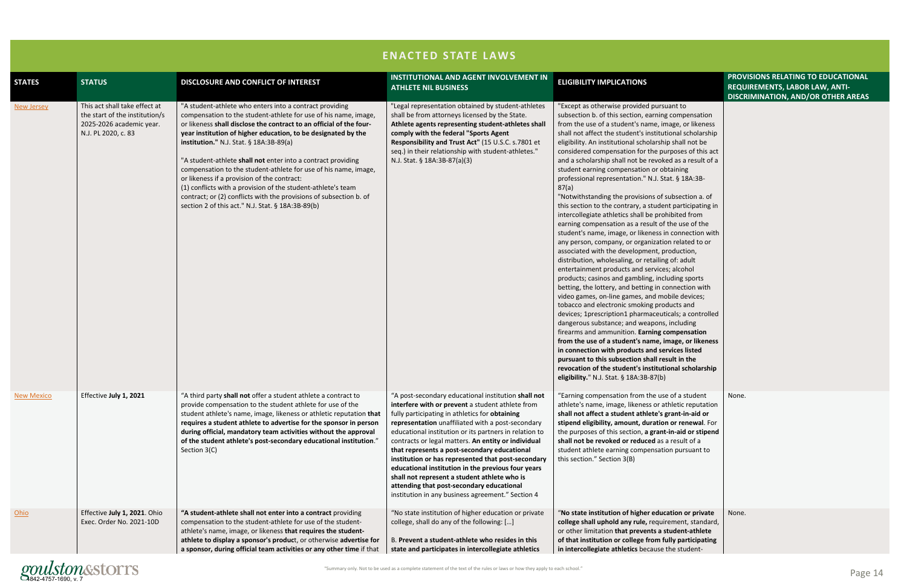

|                   |                                                                                                                    |                                                                                                                                                                                                                                                                                                                                                                                                                                                                                                                                                                                                                                                                                            | <b>ENACTED STATE LAWS</b>                                                                                                                                                                                                                                                                                                                                                                                                                                                                                                                                                                                                                     |                                                                                                                                                                                                                                                                                                                                                                                                                                                                                                                                                                                                                                                                                                                                                                                                                                                                                                                                                                                                                                                                                                                                                                                                                                                                                                                                                                                                                                                                                                                                                                                                                                                              |                                                                                                                          |
|-------------------|--------------------------------------------------------------------------------------------------------------------|--------------------------------------------------------------------------------------------------------------------------------------------------------------------------------------------------------------------------------------------------------------------------------------------------------------------------------------------------------------------------------------------------------------------------------------------------------------------------------------------------------------------------------------------------------------------------------------------------------------------------------------------------------------------------------------------|-----------------------------------------------------------------------------------------------------------------------------------------------------------------------------------------------------------------------------------------------------------------------------------------------------------------------------------------------------------------------------------------------------------------------------------------------------------------------------------------------------------------------------------------------------------------------------------------------------------------------------------------------|--------------------------------------------------------------------------------------------------------------------------------------------------------------------------------------------------------------------------------------------------------------------------------------------------------------------------------------------------------------------------------------------------------------------------------------------------------------------------------------------------------------------------------------------------------------------------------------------------------------------------------------------------------------------------------------------------------------------------------------------------------------------------------------------------------------------------------------------------------------------------------------------------------------------------------------------------------------------------------------------------------------------------------------------------------------------------------------------------------------------------------------------------------------------------------------------------------------------------------------------------------------------------------------------------------------------------------------------------------------------------------------------------------------------------------------------------------------------------------------------------------------------------------------------------------------------------------------------------------------------------------------------------------------|--------------------------------------------------------------------------------------------------------------------------|
| <b>STATES</b>     | <b>STATUS</b>                                                                                                      | DISCLOSURE AND CONFLICT OF INTEREST                                                                                                                                                                                                                                                                                                                                                                                                                                                                                                                                                                                                                                                        | INSTITUTIONAL AND AGENT INVOLVEMENT IN<br><b>ATHLETE NIL BUSINESS</b>                                                                                                                                                                                                                                                                                                                                                                                                                                                                                                                                                                         | <b>ELIGIBILITY IMPLICATIONS</b>                                                                                                                                                                                                                                                                                                                                                                                                                                                                                                                                                                                                                                                                                                                                                                                                                                                                                                                                                                                                                                                                                                                                                                                                                                                                                                                                                                                                                                                                                                                                                                                                                              | PROVISIONS RELATING TO EDUCATIONAL<br><b>REQUIREMENTS, LABOR LAW, ANTI-</b><br><b>DISCRIMINATION, AND/OR OTHER AREAS</b> |
| New Jersey        | This act shall take effect at<br>the start of the institution/s<br>2025-2026 academic year.<br>N.J. PL 2020, c. 83 | "A student-athlete who enters into a contract providing<br>compensation to the student-athlete for use of his name, image,<br>or likeness shall disclose the contract to an official of the four-<br>year institution of higher education, to be designated by the<br>institution." N.J. Stat. § 18A:3B-89(a)<br>"A student-athlete shall not enter into a contract providing<br>compensation to the student-athlete for use of his name, image,<br>or likeness if a provision of the contract:<br>(1) conflicts with a provision of the student-athlete's team<br>contract; or (2) conflicts with the provisions of subsection b. of<br>section 2 of this act." N.J. Stat. § 18A:3B-89(b) | "Legal representation obtained by student-athletes<br>shall be from attorneys licensed by the State.<br>Athlete agents representing student-athletes shall<br>comply with the federal "Sports Agent<br>Responsibility and Trust Act" (15 U.S.C. s.7801 et<br>seq.) in their relationship with student-athletes."<br>N.J. Stat. § 18A:3B-87(a)(3)                                                                                                                                                                                                                                                                                              | "Except as otherwise provided pursuant to<br>subsection b. of this section, earning compensation<br>from the use of a student's name, image, or likeness<br>shall not affect the student's institutional scholarship<br>eligibility. An institutional scholarship shall not be<br>considered compensation for the purposes of this act<br>and a scholarship shall not be revoked as a result of a<br>student earning compensation or obtaining<br>professional representation." N.J. Stat. § 18A:3B-<br>87(a)<br>"Notwithstanding the provisions of subsection a. of<br>this section to the contrary, a student participating in<br>intercollegiate athletics shall be prohibited from<br>earning compensation as a result of the use of the<br>student's name, image, or likeness in connection with<br>any person, company, or organization related to or<br>associated with the development, production,<br>distribution, wholesaling, or retailing of: adult<br>entertainment products and services; alcohol<br>products; casinos and gambling, including sports<br>betting, the lottery, and betting in connection with<br>video games, on-line games, and mobile devices;<br>tobacco and electronic smoking products and<br>devices; 1prescription1 pharmaceuticals; a controlled<br>dangerous substance; and weapons, including<br>firearms and ammunition. Earning compensation<br>from the use of a student's name, image, or likeness<br>in connection with products and services listed<br>pursuant to this subsection shall result in the<br>revocation of the student's institutional scholarship<br>eligibility." N.J. Stat. $\S$ 18A:3B-87(b) |                                                                                                                          |
| <b>New Mexico</b> | Effective July 1, 2021                                                                                             | "A third party shall not offer a student athlete a contract to<br>provide compensation to the student athlete for use of the<br>student athlete's name, image, likeness or athletic reputation that<br>requires a student athlete to advertise for the sponsor in person<br>during official, mandatory team activities without the approval<br>of the student athlete's post-secondary educational institution."<br>Section 3(C)                                                                                                                                                                                                                                                           | "A post-secondary educational institution shall not<br>interfere with or prevent a student athlete from<br>fully participating in athletics for obtaining<br>representation unaffiliated with a post-secondary<br>educational institution or its partners in relation to<br>contracts or legal matters. An entity or individual<br>that represents a post-secondary educational<br>institution or has represented that post-secondary<br>educational institution in the previous four years<br>shall not represent a student athlete who is<br>attending that post-secondary educational<br>institution in any business agreement." Section 4 | "Earning compensation from the use of a student<br>athlete's name, image, likeness or athletic reputation<br>shall not affect a student athlete's grant-in-aid or<br>stipend eligibility, amount, duration or renewal. For<br>the purposes of this section, a grant-in-aid or stipend<br>shall not be revoked or reduced as a result of a<br>student athlete earning compensation pursuant to<br>this section." Section 3(B)                                                                                                                                                                                                                                                                                                                                                                                                                                                                                                                                                                                                                                                                                                                                                                                                                                                                                                                                                                                                                                                                                                                                                                                                                                 | None.                                                                                                                    |
| Ohio              | Effective July 1, 2021. Ohio<br>Exec. Order No. 2021-10D                                                           | "A student-athlete shall not enter into a contract providing<br>compensation to the student-athlete for use of the student-<br>athlete's name, image, or likeness that requires the student-<br>athlete to display a sponsor's product, or otherwise advertise for<br>a sponsor, during official team activities or any other time if that                                                                                                                                                                                                                                                                                                                                                 | "No state institution of higher education or private<br>college, shall do any of the following: []<br>B. Prevent a student-athlete who resides in this<br>state and participates in intercollegiate athletics                                                                                                                                                                                                                                                                                                                                                                                                                                 | "No state institution of higher education or private<br>college shall uphold any rule, requirement, standard,<br>or other limitation that prevents a student-athlete<br>of that institution or college from fully participating<br>in intercollegiate athletics because the student-                                                                                                                                                                                                                                                                                                                                                                                                                                                                                                                                                                                                                                                                                                                                                                                                                                                                                                                                                                                                                                                                                                                                                                                                                                                                                                                                                                         | None.                                                                                                                    |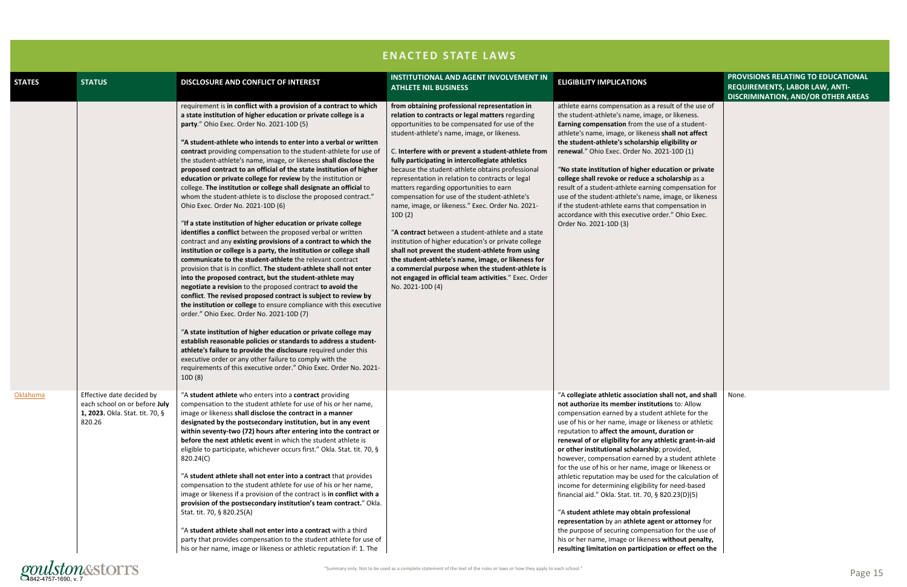| <b>STATES</b> | <b>STATUS</b>                                                                                           | DISCLOSURE AND CONFLICT OF INTEREST                                                                                                                                                                                                                                                                                                                                                                                                                                                                                                                                                                                                                                                                                                                                                                                                                                                                                                                                                                                                                                                                                                                                                                                                                                                                                                                                                                                                                                                                                                                                                                                                                                                                                                                                                                       | <b>INSTITUTIONAL AND AGENT INVOLVEMENT IN</b><br><b>ATHLETE NIL BUSINESS</b>                                                                                                                                                                                                                                                                                                                                                                                                                                                                                                                                                                                                                                                                                                                                                                                                                                                            | <b>ELIGIBILITY IMPLICATIONS</b>                                                                                                                                                                                                                                                                                                                                                                                                                                                                                                                                                                                                                                                                                                                                                                                                                                                                                                                    | PROVISIONS RELATING TO EDUCATIONAL<br>REQUIREMENTS, LABOR LAW, ANTI-<br><b>DISCRIMINATION, AND/OR OTHER AREAS</b> |
|---------------|---------------------------------------------------------------------------------------------------------|-----------------------------------------------------------------------------------------------------------------------------------------------------------------------------------------------------------------------------------------------------------------------------------------------------------------------------------------------------------------------------------------------------------------------------------------------------------------------------------------------------------------------------------------------------------------------------------------------------------------------------------------------------------------------------------------------------------------------------------------------------------------------------------------------------------------------------------------------------------------------------------------------------------------------------------------------------------------------------------------------------------------------------------------------------------------------------------------------------------------------------------------------------------------------------------------------------------------------------------------------------------------------------------------------------------------------------------------------------------------------------------------------------------------------------------------------------------------------------------------------------------------------------------------------------------------------------------------------------------------------------------------------------------------------------------------------------------------------------------------------------------------------------------------------------------|-----------------------------------------------------------------------------------------------------------------------------------------------------------------------------------------------------------------------------------------------------------------------------------------------------------------------------------------------------------------------------------------------------------------------------------------------------------------------------------------------------------------------------------------------------------------------------------------------------------------------------------------------------------------------------------------------------------------------------------------------------------------------------------------------------------------------------------------------------------------------------------------------------------------------------------------|----------------------------------------------------------------------------------------------------------------------------------------------------------------------------------------------------------------------------------------------------------------------------------------------------------------------------------------------------------------------------------------------------------------------------------------------------------------------------------------------------------------------------------------------------------------------------------------------------------------------------------------------------------------------------------------------------------------------------------------------------------------------------------------------------------------------------------------------------------------------------------------------------------------------------------------------------|-------------------------------------------------------------------------------------------------------------------|
|               |                                                                                                         | requirement is in conflict with a provision of a contract to which<br>a state institution of higher education or private college is a<br>party." Ohio Exec. Order No. 2021-10D (5)<br>"A student-athlete who intends to enter into a verbal or written<br>contract providing compensation to the student-athlete for use of<br>the student-athlete's name, image, or likeness shall disclose the<br>proposed contract to an official of the state institution of higher<br>education or private college for review by the institution or<br>college. The institution or college shall designate an official to<br>whom the student-athlete is to disclose the proposed contract."<br>Ohio Exec. Order No. 2021-10D (6)<br>"If a state institution of higher education or private college<br>identifies a conflict between the proposed verbal or written<br>contract and any existing provisions of a contract to which the<br>institution or college is a party, the institution or college shall<br>communicate to the student-athlete the relevant contract<br>provision that is in conflict. The student-athlete shall not enter<br>into the proposed contract, but the student-athlete may<br>negotiate a revision to the proposed contract to avoid the<br>conflict. The revised proposed contract is subject to review by<br>the institution or college to ensure compliance with this executive<br>order." Ohio Exec. Order No. 2021-10D (7)<br>"A state institution of higher education or private college may<br>establish reasonable policies or standards to address a student-<br>athlete's failure to provide the disclosure required under this<br>executive order or any other failure to comply with the<br>requirements of this executive order." Ohio Exec. Order No. 2021-<br>10D (8) | from obtaining professional representation in<br>relation to contracts or legal matters regarding<br>opportunities to be compensated for use of the<br>student-athlete's name, image, or likeness.<br>C. Interfere with or prevent a student-athlete from<br>fully participating in intercollegiate athletics<br>because the student-athlete obtains professional<br>representation in relation to contracts or legal<br>matters regarding opportunities to earn<br>compensation for use of the student-athlete's<br>name, image, or likeness." Exec. Order No. 2021-<br>10D(2)<br>"A contract between a student-athlete and a state<br>institution of higher education's or private college<br>shall not prevent the student-athlete from using<br>the student-athlete's name, image, or likeness for<br>a commercial purpose when the student-athlete is<br>not engaged in official team activities." Exec. Order<br>No. 2021-10D (4) | athlete earns compensation as a result of the use of<br>the student-athlete's name, image, or likeness.<br>Earning compensation from the use of a student-<br>athlete's name, image, or likeness shall not affect<br>the student-athlete's scholarship eligibility or<br>renewal." Ohio Exec. Order No. 2021-10D (1)<br>"No state institution of higher education or private<br>college shall revoke or reduce a scholarship as a<br>result of a student-athlete earning compensation for<br>use of the student-athlete's name, image, or likeness<br>if the student-athlete earns that compensation in<br>accordance with this executive order." Ohio Exec.<br>Order No. 2021-10D (3)                                                                                                                                                                                                                                                             |                                                                                                                   |
| Oklahoma      | Effective date decided by<br>each school on or before July<br>1, 2023. Okla. Stat. tit. 70, §<br>820.26 | "A student athlete who enters into a contract providing<br>compensation to the student athlete for use of his or her name,<br>image or likeness shall disclose the contract in a manner<br>designated by the postsecondary institution, but in any event<br>within seventy-two (72) hours after entering into the contract or<br><b>before the next athletic event</b> in which the student athlete is<br>eligible to participate, whichever occurs first." Okla. Stat. tit. 70, §<br>820.24(C)<br>"A student athlete shall not enter into a contract that provides<br>compensation to the student athlete for use of his or her name,<br>image or likeness if a provision of the contract is in conflict with a<br>provision of the postsecondary institution's team contract." Okla.<br>Stat. tit. 70, § 820.25(A)<br>"A student athlete shall not enter into a contract with a third<br>party that provides compensation to the student athlete for use of<br>his or her name, image or likeness or athletic reputation if: 1. The                                                                                                                                                                                                                                                                                                                                                                                                                                                                                                                                                                                                                                                                                                                                                                     |                                                                                                                                                                                                                                                                                                                                                                                                                                                                                                                                                                                                                                                                                                                                                                                                                                                                                                                                         | "A collegiate athletic association shall not, and shall<br>not authorize its member institutions to: Allow<br>compensation earned by a student athlete for the<br>use of his or her name, image or likeness or athletic<br>reputation to affect the amount, duration or<br>renewal of or eligibility for any athletic grant-in-aid<br>or other institutional scholarship; provided,<br>however, compensation earned by a student athlete<br>for the use of his or her name, image or likeness or<br>athletic reputation may be used for the calculation of<br>income for determining eligibility for need-based<br>financial aid." Okla. Stat. tit. 70, § 820.23(D)(5)<br>"A student athlete may obtain professional<br>representation by an athlete agent or attorney for<br>the purpose of securing compensation for the use of<br>his or her name, image or likeness without penalty,<br>resulting limitation on participation or effect on the | None.                                                                                                             |

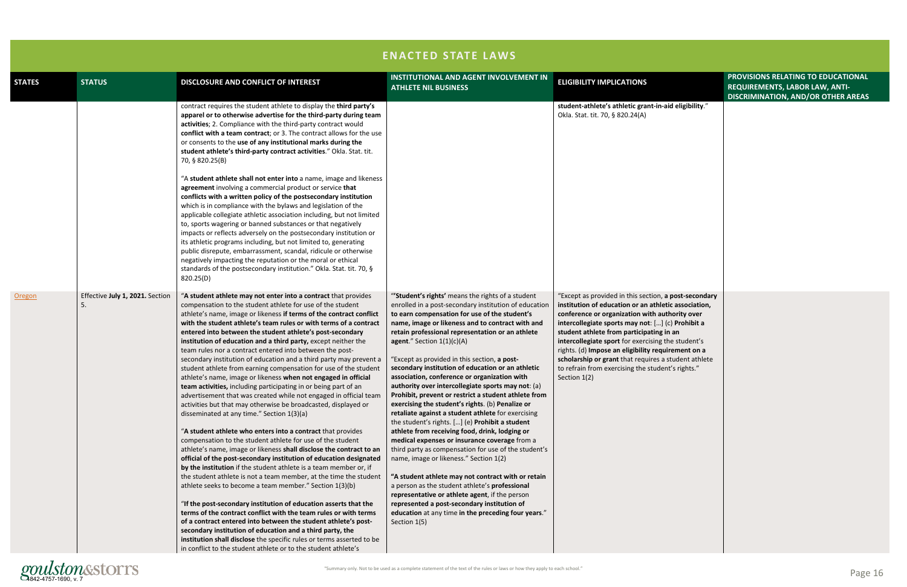|                                                                                                                                                | PROVISIONS RELATING TO EDUCATIONAL<br>REQUIREMENTS, LABOR LAW, ANTI-<br>DISCRIMINATION, AND/OR OTHER AREAS |
|------------------------------------------------------------------------------------------------------------------------------------------------|------------------------------------------------------------------------------------------------------------|
| id eligibility."                                                                                                                               |                                                                                                            |
| post-secondary<br>ic association,<br>hority over:<br>c) Prohibit a<br>n an<br>he student's<br>irement on a<br>student athlete<br>it's rights." |                                                                                                            |

| contract requires the student athlete to display the third party's<br>apparel or to otherwise advertise for the third-party during team<br>Okla. Stat. tit. 70, § 820.24(A)<br>activities; 2. Compliance with the third-party contract would<br>conflict with a team contract; or 3. The contract allows for the use<br>or consents to the use of any institutional marks during the<br>student athlete's third-party contract activities." Okla. Stat. tit.<br>70, § 820.25(B)<br>"A student athlete shall not enter into a name, image and likeness<br>agreement involving a commercial product or service that<br>conflicts with a written policy of the postsecondary institution<br>which is in compliance with the bylaws and legislation of the<br>applicable collegiate athletic association including, but not limited<br>to, sports wagering or banned substances or that negatively<br>impacts or reflects adversely on the postsecondary institution or<br>its athletic programs including, but not limited to, generating<br>public disrepute, embarrassment, scandal, ridicule or otherwise<br>negatively impacting the reputation or the moral or ethical<br>standards of the postsecondary institution." Okla. Stat. tit. 70, §<br>820.25(D)<br>Effective July 1, 2021. Section<br>"'Student's rights' means the rights of a student<br>"A student athlete may not enter into a contract that provides<br>Oregon<br>compensation to the student athlete for use of the student<br>enrolled in a post-secondary institution of education<br>-5.<br>athlete's name, image or likeness if terms of the contract conflict<br>to earn compensation for use of the student's<br>with the student athlete's team rules or with terms of a contract<br>name, image or likeness and to contract with and<br>entered into between the student athlete's post-secondary<br>retain professional representation or an athlete<br>institution of education and a third party, except neither the<br>agent." Section $1(1)(c)(A)$<br>team rules nor a contract entered into between the post-<br>"Except as provided in this section, a post-<br>secondary institution of education and a third party may prevent a<br>student athlete from earning compensation for use of the student<br>secondary institution of education or an athletic<br>association, conference or organization with<br>athlete's name, image or likeness when not engaged in official<br>Section 1(2)<br>team activities, including participating in or being part of an<br>authority over intercollegiate sports may not: (a)<br>advertisement that was created while not engaged in official team<br>Prohibit, prevent or restrict a student athlete from<br>exercising the student's rights. (b) Penalize or<br>activities but that may otherwise be broadcasted, displayed or<br>disseminated at any time." Section 1(3)(a)<br>retaliate against a student athlete for exercising | student-athlete's athletic grant-in-aid eligibility."                                                                                                                                                                                                                                                                                                                                                                                                                                     |  |
|-----------------------------------------------------------------------------------------------------------------------------------------------------------------------------------------------------------------------------------------------------------------------------------------------------------------------------------------------------------------------------------------------------------------------------------------------------------------------------------------------------------------------------------------------------------------------------------------------------------------------------------------------------------------------------------------------------------------------------------------------------------------------------------------------------------------------------------------------------------------------------------------------------------------------------------------------------------------------------------------------------------------------------------------------------------------------------------------------------------------------------------------------------------------------------------------------------------------------------------------------------------------------------------------------------------------------------------------------------------------------------------------------------------------------------------------------------------------------------------------------------------------------------------------------------------------------------------------------------------------------------------------------------------------------------------------------------------------------------------------------------------------------------------------------------------------------------------------------------------------------------------------------------------------------------------------------------------------------------------------------------------------------------------------------------------------------------------------------------------------------------------------------------------------------------------------------------------------------------------------------------------------------------------------------------------------------------------------------------------------------------------------------------------------------------------------------------------------------------------------------------------------------------------------------------------------------------------------------------------------------------------------------------------------------------------------------------------------------------------------------------------------------------------------------------------------------------------------------------------------------------------------------------------------------------------------------------------------|-------------------------------------------------------------------------------------------------------------------------------------------------------------------------------------------------------------------------------------------------------------------------------------------------------------------------------------------------------------------------------------------------------------------------------------------------------------------------------------------|--|
|                                                                                                                                                                                                                                                                                                                                                                                                                                                                                                                                                                                                                                                                                                                                                                                                                                                                                                                                                                                                                                                                                                                                                                                                                                                                                                                                                                                                                                                                                                                                                                                                                                                                                                                                                                                                                                                                                                                                                                                                                                                                                                                                                                                                                                                                                                                                                                                                                                                                                                                                                                                                                                                                                                                                                                                                                                                                                                                                                                 |                                                                                                                                                                                                                                                                                                                                                                                                                                                                                           |  |
| the student's rights. [] (e) Prohibit a student<br>"A student athlete who enters into a contract that provides<br>athlete from receiving food, drink, lodging or<br>compensation to the student athlete for use of the student<br>medical expenses or insurance coverage from a<br>athlete's name, image or likeness shall disclose the contract to an<br>third party as compensation for use of the student's<br>official of the post-secondary institution of education designated<br>name, image or likeness." Section 1(2)<br>by the institution if the student athlete is a team member or, if<br>the student athlete is not a team member, at the time the student<br>"A student athlete may not contract with or retain<br>athlete seeks to become a team member." Section 1(3)(b)<br>a person as the student athlete's professional<br>representative or athlete agent, if the person<br>represented a post-secondary institution of<br>"If the post-secondary institution of education asserts that the<br>terms of the contract conflict with the team rules or with terms<br>education at any time in the preceding four years."<br>of a contract entered into between the student athlete's post-<br>Section 1(5)<br>secondary institution of education and a third party, the<br>institution shall disclose the specific rules or terms asserted to be<br>in conflict to the student athlete or to the student athlete's                                                                                                                                                                                                                                                                                                                                                                                                                                                                                                                                                                                                                                                                                                                                                                                                                                                                                                                                                                                                                                                                                                                                                                                                                                                                                                                                                                                                                                                                                                                           | "Except as provided in this section, a post-secondary<br>institution of education or an athletic association,<br>conference or organization with authority over<br>intercollegiate sports may not: [] (c) Prohibit a<br>student athlete from participating in an<br>intercollegiate sport for exercising the student's<br>rights. (d) Impose an eligibility requirement on a<br>scholarship or grant that requires a student athlete<br>to refrain from exercising the student's rights." |  |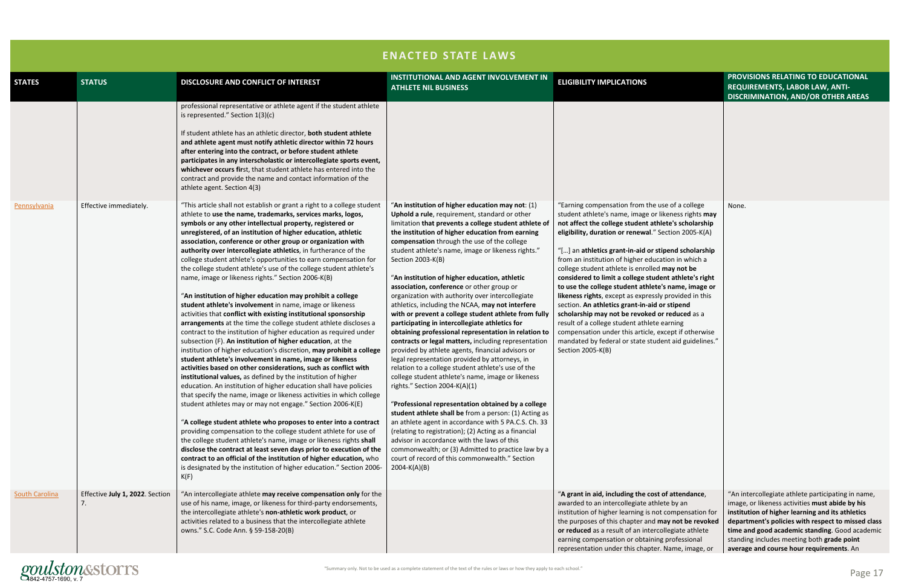|                       | <b>ENACTED STATE LAWS</b>             |                                                                                                                                                                                                                                                                                                                                                                                                                                                                                                                                                                                                                                                                                                                                                                                                                                                                                                                                                                                                                                                                                                                                                                                                                                                                                                                                                                                                                                                                                                                                                                                                                                                                                                                                                                                                                                                                 |                                                                                                                                                                                                                                                                                                                                                                                                                                                                                                                                                                                                                                                                                                                                                                                                                                                                                                                                                                                                                                                                                                                                                                                                                                                                                                                                                                                  |                                                                                                                                                                                                                                                                                                                                                                                                                                                                                                                                                                                                                                                                                                                                                                                                       |                                                                                                                                                                                                                                                                                                                                                             |  |
|-----------------------|---------------------------------------|-----------------------------------------------------------------------------------------------------------------------------------------------------------------------------------------------------------------------------------------------------------------------------------------------------------------------------------------------------------------------------------------------------------------------------------------------------------------------------------------------------------------------------------------------------------------------------------------------------------------------------------------------------------------------------------------------------------------------------------------------------------------------------------------------------------------------------------------------------------------------------------------------------------------------------------------------------------------------------------------------------------------------------------------------------------------------------------------------------------------------------------------------------------------------------------------------------------------------------------------------------------------------------------------------------------------------------------------------------------------------------------------------------------------------------------------------------------------------------------------------------------------------------------------------------------------------------------------------------------------------------------------------------------------------------------------------------------------------------------------------------------------------------------------------------------------------------------------------------------------|----------------------------------------------------------------------------------------------------------------------------------------------------------------------------------------------------------------------------------------------------------------------------------------------------------------------------------------------------------------------------------------------------------------------------------------------------------------------------------------------------------------------------------------------------------------------------------------------------------------------------------------------------------------------------------------------------------------------------------------------------------------------------------------------------------------------------------------------------------------------------------------------------------------------------------------------------------------------------------------------------------------------------------------------------------------------------------------------------------------------------------------------------------------------------------------------------------------------------------------------------------------------------------------------------------------------------------------------------------------------------------|-------------------------------------------------------------------------------------------------------------------------------------------------------------------------------------------------------------------------------------------------------------------------------------------------------------------------------------------------------------------------------------------------------------------------------------------------------------------------------------------------------------------------------------------------------------------------------------------------------------------------------------------------------------------------------------------------------------------------------------------------------------------------------------------------------|-------------------------------------------------------------------------------------------------------------------------------------------------------------------------------------------------------------------------------------------------------------------------------------------------------------------------------------------------------------|--|
| <b>STATES</b>         | <b>STATUS</b>                         | DISCLOSURE AND CONFLICT OF INTEREST                                                                                                                                                                                                                                                                                                                                                                                                                                                                                                                                                                                                                                                                                                                                                                                                                                                                                                                                                                                                                                                                                                                                                                                                                                                                                                                                                                                                                                                                                                                                                                                                                                                                                                                                                                                                                             | <b>INSTITUTIONAL AND AGENT INVOLVEMENT IN</b><br><b>ATHLETE NIL BUSINESS</b>                                                                                                                                                                                                                                                                                                                                                                                                                                                                                                                                                                                                                                                                                                                                                                                                                                                                                                                                                                                                                                                                                                                                                                                                                                                                                                     | <b>ELIGIBILITY IMPLICATIONS</b>                                                                                                                                                                                                                                                                                                                                                                                                                                                                                                                                                                                                                                                                                                                                                                       | PROVISIONS RELATING TO EDUCATIONAL<br><b>REQUIREMENTS, LABOR LAW, ANTI-</b><br><b>DISCRIMINATION, AND/OR OTHER AREAS</b>                                                                                                                                                                                                                                    |  |
| Pennsylvania          | Effective immediately.                | professional representative or athlete agent if the student athlete<br>is represented." Section 1(3)(c)<br>If student athlete has an athletic director, both student athlete<br>and athlete agent must notify athletic director within 72 hours<br>after entering into the contract, or before student athlete<br>participates in any interscholastic or intercollegiate sports event,<br>whichever occurs first, that student athlete has entered into the<br>contract and provide the name and contact information of the<br>athlete agent. Section 4(3)<br>"This article shall not establish or grant a right to a college student                                                                                                                                                                                                                                                                                                                                                                                                                                                                                                                                                                                                                                                                                                                                                                                                                                                                                                                                                                                                                                                                                                                                                                                                                           | "An institution of higher education may not: $(1)$                                                                                                                                                                                                                                                                                                                                                                                                                                                                                                                                                                                                                                                                                                                                                                                                                                                                                                                                                                                                                                                                                                                                                                                                                                                                                                                               | "Earning compensation from the use of a college                                                                                                                                                                                                                                                                                                                                                                                                                                                                                                                                                                                                                                                                                                                                                       | None.                                                                                                                                                                                                                                                                                                                                                       |  |
|                       |                                       | athlete to use the name, trademarks, services marks, logos,<br>symbols or any other intellectual property, registered or<br>unregistered, of an institution of higher education, athletic<br>association, conference or other group or organization with<br>authority over intercollegiate athletics, in furtherance of the<br>college student athlete's opportunities to earn compensation for<br>the college student athlete's use of the college student athlete's<br>name, image or likeness rights." Section 2006-K(B)<br>"An institution of higher education may prohibit a college<br>student athlete's involvement in name, image or likeness<br>activities that conflict with existing institutional sponsorship<br>arrangements at the time the college student athlete discloses a<br>contract to the institution of higher education as required under<br>subsection (F). An institution of higher education, at the<br>institution of higher education's discretion, may prohibit a college<br>student athlete's involvement in name, image or likeness<br>activities based on other considerations, such as conflict with<br>institutional values, as defined by the institution of higher<br>education. An institution of higher education shall have policies<br>that specify the name, image or likeness activities in which college<br>student athletes may or may not engage." Section 2006-K(E)<br>"A college student athlete who proposes to enter into a contract<br>providing compensation to the college student athlete for use of<br>the college student athlete's name, image or likeness rights shall<br>disclose the contract at least seven days prior to execution of the<br>contract to an official of the institution of higher education, who<br>is designated by the institution of higher education." Section 2006-<br>K(F) | Uphold a rule, requirement, standard or other<br>limitation that prevents a college student athlete of<br>the institution of higher education from earning<br>compensation through the use of the college<br>student athlete's name, image or likeness rights."<br>Section 2003-K(B)<br>"An institution of higher education, athletic<br>association, conference or other group or<br>organization with authority over intercollegiate<br>athletics, including the NCAA, may not interfere<br>with or prevent a college student athlete from fully<br>participating in intercollegiate athletics for<br>obtaining professional representation in relation to<br>contracts or legal matters, including representation<br>provided by athlete agents, financial advisors or<br>legal representation provided by attorneys, in<br>relation to a college student athlete's use of the<br>college student athlete's name, image or likeness<br>rights." Section 2004-K(A)(1)<br>"Professional representation obtained by a college<br>student athlete shall be from a person: (1) Acting as<br>an athlete agent in accordance with 5 PA.C.S. Ch. 33<br>(relating to registration); (2) Acting as a financial<br>advisor in accordance with the laws of this<br>commonwealth; or (3) Admitted to practice law by a<br>court of record of this commonwealth." Section<br>$2004-K(A)(B)$ | student athlete's name, image or likeness rights may<br>not affect the college student athlete's scholarship<br>eligibility, duration or renewal." Section 2005-K(A)<br>"[] an athletics grant-in-aid or stipend scholarship<br>from an institution of higher education in which a<br>college student athlete is enrolled may not be<br>considered to limit a college student athlete's right<br>to use the college student athlete's name, image or<br>likeness rights, except as expressly provided in this<br>section. An athletics grant-in-aid or stipend<br>scholarship may not be revoked or reduced as a<br>result of a college student athlete earning<br>compensation under this article, except if otherwise<br>mandated by federal or state student aid guidelines."<br>Section 2005-K(B) |                                                                                                                                                                                                                                                                                                                                                             |  |
| <b>South Carolina</b> | Effective July 1, 2022. Section<br>7. | "An intercollegiate athlete may receive compensation only for the<br>use of his name, image, or likeness for third-party endorsements,<br>the intercollegiate athlete's non-athletic work product, or<br>activities related to a business that the intercollegiate athlete<br>owns." S.C. Code Ann. § 59-158-20(B)                                                                                                                                                                                                                                                                                                                                                                                                                                                                                                                                                                                                                                                                                                                                                                                                                                                                                                                                                                                                                                                                                                                                                                                                                                                                                                                                                                                                                                                                                                                                              |                                                                                                                                                                                                                                                                                                                                                                                                                                                                                                                                                                                                                                                                                                                                                                                                                                                                                                                                                                                                                                                                                                                                                                                                                                                                                                                                                                                  | "A grant in aid, including the cost of attendance,<br>awarded to an intercollegiate athlete by an<br>institution of higher learning is not compensation for<br>the purposes of this chapter and may not be revoked<br>or reduced as a result of an intercollegiate athlete<br>earning compensation or obtaining professional<br>representation under this chapter. Name, image, or                                                                                                                                                                                                                                                                                                                                                                                                                    | "An intercollegiate athlete participating in name,<br>image, or likeness activities must abide by his<br>institution of higher learning and its athletics<br>department's policies with respect to missed class<br>time and good academic standing. Good academic<br>standing includes meeting both grade point<br>average and course hour requirements. An |  |

"Summary only. Not to be used as a complete statement of the text of the rules or laws or how they apply to each school." gonnary only. Not to be used as a complete statement of the text of the rules or laws or how they apply to each school."<br>4842-4757-1690, v. 7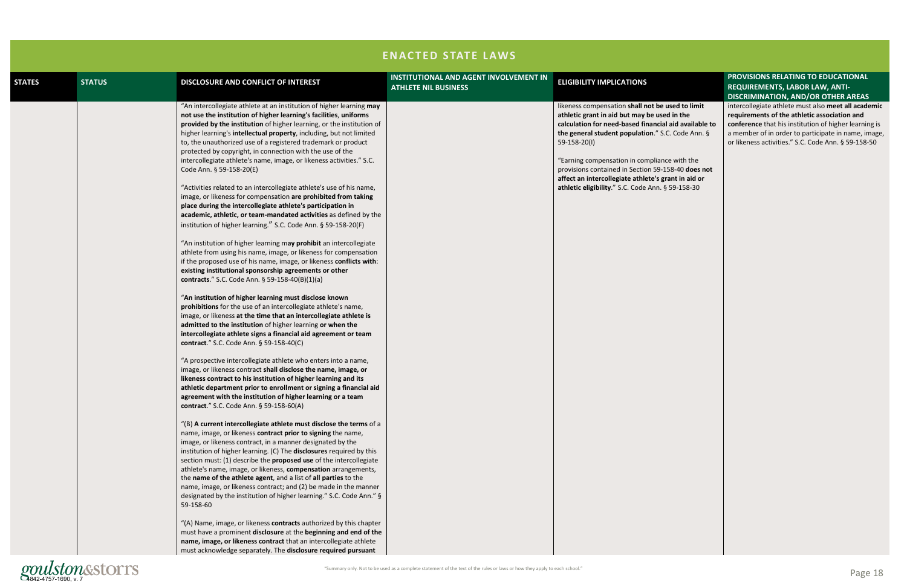"Summary only. Not to be used as a complete statement of the text of the rules or laws or how they apply to each school."

#### used to limit **ed in the calculation** is **the General Stude Ann. §**

 $ce$  with the **158-40 does not rant in aid or 59-158-30** 

### **PROVISIONS RELATING TO EDUCATIONAL REQUIREMENTS, LABOR LAW, ANTI-DISCRIMINATION, AND/OR OTHER AREAS**

|               |               |                                                                                                                                                                                                                                                                                                                                                                                                                                                                                                                                                                                                                                                                                                                                                                                                                                                                                                                                                                                                                                                                                                                                                                                                                                                                                                                                                                                                                                                                                                                                                                                                                                                                                                                                                                                                                                                                                                                                                                                                                                                                                                                                                                                                                                                                                                                                                                                                                                                                                                                                                                                                                                                                                                                                                                                                                                                                                                                            | <b>ENACTED STATE LAWS</b>                                                    |                                                                                                                                                                                                                                                                                                                                                    |
|---------------|---------------|----------------------------------------------------------------------------------------------------------------------------------------------------------------------------------------------------------------------------------------------------------------------------------------------------------------------------------------------------------------------------------------------------------------------------------------------------------------------------------------------------------------------------------------------------------------------------------------------------------------------------------------------------------------------------------------------------------------------------------------------------------------------------------------------------------------------------------------------------------------------------------------------------------------------------------------------------------------------------------------------------------------------------------------------------------------------------------------------------------------------------------------------------------------------------------------------------------------------------------------------------------------------------------------------------------------------------------------------------------------------------------------------------------------------------------------------------------------------------------------------------------------------------------------------------------------------------------------------------------------------------------------------------------------------------------------------------------------------------------------------------------------------------------------------------------------------------------------------------------------------------------------------------------------------------------------------------------------------------------------------------------------------------------------------------------------------------------------------------------------------------------------------------------------------------------------------------------------------------------------------------------------------------------------------------------------------------------------------------------------------------------------------------------------------------------------------------------------------------------------------------------------------------------------------------------------------------------------------------------------------------------------------------------------------------------------------------------------------------------------------------------------------------------------------------------------------------------------------------------------------------------------------------------------------------|------------------------------------------------------------------------------|----------------------------------------------------------------------------------------------------------------------------------------------------------------------------------------------------------------------------------------------------------------------------------------------------------------------------------------------------|
| <b>STATES</b> | <b>STATUS</b> | DISCLOSURE AND CONFLICT OF INTEREST                                                                                                                                                                                                                                                                                                                                                                                                                                                                                                                                                                                                                                                                                                                                                                                                                                                                                                                                                                                                                                                                                                                                                                                                                                                                                                                                                                                                                                                                                                                                                                                                                                                                                                                                                                                                                                                                                                                                                                                                                                                                                                                                                                                                                                                                                                                                                                                                                                                                                                                                                                                                                                                                                                                                                                                                                                                                                        | <b>INSTITUTIONAL AND AGENT INVOLVEMENT IN</b><br><b>ATHLETE NIL BUSINESS</b> | <b>ELIGIBILITY IMPLICATIONS</b>                                                                                                                                                                                                                                                                                                                    |
|               |               | "An intercollegiate athlete at an institution of higher learning may<br>not use the institution of higher learning's facilities, uniforms<br>provided by the institution of higher learning, or the institution of<br>higher learning's intellectual property, including, but not limited<br>to, the unauthorized use of a registered trademark or product<br>protected by copyright, in connection with the use of the<br>intercollegiate athlete's name, image, or likeness activities." S.C.<br>Code Ann. § 59-158-20(E)<br>"Activities related to an intercollegiate athlete's use of his name,<br>image, or likeness for compensation are prohibited from taking<br>place during the intercollegiate athlete's participation in<br>academic, athletic, or team-mandated activities as defined by the<br>institution of higher learning." S.C. Code Ann. § 59-158-20(F)<br>"An institution of higher learning may prohibit an intercollegiate<br>athlete from using his name, image, or likeness for compensation<br>if the proposed use of his name, image, or likeness conflicts with:<br>existing institutional sponsorship agreements or other<br>contracts." S.C. Code Ann. § 59-158-40(B)(1)(a)<br>"An institution of higher learning must disclose known<br>prohibitions for the use of an intercollegiate athlete's name,<br>image, or likeness at the time that an intercollegiate athlete is<br>admitted to the institution of higher learning or when the<br>intercollegiate athlete signs a financial aid agreement or team<br>contract." S.C. Code Ann. § 59-158-40(C)<br>"A prospective intercollegiate athlete who enters into a name,<br>image, or likeness contract shall disclose the name, image, or<br>likeness contract to his institution of higher learning and its<br>athletic department prior to enrollment or signing a financial aid<br>agreement with the institution of higher learning or a team<br>contract." S.C. Code Ann. § 59-158-60(A)<br>$($ $\vert$ B) A current intercollegiate athlete must disclose the terms of a<br>name, image, or likeness contract prior to signing the name,<br>image, or likeness contract, in a manner designated by the<br>institution of higher learning. (C) The disclosures required by this<br>section must: (1) describe the proposed use of the intercollegiate<br>athlete's name, image, or likeness, compensation arrangements,<br>the name of the athlete agent, and a list of all parties to the<br>name, image, or likeness contract; and (2) be made in the manner<br>designated by the institution of higher learning." S.C. Code Ann." §<br>59-158-60<br>"(A) Name, image, or likeness contracts authorized by this chapter<br>must have a prominent disclosure at the beginning and end of the<br>name, image, or likeness contract that an intercollegiate athlete<br>must acknowledge separately. The disclosure required pursuant |                                                                              | likeness compensation shall not be<br>athletic grant in aid but may be use<br>calculation for need-based financial<br>the general student population." S.<br>$59 - 158 - 20(1)$<br>"Earning compensation in compliand<br>provisions contained in Section 59-1<br>affect an intercollegiate athlete's gr<br>athletic eligibility." S.C. Code Ann. § |

intercollegiate athlete must also **meet all academic requirements of the athletic association and conference** that his institution of higher learning is a member of in order to participate in name, image, or likeness activities." S.C. Code Ann. § 59-158-50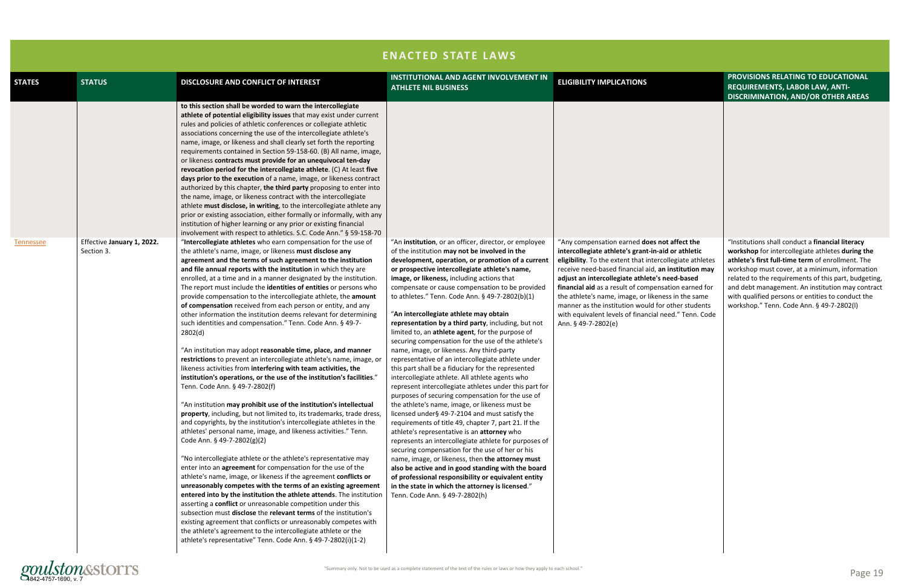|               |                                          |                                                                                                                                                                                                                                                                                                                                                                                                                                                                                                                                                                                                                                                                                                                                                                                                                                                                                                                                                                                                                                                                                                                                                                                                                                                                                                                                                                                                                                                                                                                                                                                                                                                                                                                                                                                                                                                                                                                                                                                                                               | <b>ENACTED STATE LAWS</b>                                                                                                                                                                                                                                                                                                                                                                                                                                                                                                                                                                                                                                                                                                                                                                                                                                                                                                                                                                                                                                                                                                                                                                                                                                                                                                                                                                                                                                                            |                                                                                                                                                                                                                                                                                                                                                                                                                                                                                                                              |
|---------------|------------------------------------------|-------------------------------------------------------------------------------------------------------------------------------------------------------------------------------------------------------------------------------------------------------------------------------------------------------------------------------------------------------------------------------------------------------------------------------------------------------------------------------------------------------------------------------------------------------------------------------------------------------------------------------------------------------------------------------------------------------------------------------------------------------------------------------------------------------------------------------------------------------------------------------------------------------------------------------------------------------------------------------------------------------------------------------------------------------------------------------------------------------------------------------------------------------------------------------------------------------------------------------------------------------------------------------------------------------------------------------------------------------------------------------------------------------------------------------------------------------------------------------------------------------------------------------------------------------------------------------------------------------------------------------------------------------------------------------------------------------------------------------------------------------------------------------------------------------------------------------------------------------------------------------------------------------------------------------------------------------------------------------------------------------------------------------|--------------------------------------------------------------------------------------------------------------------------------------------------------------------------------------------------------------------------------------------------------------------------------------------------------------------------------------------------------------------------------------------------------------------------------------------------------------------------------------------------------------------------------------------------------------------------------------------------------------------------------------------------------------------------------------------------------------------------------------------------------------------------------------------------------------------------------------------------------------------------------------------------------------------------------------------------------------------------------------------------------------------------------------------------------------------------------------------------------------------------------------------------------------------------------------------------------------------------------------------------------------------------------------------------------------------------------------------------------------------------------------------------------------------------------------------------------------------------------------|------------------------------------------------------------------------------------------------------------------------------------------------------------------------------------------------------------------------------------------------------------------------------------------------------------------------------------------------------------------------------------------------------------------------------------------------------------------------------------------------------------------------------|
| <b>STATES</b> | <b>STATUS</b>                            | DISCLOSURE AND CONFLICT OF INTEREST                                                                                                                                                                                                                                                                                                                                                                                                                                                                                                                                                                                                                                                                                                                                                                                                                                                                                                                                                                                                                                                                                                                                                                                                                                                                                                                                                                                                                                                                                                                                                                                                                                                                                                                                                                                                                                                                                                                                                                                           | <b>INSTITUTIONAL AND AGENT INVOLVEMENT IN</b><br><b>ATHLETE NIL BUSINESS</b>                                                                                                                                                                                                                                                                                                                                                                                                                                                                                                                                                                                                                                                                                                                                                                                                                                                                                                                                                                                                                                                                                                                                                                                                                                                                                                                                                                                                         | <b>ELIGIBILITY IMPLICATIONS</b>                                                                                                                                                                                                                                                                                                                                                                                                                                                                                              |
|               |                                          | to this section shall be worded to warn the intercollegiate<br>athlete of potential eligibility issues that may exist under current<br>rules and policies of athletic conferences or collegiate athletic<br>associations concerning the use of the intercollegiate athlete's<br>name, image, or likeness and shall clearly set forth the reporting<br>requirements contained in Section 59-158-60. (B) All name, image,<br>or likeness contracts must provide for an unequivocal ten-day<br>revocation period for the intercollegiate athlete. (C) At least five<br>days prior to the execution of a name, image, or likeness contract<br>authorized by this chapter, the third party proposing to enter into<br>the name, image, or likeness contract with the intercollegiate<br>athlete must disclose, in writing, to the intercollegiate athlete any<br>prior or existing association, either formally or informally, with any<br>institution of higher learning or any prior or existing financial<br>involvement with respect to athletics. S.C. Code Ann." § 59-158-70                                                                                                                                                                                                                                                                                                                                                                                                                                                                                                                                                                                                                                                                                                                                                                                                                                                                                                                                                 |                                                                                                                                                                                                                                                                                                                                                                                                                                                                                                                                                                                                                                                                                                                                                                                                                                                                                                                                                                                                                                                                                                                                                                                                                                                                                                                                                                                                                                                                                      |                                                                                                                                                                                                                                                                                                                                                                                                                                                                                                                              |
| Tennessee     | Effective January 1, 2022.<br>Section 3. | "Intercollegiate athletes who earn compensation for the use of<br>the athlete's name, image, or likeness must disclose any<br>agreement and the terms of such agreement to the institution<br>and file annual reports with the institution in which they are<br>enrolled, at a time and in a manner designated by the institution.<br>The report must include the identities of entities or persons who<br>provide compensation to the intercollegiate athlete, the amount<br>of compensation received from each person or entity, and any<br>other information the institution deems relevant for determining<br>such identities and compensation." Tenn. Code Ann. § 49-7-<br>2802(d)<br>"An institution may adopt reasonable time, place, and manner<br>restrictions to prevent an intercollegiate athlete's name, image, or<br>likeness activities from interfering with team activities, the<br>institution's operations, or the use of the institution's facilities."<br>Tenn. Code Ann. § 49-7-2802(f)<br>"An institution may prohibit use of the institution's intellectual<br>property, including, but not limited to, its trademarks, trade dress,<br>and copyrights, by the institution's intercollegiate athletes in the<br>athletes' personal name, image, and likeness activities." Tenn.<br>Code Ann. § 49-7-2802(g)(2)<br>"No intercollegiate athlete or the athlete's representative may<br>enter into an agreement for compensation for the use of the<br>athlete's name, image, or likeness if the agreement conflicts or<br>unreasonably competes with the terms of an existing agreement<br>entered into by the institution the athlete attends. The institution<br>asserting a conflict or unreasonable competition under this<br>subsection must disclose the relevant terms of the institution's<br>existing agreement that conflicts or unreasonably competes with<br>the athlete's agreement to the intercollegiate athlete or the<br>athlete's representative" Tenn. Code Ann. § 49-7-2802(i)(1-2) | "An institution, or an officer, director, or employee<br>of the institution may not be involved in the<br>development, operation, or promotion of a current<br>or prospective intercollegiate athlete's name,<br>image, or likeness, including actions that<br>compensate or cause compensation to be provided<br>to athletes." Tenn. Code Ann. § 49-7-2802(b)(1)<br>"An intercollegiate athlete may obtain<br>representation by a third party, including, but not<br>limited to, an athlete agent, for the purpose of<br>securing compensation for the use of the athlete's<br>name, image, or likeness. Any third-party<br>representative of an intercollegiate athlete under<br>this part shall be a fiduciary for the represented<br>intercollegiate athlete. All athlete agents who<br>represent intercollegiate athletes under this part for<br>purposes of securing compensation for the use of<br>the athlete's name, image, or likeness must be<br>licensed under§ 49-7-2104 and must satisfy the<br>requirements of title 49, chapter 7, part 21. If the<br>athlete's representative is an attorney who<br>represents an intercollegiate athlete for purposes of<br>securing compensation for the use of her or his<br>name, image, or likeness, then the attorney must<br>also be active and in good standing with the board<br>of professional responsibility or equivalent entity<br>in the state in which the attorney is licensed."<br>Tenn. Code Ann. § 49-7-2802(h) | "Any compensation earned does not affect the<br>intercollegiate athlete's grant-in-aid or athletic<br>eligibility. To the extent that intercollegiate athletes<br>receive need-based financial aid, an institution may<br>adjust an intercollegiate athlete's need-based<br>financial aid as a result of compensation earned for<br>the athlete's name, image, or likeness in the same<br>manner as the institution would for other students<br>with equivalent levels of financial need." Tenn. Code<br>Ann. § 49-7-2802(e) |

|                                                                                                                                                                 | PROVISIONS RELATING TO EDUCATIONAL<br>REQUIREMENTS, LABOR LAW, ANTI-<br><b>DISCRIMINATION, AND/OR OTHER AREAS</b>                                                                                                                                                                                                                                                                                                         |
|-----------------------------------------------------------------------------------------------------------------------------------------------------------------|---------------------------------------------------------------------------------------------------------------------------------------------------------------------------------------------------------------------------------------------------------------------------------------------------------------------------------------------------------------------------------------------------------------------------|
|                                                                                                                                                                 |                                                                                                                                                                                                                                                                                                                                                                                                                           |
| t affect the<br>d or athletic<br>ollegiate athletes<br>institution may<br>eed-based<br>ation earned for<br>ss in the same<br>other students<br>eed." Tenn. Code | "Institutions shall conduct a financial literacy<br>workshop for intercollegiate athletes during the<br>athlete's first full-time term of enrollment. The<br>workshop must cover, at a minimum, information<br>related to the requirements of this part, budgeting,<br>and debt management. An institution may contract<br>with qualified persons or entities to conduct the<br>workshop." Tenn. Code Ann. § 49-7-2802(I) |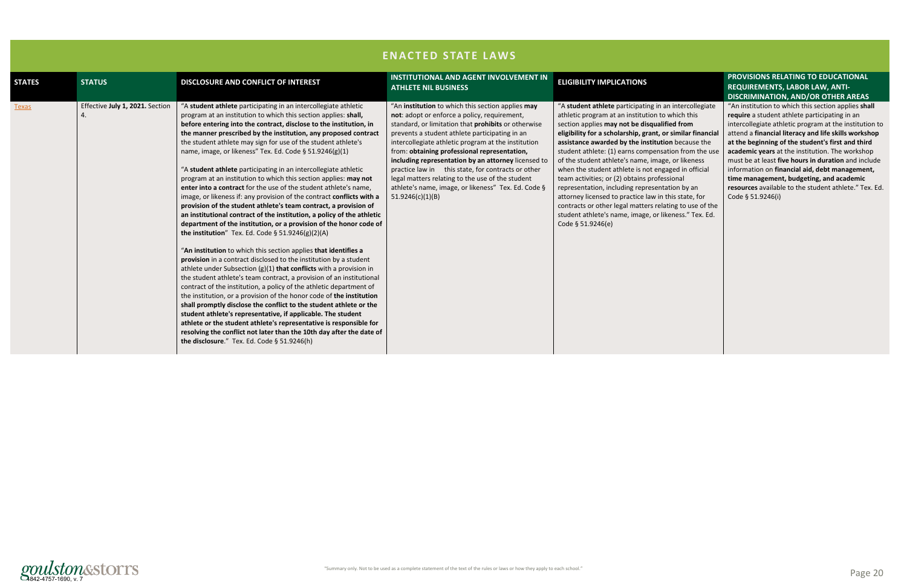#### n intercollegiate which this ied from **r** similar financial **on** because the tion from the use e, or likeness aged in official sional ation by an his state, for ting to use of the seness." Tex. Ed.



#### **PROVISIONS RELATING TO EDUCATIONAL REQUIREMENTS, LABOR LAW, ANTI-DISCRIMINATION, AND/OR OTHER AREAS**

| <b>ELIGIBILITY IMPLICATIONS</b>                                                                                                                                                                                                                                                                                                                                                                                                                                                                                                                                            | <b>INSTITUTIONAL AND AGENT INVOLVEMENT IN</b><br><b>STATUS</b><br><b>DISCLOSURE AND CONFLICT OF INTEREST</b><br><b>ATHLETE NIL BUSINESS</b>                                                                                                                                                                                                                                                                                                                                                                                                                                                                                                                                                                                                                                                                                                                                                                                                                                                                                                                                                                                                                                                                                                                                                                                                                                                                                                                                                                                                                                                                                                                                                                                                                                                                                                                                                                                                                                                                                                                                                                                                                                                                                                                                                                                                                 | <b>STATES</b> |  |
|----------------------------------------------------------------------------------------------------------------------------------------------------------------------------------------------------------------------------------------------------------------------------------------------------------------------------------------------------------------------------------------------------------------------------------------------------------------------------------------------------------------------------------------------------------------------------|-------------------------------------------------------------------------------------------------------------------------------------------------------------------------------------------------------------------------------------------------------------------------------------------------------------------------------------------------------------------------------------------------------------------------------------------------------------------------------------------------------------------------------------------------------------------------------------------------------------------------------------------------------------------------------------------------------------------------------------------------------------------------------------------------------------------------------------------------------------------------------------------------------------------------------------------------------------------------------------------------------------------------------------------------------------------------------------------------------------------------------------------------------------------------------------------------------------------------------------------------------------------------------------------------------------------------------------------------------------------------------------------------------------------------------------------------------------------------------------------------------------------------------------------------------------------------------------------------------------------------------------------------------------------------------------------------------------------------------------------------------------------------------------------------------------------------------------------------------------------------------------------------------------------------------------------------------------------------------------------------------------------------------------------------------------------------------------------------------------------------------------------------------------------------------------------------------------------------------------------------------------------------------------------------------------------------------------------------------------|---------------|--|
| "A student athlete participating in ar<br>athletic program at an institution to<br>section applies may not be disqualifi<br>eligibility for a scholarship, grant, or<br>assistance awarded by the institutio<br>student athlete: (1) earns compensat<br>of the student athlete's name, image<br>when the student athlete is not enga<br>team activities; or (2) obtains profess<br>representation, including representa<br>attorney licensed to practice law in tl<br>contracts or other legal matters relat<br>student athlete's name, image, or lik<br>Code § 51.9246(e) | Effective July 1, 2021. Section<br>"A student athlete participating in an intercollegiate athletic<br>"An institution to which this section applies may<br>program at an institution to which this section applies: shall,<br>not: adopt or enforce a policy, requirement,<br>4.<br>before entering into the contract, disclose to the institution, in<br>standard, or limitation that prohibits or otherwise<br>the manner prescribed by the institution, any proposed contract<br>prevents a student athlete participating in an<br>the student athlete may sign for use of the student athlete's<br>intercollegiate athletic program at the institution<br>name, image, or likeness" Tex. Ed. Code § 51.9246(g)(1)<br>from: obtaining professional representation,<br>including representation by an attorney licensed to<br>"A student athlete participating in an intercollegiate athletic<br>practice law in this state, for contracts or other<br>program at an institution to which this section applies: may not<br>legal matters relating to the use of the student<br>athlete's name, image, or likeness" Tex. Ed. Code §<br>enter into a contract for the use of the student athlete's name,<br>image, or likeness if: any provision of the contract conflicts with a<br>51.9246(c)(1)(B)<br>provision of the student athlete's team contract, a provision of<br>an institutional contract of the institution, a policy of the athletic<br>department of the institution, or a provision of the honor code of<br>the institution" Tex. Ed. Code $\S$ 51.9246(g)(2)(A)<br>"An institution to which this section applies that identifies a<br>provision in a contract disclosed to the institution by a student<br>athlete under Subsection $(g)(1)$ that conflicts with a provision in<br>the student athlete's team contract, a provision of an institutional<br>contract of the institution, a policy of the athletic department of<br>the institution, or a provision of the honor code of the institution<br>shall promptly disclose the conflict to the student athlete or the<br>student athlete's representative, if applicable. The student<br>athlete or the student athlete's representative is responsible for<br>resolving the conflict not later than the 10th day after the date of<br>the disclosure." Tex. Ed. Code § 51.9246(h) | <b>Texas</b>  |  |
|                                                                                                                                                                                                                                                                                                                                                                                                                                                                                                                                                                            |                                                                                                                                                                                                                                                                                                                                                                                                                                                                                                                                                                                                                                                                                                                                                                                                                                                                                                                                                                                                                                                                                                                                                                                                                                                                                                                                                                                                                                                                                                                                                                                                                                                                                                                                                                                                                                                                                                                                                                                                                                                                                                                                                                                                                                                                                                                                                             |               |  |

"An institution to which this section applies **shall require** a student athlete participating in an intercollegiate athletic program at the institution to attend a **financial literacy and life skills workshop at the beginning of the student's first and third academic years** at the institution. The workshop must be at least **five hours in duration** and include information on **financial aid, debt management, time management, budgeting, and academic resources** available to the student athlete." Tex. Ed. Code § 51.9246(i)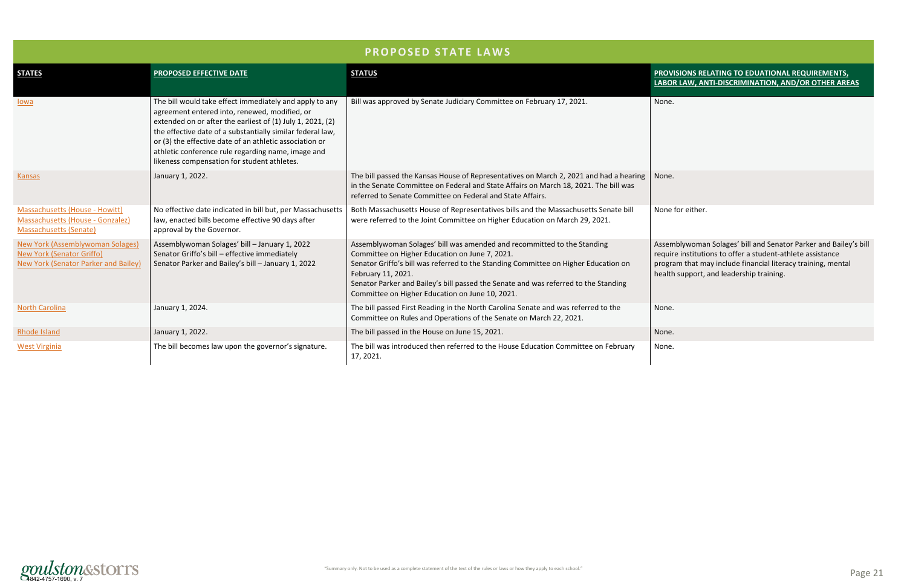

## **LABOR LAW, ANTI-DISCRIMINATION, AND/OR OTHER AREAS**

emblywoman Solages' bill and Senator Parker and Bailey's bill uire institutions to offer a student-athlete assistance gram that may include financial literacy training, mental Ith support, and leadership training.

| <b>PROPOSED STATE LAWS</b>                                                                                   |                                                                                                                                                                                                                                                                                                                                                                                                      |                                                                                                                                                                                                                                                                                                                                                                                  |                                                                                                                                                                                                                                     |  |
|--------------------------------------------------------------------------------------------------------------|------------------------------------------------------------------------------------------------------------------------------------------------------------------------------------------------------------------------------------------------------------------------------------------------------------------------------------------------------------------------------------------------------|----------------------------------------------------------------------------------------------------------------------------------------------------------------------------------------------------------------------------------------------------------------------------------------------------------------------------------------------------------------------------------|-------------------------------------------------------------------------------------------------------------------------------------------------------------------------------------------------------------------------------------|--|
| <b>STATES</b>                                                                                                | <b>PROPOSED EFFECTIVE DATE</b>                                                                                                                                                                                                                                                                                                                                                                       | <b>STATUS</b>                                                                                                                                                                                                                                                                                                                                                                    | PROVISIONS RELATING TO EDUATIONAL REQUIREMENTS,<br>LABOR LAW, ANTI-DISCRIMINATION, AND/OR OTHER ARE                                                                                                                                 |  |
| lowa                                                                                                         | The bill would take effect immediately and apply to any<br>agreement entered into, renewed, modified, or<br>extended on or after the earliest of (1) July 1, 2021, (2)<br>the effective date of a substantially similar federal law,<br>or (3) the effective date of an athletic association or<br>athletic conference rule regarding name, image and<br>likeness compensation for student athletes. | Bill was approved by Senate Judiciary Committee on February 17, 2021.                                                                                                                                                                                                                                                                                                            | None.                                                                                                                                                                                                                               |  |
| Kansas                                                                                                       | January 1, 2022.                                                                                                                                                                                                                                                                                                                                                                                     | The bill passed the Kansas House of Representatives on March 2, 2021 and had a hearing<br>in the Senate Committee on Federal and State Affairs on March 18, 2021. The bill was<br>referred to Senate Committee on Federal and State Affairs.                                                                                                                                     | None.                                                                                                                                                                                                                               |  |
| Massachusetts (House - Howitt)<br>Massachusetts (House - Gonzalez)<br>Massachusetts (Senate)                 | No effective date indicated in bill but, per Massachusetts<br>law, enacted bills become effective 90 days after<br>approval by the Governor.                                                                                                                                                                                                                                                         | Both Massachusetts House of Representatives bills and the Massachusetts Senate bill<br>were referred to the Joint Committee on Higher Education on March 29, 2021.                                                                                                                                                                                                               | None for either.                                                                                                                                                                                                                    |  |
| <b>New York (Assemblywoman Solages)</b><br>New York (Senator Griffo)<br>New York (Senator Parker and Bailey) | Assemblywoman Solages' bill - January 1, 2022<br>Senator Griffo's bill - effective immediately<br>Senator Parker and Bailey's bill - January 1, 2022                                                                                                                                                                                                                                                 | Assemblywoman Solages' bill was amended and recommitted to the Standing<br>Committee on Higher Education on June 7, 2021.<br>Senator Griffo's bill was referred to the Standing Committee on Higher Education on<br>February 11, 2021.<br>Senator Parker and Bailey's bill passed the Senate and was referred to the Standing<br>Committee on Higher Education on June 10, 2021. | Assemblywoman Solages' bill and Senator Parker and Bailey<br>require institutions to offer a student-athlete assistance<br>program that may include financial literacy training, mental<br>health support, and leadership training. |  |
| <b>North Carolina</b>                                                                                        | January 1, 2024.                                                                                                                                                                                                                                                                                                                                                                                     | The bill passed First Reading in the North Carolina Senate and was referred to the<br>Committee on Rules and Operations of the Senate on March 22, 2021.                                                                                                                                                                                                                         | None.                                                                                                                                                                                                                               |  |
| Rhode Island                                                                                                 | January 1, 2022.                                                                                                                                                                                                                                                                                                                                                                                     | The bill passed in the House on June 15, 2021.                                                                                                                                                                                                                                                                                                                                   | None.                                                                                                                                                                                                                               |  |
| <b>West Virginia</b>                                                                                         | The bill becomes law upon the governor's signature.                                                                                                                                                                                                                                                                                                                                                  | The bill was introduced then referred to the House Education Committee on February<br>17, 2021.                                                                                                                                                                                                                                                                                  | None.                                                                                                                                                                                                                               |  |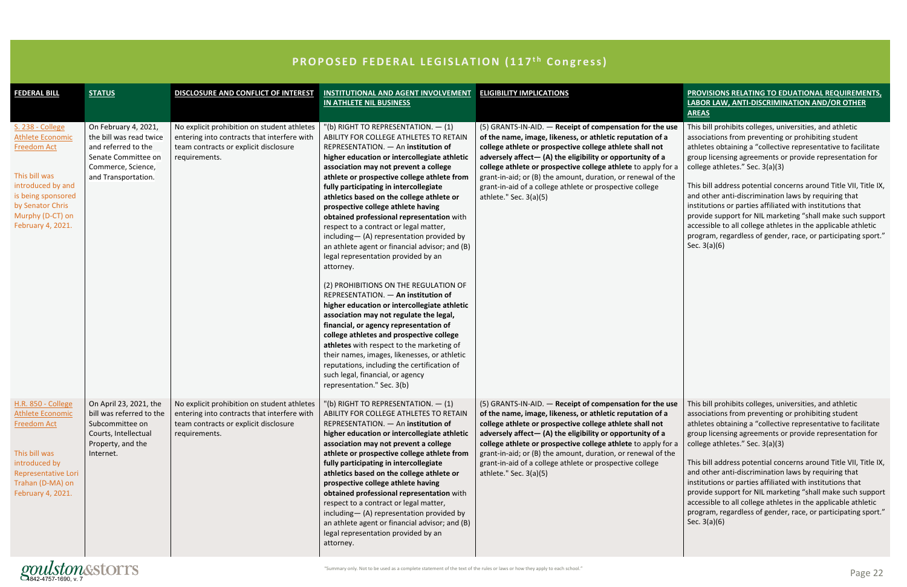| <b>FEDERAL BILL</b>                                                                                                                                                                        | <b>STATUS</b>                                                                                                                              | DISCLOSURE AND CONFLICT OF INTEREST                                                                                                                  | <b>INSTITUTIONAL AND AGENT INVOLVEMENT</b><br>IN ATHLETE NIL BUSINESS                                                                                                                                                                                                                                                                                                                                                                                                                                                                                                                                                                                                                                                                                                                                                                                                                                                                                                                                                                                                                                                  | <b>ELIGIBILITY IMPLICATIONS</b>                                                                                                                                                                                                                                                                                                                                                                                                                                                                                                           | PROVISIONS RELATING TO EDUATIONAL REQUIREMENTS,<br>LABOR LAW, ANTI-DISCRIMINATION AND/OR OTHER<br><b>AREAS</b>                                                                                                                                                                                                                                                                                                                                                                                                                                                                                                                                                                             |
|--------------------------------------------------------------------------------------------------------------------------------------------------------------------------------------------|--------------------------------------------------------------------------------------------------------------------------------------------|------------------------------------------------------------------------------------------------------------------------------------------------------|------------------------------------------------------------------------------------------------------------------------------------------------------------------------------------------------------------------------------------------------------------------------------------------------------------------------------------------------------------------------------------------------------------------------------------------------------------------------------------------------------------------------------------------------------------------------------------------------------------------------------------------------------------------------------------------------------------------------------------------------------------------------------------------------------------------------------------------------------------------------------------------------------------------------------------------------------------------------------------------------------------------------------------------------------------------------------------------------------------------------|-------------------------------------------------------------------------------------------------------------------------------------------------------------------------------------------------------------------------------------------------------------------------------------------------------------------------------------------------------------------------------------------------------------------------------------------------------------------------------------------------------------------------------------------|--------------------------------------------------------------------------------------------------------------------------------------------------------------------------------------------------------------------------------------------------------------------------------------------------------------------------------------------------------------------------------------------------------------------------------------------------------------------------------------------------------------------------------------------------------------------------------------------------------------------------------------------------------------------------------------------|
| S. 238 - College<br><b>Athlete Economic</b><br><b>Freedom Act</b><br>This bill was<br>introduced by and<br>is being sponsored<br>by Senator Chris<br>Murphy (D-CT) on<br>February 4, 2021. | On February 4, 2021,<br>the bill was read twice<br>and referred to the<br>Senate Committee on<br>Commerce, Science,<br>and Transportation. | No explicit prohibition on student athletes<br>entering into contracts that interfere with<br>team contracts or explicit disclosure<br>requirements. | $"$ (b) RIGHT TO REPRESENTATION. $-$ (1)<br>ABILITY FOR COLLEGE ATHLETES TO RETAIN<br>REPRESENTATION. - An institution of<br>higher education or intercollegiate athletic<br>association may not prevent a college<br>athlete or prospective college athlete from<br>fully participating in intercollegiate<br>athletics based on the college athlete or<br>prospective college athlete having<br>obtained professional representation with<br>respect to a contract or legal matter,<br>including-(A) representation provided by<br>an athlete agent or financial advisor; and (B)<br>legal representation provided by an<br>attorney.<br>(2) PROHIBITIONS ON THE REGULATION OF<br>REPRESENTATION. - An institution of<br>higher education or intercollegiate athletic<br>association may not regulate the legal,<br>financial, or agency representation of<br>college athletes and prospective college<br>athletes with respect to the marketing of<br>their names, images, likenesses, or athletic<br>reputations, including the certification of<br>such legal, financial, or agency<br>representation." Sec. 3(b) | (5) GRANTS-IN-AID. - Receipt of compensation for the use<br>of the name, image, likeness, or athletic reputation of a<br>college athlete or prospective college athlete shall not<br>adversely affect-(A) the eligibility or opportunity of a<br>college athlete or prospective college athlete to apply for a<br>grant-in-aid; or (B) the amount, duration, or renewal of the<br>grant-in-aid of a college athlete or prospective college<br>athlete." Sec. $3(a)(5)$                                                                    | This bill prohibits colleges, universities, and athletic<br>associations from preventing or prohibiting student<br>athletes obtaining a "collective representative to facilitate<br>group licensing agreements or provide representation for<br>college athletes." Sec. 3(a)(3)<br>This bill address potential concerns around Title VII, Title IX,<br>and other anti-discrimination laws by requiring that<br>institutions or parties affiliated with institutions that<br>provide support for NIL marketing "shall make such support<br>accessible to all college athletes in the applicable athletic<br>program, regardless of gender, race, or participating sport."<br>Sec. $3(a)(6)$ |
| H.R. 850 - College<br><b>Athlete Economic</b><br><b>Freedom Act</b><br>This bill was<br>introduced by<br>Representative Lori<br>Trahan (D-MA) on<br>February 4, 2021.                      | On April 23, 2021, the<br>bill was referred to the<br>Subcommittee on<br>Courts, Intellectual<br>Property, and the<br>Internet.            | No explicit prohibition on student athletes<br>entering into contracts that interfere with<br>team contracts or explicit disclosure<br>requirements. | $"$ (b) RIGHT TO REPRESENTATION. $-$ (1)<br>ABILITY FOR COLLEGE ATHLETES TO RETAIN<br>REPRESENTATION. - An institution of<br>higher education or intercollegiate athletic<br>association may not prevent a college<br>athlete or prospective college athlete from<br>fully participating in intercollegiate<br>athletics based on the college athlete or<br>prospective college athlete having<br>obtained professional representation with<br>respect to a contract or legal matter,<br>including-(A) representation provided by<br>an athlete agent or financial advisor; and (B)<br>legal representation provided by an<br>attorney.                                                                                                                                                                                                                                                                                                                                                                                                                                                                                | (5) GRANTS-IN-AID. $-$ Receipt of compensation for the use $\vert$ This bill prohibits colleges, universities, and athletic<br>of the name, image, likeness, or athletic reputation of a<br>college athlete or prospective college athlete shall not<br>adversely affect-(A) the eligibility or opportunity of a<br>college athlete or prospective college athlete to apply for a<br>grant-in-aid; or (B) the amount, duration, or renewal of the<br>grant-in-aid of a college athlete or prospective college<br>athlete." Sec. $3(a)(5)$ | associations from preventing or prohibiting student<br>athletes obtaining a "collective representative to facilitate<br>group licensing agreements or provide representation for<br>college athletes." Sec. 3(a)(3)<br>This bill address potential concerns around Title VII, Title IX,<br>and other anti-discrimination laws by requiring that<br>institutions or parties affiliated with institutions that<br>provide support for NIL marketing "shall make such support<br>accessible to all college athletes in the applicable athletic<br>program, regardless of gender, race, or participating sport."<br>Sec. $3(a)(6)$                                                             |

## **PROPOSED FEDERAL LEGISLATION (117<sup>th</sup> Congress)**

gaz-4757-1690, v. 7 Page 22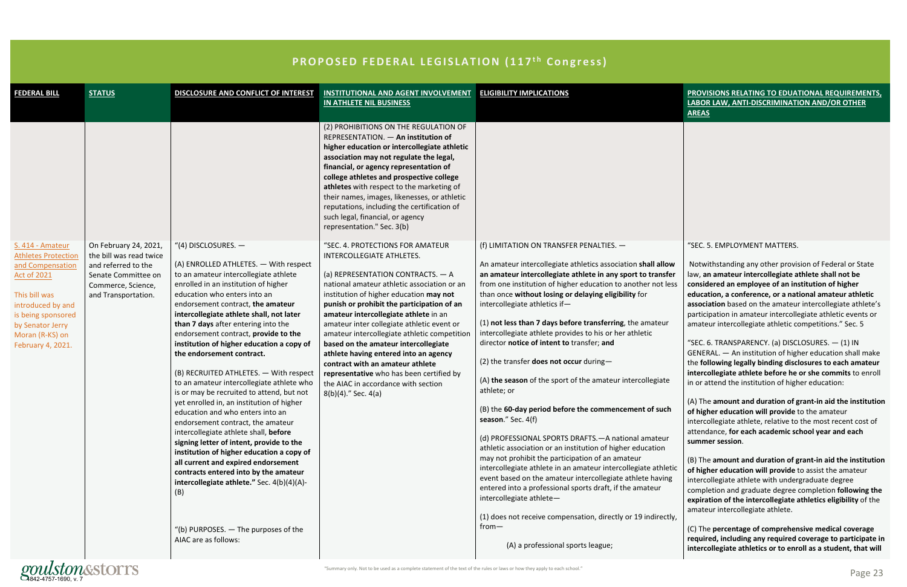"Summary only. Not to be used as a complete statement of the text of the rules or laws or how they apply to each school."

| <b>FEDERAL BILL</b>                                                                                                                                                                                              | <b>STATUS</b>                                                                                                                               | DISCLOSURE AND CONFLICT OF INTEREST                                                                                                                                                                                                                                                                                                                                                                                                                                                                                                                                                                                                                                                                                                                                                                                                                                                                                                                                                                                          |                                                                                                                                                                                                                                                                                                                                                                                                                                                                                                                                                                                                                     |                                                                                                                                                                                                                                                                                                                                                                                                                                                                                                                                                                                                                                                                                                                                                                                                                                                                                                                                                                                                                                                                                                                                                                                                                                 |
|------------------------------------------------------------------------------------------------------------------------------------------------------------------------------------------------------------------|---------------------------------------------------------------------------------------------------------------------------------------------|------------------------------------------------------------------------------------------------------------------------------------------------------------------------------------------------------------------------------------------------------------------------------------------------------------------------------------------------------------------------------------------------------------------------------------------------------------------------------------------------------------------------------------------------------------------------------------------------------------------------------------------------------------------------------------------------------------------------------------------------------------------------------------------------------------------------------------------------------------------------------------------------------------------------------------------------------------------------------------------------------------------------------|---------------------------------------------------------------------------------------------------------------------------------------------------------------------------------------------------------------------------------------------------------------------------------------------------------------------------------------------------------------------------------------------------------------------------------------------------------------------------------------------------------------------------------------------------------------------------------------------------------------------|---------------------------------------------------------------------------------------------------------------------------------------------------------------------------------------------------------------------------------------------------------------------------------------------------------------------------------------------------------------------------------------------------------------------------------------------------------------------------------------------------------------------------------------------------------------------------------------------------------------------------------------------------------------------------------------------------------------------------------------------------------------------------------------------------------------------------------------------------------------------------------------------------------------------------------------------------------------------------------------------------------------------------------------------------------------------------------------------------------------------------------------------------------------------------------------------------------------------------------|
|                                                                                                                                                                                                                  |                                                                                                                                             |                                                                                                                                                                                                                                                                                                                                                                                                                                                                                                                                                                                                                                                                                                                                                                                                                                                                                                                                                                                                                              | <b>INSTITUTIONAL AND AGENT INVOLVEMENT</b><br><b>IN ATHLETE NIL BUSINESS</b>                                                                                                                                                                                                                                                                                                                                                                                                                                                                                                                                        | <b>ELIGIBILITY IMPLICATIONS</b>                                                                                                                                                                                                                                                                                                                                                                                                                                                                                                                                                                                                                                                                                                                                                                                                                                                                                                                                                                                                                                                                                                                                                                                                 |
|                                                                                                                                                                                                                  |                                                                                                                                             |                                                                                                                                                                                                                                                                                                                                                                                                                                                                                                                                                                                                                                                                                                                                                                                                                                                                                                                                                                                                                              | (2) PROHIBITIONS ON THE REGULATION OF<br>REPRESENTATION. - An institution of<br>higher education or intercollegiate athletic<br>association may not regulate the legal,<br>financial, or agency representation of<br>college athletes and prospective college<br>athletes with respect to the marketing of<br>their names, images, likenesses, or athletic<br>reputations, including the certification of<br>such legal, financial, or agency<br>representation." Sec. 3(b)                                                                                                                                         |                                                                                                                                                                                                                                                                                                                                                                                                                                                                                                                                                                                                                                                                                                                                                                                                                                                                                                                                                                                                                                                                                                                                                                                                                                 |
| S. 414 - Amateur<br><b>Athletes Protection</b><br>and Compensation<br><b>Act of 2021</b><br>This bill was<br>introduced by and<br>is being sponsored<br>by Senator Jerry<br>Moran (R-KS) on<br>February 4, 2021. | On February 24, 2021,<br>the bill was read twice<br>and referred to the<br>Senate Committee on<br>Commerce, Science,<br>and Transportation. | "(4) DISCLOSURES. $-$<br>(A) ENROLLED ATHLETES. - With respect<br>to an amateur intercollegiate athlete<br>enrolled in an institution of higher<br>education who enters into an<br>endorsement contract, the amateur<br>intercollegiate athlete shall, not later<br>than 7 days after entering into the<br>endorsement contract, provide to the<br>institution of higher education a copy of<br>the endorsement contract.<br>(B) RECRUITED ATHLETES. - With respect<br>to an amateur intercollegiate athlete who<br>is or may be recruited to attend, but not<br>yet enrolled in, an institution of higher<br>education and who enters into an<br>endorsement contract, the amateur<br>intercollegiate athlete shall, before<br>signing letter of intent, provide to the<br>institution of higher education a copy of<br>all current and expired endorsement<br>contracts entered into by the amateur<br>intercollegiate athlete." Sec. 4(b)(4)(A)-<br>(B)<br>"(b) PURPOSES. $-$ The purposes of the<br>AIAC are as follows: | "SEC. 4. PROTECTIONS FOR AMATEUR<br>INTERCOLLEGIATE ATHLETES.<br>(a) REPRESENTATION CONTRACTS. - A<br>national amateur athletic association or an<br>institution of higher education may not<br>punish or prohibit the participation of an<br>amateur intercollegiate athlete in an<br>amateur inter collegiate athletic event or<br>amateur intercollegiate athletic competition<br>based on the amateur intercollegiate<br>athlete having entered into an agency<br>contract with an amateur athlete<br>representative who has been certified by<br>the AIAC in accordance with section<br>$8(b)(4)$ ." Sec. 4(a) | (f) LIMITATION ON TRANSFER PENALTIES. -<br>An amateur intercollegiate athletics association shall allow<br>an amateur intercollegiate athlete in any sport to transfer<br>from one institution of higher education to another not less<br>than once without losing or delaying eligibility for<br>intercollegiate athletics if-<br>(1) not less than 7 days before transferring, the amateur<br>intercollegiate athlete provides to his or her athletic<br>director notice of intent to transfer; and<br>(2) the transfer does not occur during-<br>(A) the season of the sport of the amateur intercollegiate<br>athlete; or<br>(B) the 60-day period before the commencement of such<br>season." Sec. 4(f)<br>(d) PROFESSIONAL SPORTS DRAFTS. - A national amateur<br>athletic association or an institution of higher education<br>may not prohibit the participation of an amateur<br>intercollegiate athlete in an amateur intercollegiate athletic<br>event based on the amateur intercollegiate athlete having<br>entered into a professional sports draft, if the amateur<br>intercollegiate athlete-<br>(1) does not receive compensation, directly or 19 indirectly,<br>from $-$<br>(A) a professional sports league; |

### **PROPOSED FEDERAL LEGISLATION (117<sup>th</sup> Congress)**

gondete statement of the text of the reles or laws or how they apply to each school."<br>4842-4757-1690, v. 7 Page 23

|                       | <b>PROVISIONS RELATING TO EDUATIONAL REQUIREMENTS,</b>                                                                                                                                                                                                                                                                                                                                                                  |  |  |  |  |
|-----------------------|-------------------------------------------------------------------------------------------------------------------------------------------------------------------------------------------------------------------------------------------------------------------------------------------------------------------------------------------------------------------------------------------------------------------------|--|--|--|--|
|                       | <b>LABOR LAW, ANTI-DISCRIMINATION AND/OR OTHER</b>                                                                                                                                                                                                                                                                                                                                                                      |  |  |  |  |
|                       | <b>AREAS</b>                                                                                                                                                                                                                                                                                                                                                                                                            |  |  |  |  |
|                       |                                                                                                                                                                                                                                                                                                                                                                                                                         |  |  |  |  |
|                       | "SEC. 5. EMPLOYMENT MATTERS.                                                                                                                                                                                                                                                                                                                                                                                            |  |  |  |  |
| W<br>er<br><b>SSS</b> | Notwithstanding any other provision of Federal or State<br>law, an amateur intercollegiate athlete shall not be<br>considered an employee of an institution of higher<br>education, a conference, or a national amateur athletic<br>association based on the amateur intercollegiate athlete's<br>participation in amateur intercollegiate athletic events or<br>amateur intercollegiate athletic competitions." Sec. 5 |  |  |  |  |
|                       | "SEC. 6. TRANSPARENCY. (a) DISCLOSURES. - (1) IN<br>GENERAL. - An institution of higher education shall make<br>the following legally binding disclosures to each amateur<br>intercollegiate athlete before he or she commits to enroll<br>in or attend the institution of higher education:                                                                                                                            |  |  |  |  |
|                       | (A) The amount and duration of grant-in aid the institution                                                                                                                                                                                                                                                                                                                                                             |  |  |  |  |
| າ                     | of higher education will provide to the amateur<br>intercollegiate athlete, relative to the most recent cost of<br>attendance, for each academic school year and each<br>summer session.                                                                                                                                                                                                                                |  |  |  |  |
|                       |                                                                                                                                                                                                                                                                                                                                                                                                                         |  |  |  |  |
| tic<br>g<br>:ly,      | (B) The amount and duration of grant-in aid the institution<br>of higher education will provide to assist the amateur<br>intercollegiate athlete with undergraduate degree<br>completion and graduate degree completion following the<br>expiration of the intercollegiate athletics eligibility of the<br>amateur intercollegiate athlete.                                                                             |  |  |  |  |
|                       | (C) The percentage of comprehensive medical coverage<br>required, including any required coverage to participate in<br>intercollegiate athletics or to enroll as a student, that will                                                                                                                                                                                                                                   |  |  |  |  |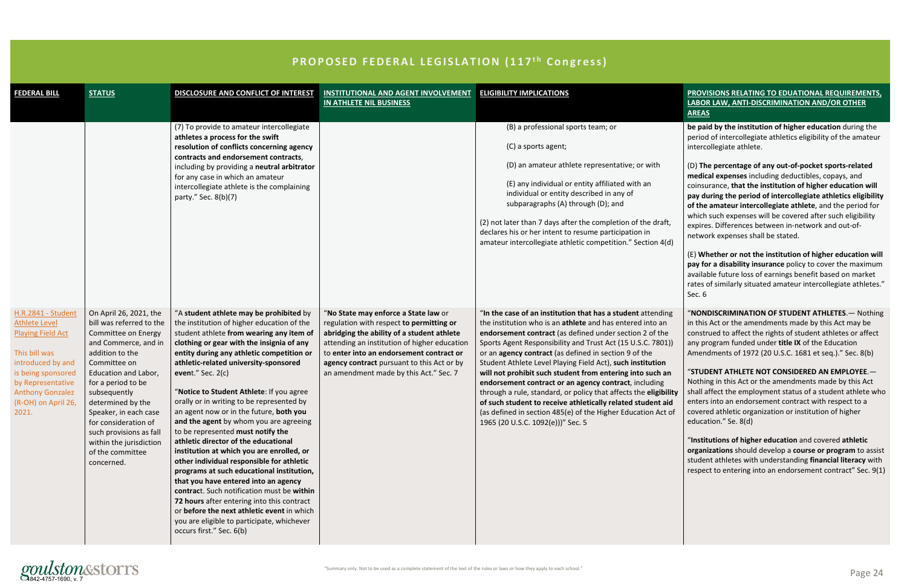

| THOT OULD TEDEMAL LEGIULATION (11) COMMICUUT                                                                                                                                                                              |                                                                                                                                                                                                                                                                                                                                                                  |                                                                                                                                                                                                                                                                                                                                                                                                                                                                                                                                                                                                                                                                                                                                                                                                                                                                                                                                                           |                                                                                                                                                                                                                                                                                                                    |                                                                                                                                                                                                                                                                                                                                                                                                                                                                                                                                                                                                                                                                                                                                         |
|---------------------------------------------------------------------------------------------------------------------------------------------------------------------------------------------------------------------------|------------------------------------------------------------------------------------------------------------------------------------------------------------------------------------------------------------------------------------------------------------------------------------------------------------------------------------------------------------------|-----------------------------------------------------------------------------------------------------------------------------------------------------------------------------------------------------------------------------------------------------------------------------------------------------------------------------------------------------------------------------------------------------------------------------------------------------------------------------------------------------------------------------------------------------------------------------------------------------------------------------------------------------------------------------------------------------------------------------------------------------------------------------------------------------------------------------------------------------------------------------------------------------------------------------------------------------------|--------------------------------------------------------------------------------------------------------------------------------------------------------------------------------------------------------------------------------------------------------------------------------------------------------------------|-----------------------------------------------------------------------------------------------------------------------------------------------------------------------------------------------------------------------------------------------------------------------------------------------------------------------------------------------------------------------------------------------------------------------------------------------------------------------------------------------------------------------------------------------------------------------------------------------------------------------------------------------------------------------------------------------------------------------------------------|
| <b>FEDERAL BILL</b>                                                                                                                                                                                                       | <b>STATUS</b>                                                                                                                                                                                                                                                                                                                                                    | DISCLOSURE AND CONFLICT OF INTEREST                                                                                                                                                                                                                                                                                                                                                                                                                                                                                                                                                                                                                                                                                                                                                                                                                                                                                                                       | <b>INSTITUTIONAL AND AGENT INVOLVEMENT</b><br>IN ATHLETE NIL BUSINESS                                                                                                                                                                                                                                              | <b>ELIGIBILITY IMPLICATIONS</b>                                                                                                                                                                                                                                                                                                                                                                                                                                                                                                                                                                                                                                                                                                         |
|                                                                                                                                                                                                                           |                                                                                                                                                                                                                                                                                                                                                                  | (7) To provide to amateur intercollegiate<br>athletes a process for the swift<br>resolution of conflicts concerning agency<br>contracts and endorsement contracts,<br>including by providing a neutral arbitrator<br>for any case in which an amateur<br>intercollegiate athlete is the complaining<br>party." Sec. 8(b)(7)                                                                                                                                                                                                                                                                                                                                                                                                                                                                                                                                                                                                                               |                                                                                                                                                                                                                                                                                                                    | (B) a professional sports team; or<br>(C) a sports agent;<br>(D) an amateur athlete representative; or with<br>(E) any individual or entity affiliated with an<br>individual or entity described in any of<br>subparagraphs (A) through (D); and<br>(2) not later than 7 days after the completion of the draft,<br>declares his or her intent to resume participation in<br>amateur intercollegiate athletic competition." Section 4(d)                                                                                                                                                                                                                                                                                                |
| <b>H.R.2841 - Student</b><br><b>Athlete Level</b><br><b>Playing Field Act</b><br>This bill was<br>introduced by and<br>is being sponsored<br>by Representative<br><b>Anthony Gonzalez</b><br>(R-OH) on April 26,<br>2021. | On April 26, 2021, the<br>bill was referred to the<br>Committee on Energy<br>and Commerce, and in<br>addition to the<br>Committee on<br>Education and Labor,<br>for a period to be<br>subsequently<br>determined by the<br>Speaker, in each case<br>for consideration of<br>such provisions as fall<br>within the jurisdiction<br>of the committee<br>concerned. | "A student athlete may be prohibited by<br>the institution of higher education of the<br>student athlete from wearing any item of<br>clothing or gear with the insignia of any<br>entity during any athletic competition or<br>athletic-related university-sponsored<br>event." Sec. $2(c)$<br>"Notice to Student Athlete: If you agree<br>orally or in writing to be represented by<br>an agent now or in the future, both you<br>and the agent by whom you are agreeing<br>to be represented must notify the<br>athletic director of the educational<br>institution at which you are enrolled, or<br>other individual responsible for athletic<br>programs at such educational institution,<br>that you have entered into an agency<br>contract. Such notification must be within<br>72 hours after entering into this contract<br>or before the next athletic event in which<br>you are eligible to participate, whichever<br>occurs first." Sec. 6(b) | "No State may enforce a State law or<br>regulation with respect to permitting or<br>abridging the ability of a student athlete<br>attending an institution of higher education<br>to enter into an endorsement contract or<br>agency contract pursuant to this Act or by<br>an amendment made by this Act." Sec. 7 | "In the case of an institution that has a student attending<br>the institution who is an athlete and has entered into an<br>endorsement contract (as defined under section 2 of the<br>Sports Agent Responsibility and Trust Act (15 U.S.C. 7801))<br>or an agency contract (as defined in section 9 of the<br>Student Athlete Level Playing Field Act), such institution<br>will not prohibit such student from entering into such an<br>endorsement contract or an agency contract, including<br>through a rule, standard, or policy that affects the eligibility<br>of such student to receive athletically related student aid<br>(as defined in section 485(e) of the Higher Education Act of<br>1965 (20 U.S.C. 1092(e)))" Sec. 5 |

### **PROPOSED FEDERAL LEGISLATION (117<sup>th</sup> Congress)**

| <b>ELIGIBILITY IMPLICATIONS</b>                                                                                                                                                                                                                                                                                                                                                                                                                                                                                                                                                                                                                                                                                                         | <b>PROVISIONS RELATING TO EDUATIONAL REQUIREMENTS,</b><br><b>LABOR LAW, ANTI-DISCRIMINATION AND/OR OTHER</b><br><b>AREAS</b>                                                                                                                                                                                                                                                                                                                                                                                                                                                                                                                                                                                                                                                                                                                                           |
|-----------------------------------------------------------------------------------------------------------------------------------------------------------------------------------------------------------------------------------------------------------------------------------------------------------------------------------------------------------------------------------------------------------------------------------------------------------------------------------------------------------------------------------------------------------------------------------------------------------------------------------------------------------------------------------------------------------------------------------------|------------------------------------------------------------------------------------------------------------------------------------------------------------------------------------------------------------------------------------------------------------------------------------------------------------------------------------------------------------------------------------------------------------------------------------------------------------------------------------------------------------------------------------------------------------------------------------------------------------------------------------------------------------------------------------------------------------------------------------------------------------------------------------------------------------------------------------------------------------------------|
| (B) a professional sports team; or<br>(C) a sports agent;                                                                                                                                                                                                                                                                                                                                                                                                                                                                                                                                                                                                                                                                               | be paid by the institution of higher education during the<br>period of intercollegiate athletics eligibility of the amateur<br>intercollegiate athlete.                                                                                                                                                                                                                                                                                                                                                                                                                                                                                                                                                                                                                                                                                                                |
| (D) an amateur athlete representative; or with<br>(E) any individual or entity affiliated with an<br>individual or entity described in any of<br>subparagraphs (A) through (D); and<br>(2) not later than 7 days after the completion of the draft,<br>declares his or her intent to resume participation in<br>amateur intercollegiate athletic competition." Section 4(d)                                                                                                                                                                                                                                                                                                                                                             | (D) The percentage of any out-of-pocket sports-related<br>medical expenses including deductibles, copays, and<br>coinsurance, that the institution of higher education will<br>pay during the period of intercollegiate athletics eligibility<br>of the amateur intercollegiate athlete, and the period for<br>which such expenses will be covered after such eligibility<br>expires. Differences between in-network and out-of-<br>network expenses shall be stated.<br>(E) Whether or not the institution of higher education will<br>pay for a disability insurance policy to cover the maximum<br>available future loss of earnings benefit based on market<br>rates of similarly situated amateur intercollegiate athletes."<br>Sec. 6                                                                                                                            |
| "In the case of an institution that has a student attending<br>the institution who is an athlete and has entered into an<br>endorsement contract (as defined under section 2 of the<br>Sports Agent Responsibility and Trust Act (15 U.S.C. 7801))<br>or an agency contract (as defined in section 9 of the<br>Student Athlete Level Playing Field Act), such institution<br>will not prohibit such student from entering into such an<br>endorsement contract or an agency contract, including<br>through a rule, standard, or policy that affects the eligibility<br>of such student to receive athletically related student aid<br>(as defined in section 485(e) of the Higher Education Act of<br>1965 (20 U.S.C. 1092(e)))" Sec. 5 | "NONDISCRIMINATION OF STUDENT ATHLETES. - Nothing<br>in this Act or the amendments made by this Act may be<br>construed to affect the rights of student athletes or affect<br>any program funded under title IX of the Education<br>Amendments of 1972 (20 U.S.C. 1681 et seq.)." Sec. 8(b)<br>"STUDENT ATHLETE NOT CONSIDERED AN EMPLOYEE.-<br>Nothing in this Act or the amendments made by this Act<br>shall affect the employment status of a student athlete who<br>enters into an endorsement contract with respect to a<br>covered athletic organization or institution of higher<br>education." Se. 8(d)<br>"Institutions of higher education and covered athletic<br>organizations should develop a course or program to assist<br>student athletes with understanding financial literacy with<br>respect to entering into an endorsement contract" Sec. 9(1) |